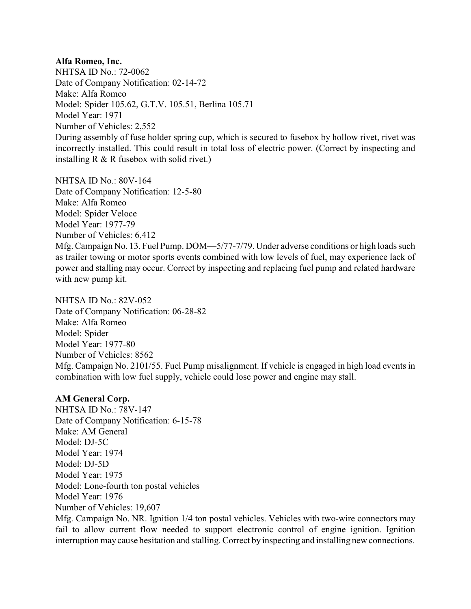### **Alfa Romeo, Inc.**

NHTSA ID No.: 72-0062 Date of Company Notification: 02-14-72 Make: Alfa Romeo Model: Spider 105.62, G.T.V. 105.51, Berlina 105.71 Model Year: 1971 Number of Vehicles: 2,552 During assembly of fuse holder spring cup, which is secured to fusebox by hollow rivet, rivet was incorrectly installed. This could result in total loss of electric power. (Correct by inspecting and installing R & R fusebox with solid rivet.)

NHTSA ID No.: 80V-164 Date of Company Notification: 12-5-80 Make: Alfa Romeo Model: Spider Veloce Model Year: 1977-79 Number of Vehicles: 6,412 Mfg. Campaign No. 13. Fuel Pump. DOM—5/77-7/79. Under adverse conditions or high loads such as trailer towing or motor sports events combined with low levels of fuel, may experience lack of power and stalling may occur. Correct by inspecting and replacing fuel pump and related hardware with new pump kit.

NHTSA ID No.: 82V-052 Date of Company Notification: 06-28-82 Make: Alfa Romeo Model: Spider Model Year: 1977-80 Number of Vehicles: 8562 Mfg. Campaign No. 2101/55. Fuel Pump misalignment. If vehicle is engaged in high load events in combination with low fuel supply, vehicle could lose power and engine may stall.

#### **AM General Corp.**

NHTSA ID No.: 78V-147 Date of Company Notification: 6-15-78 Make: AM General Model: DJ-5C Model Year: 1974 Model: DJ-5D Model Year: 1975 Model: Lone-fourth ton postal vehicles Model Year: 1976 Number of Vehicles: 19,607

Mfg. Campaign No. NR. Ignition 1/4 ton postal vehicles. Vehicles with two-wire connectors may fail to allow current flow needed to support electronic control of engine ignition. Ignition interruption maycause hesitation and stalling. Correct by inspecting and installing new connections.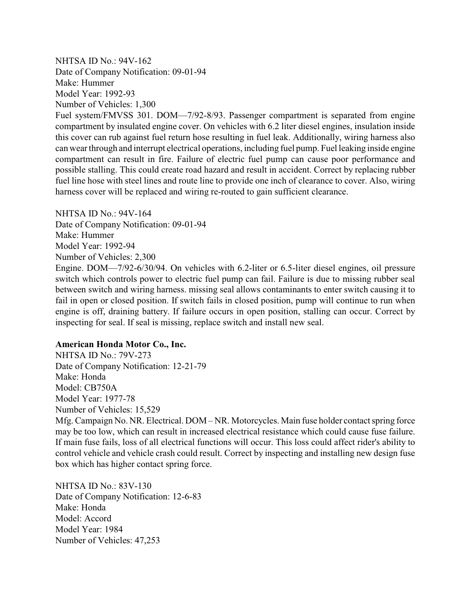NHTSA ID No.: 94V-162 Date of Company Notification: 09-01-94 Make: Hummer Model Year: 1992-93 Number of Vehicles: 1,300

Fuel system/FMVSS 301. DOM—7/92-8/93. Passenger compartment is separated from engine compartment by insulated engine cover. On vehicles with 6.2 liter diesel engines, insulation inside this cover can rub against fuel return hose resulting in fuel leak. Additionally, wiring harness also can wear through and interrupt electrical operations, including fuel pump. Fuel leaking inside engine compartment can result in fire. Failure of electric fuel pump can cause poor performance and possible stalling. This could create road hazard and result in accident. Correct by replacing rubber fuel line hose with steel lines and route line to provide one inch of clearance to cover. Also, wiring harness cover will be replaced and wiring re-routed to gain sufficient clearance.

NHTSA ID No $\cdot$  94V-164 Date of Company Notification: 09-01-94 Make: Hummer Model Year: 1992-94 Number of Vehicles: 2,300

Engine. DOM—7/92-6/30/94. On vehicles with 6.2-liter or 6.5-liter diesel engines, oil pressure switch which controls power to electric fuel pump can fail. Failure is due to missing rubber seal between switch and wiring harness. missing seal allows contaminants to enter switch causing it to fail in open or closed position. If switch fails in closed position, pump will continue to run when engine is off, draining battery. If failure occurs in open position, stalling can occur. Correct by inspecting for seal. If seal is missing, replace switch and install new seal.

#### **American Honda Motor Co., Inc.**

NHTSA ID No.: 79V-273 Date of Company Notification: 12-21-79 Make: Honda Model: CB750A Model Year: 1977-78 Number of Vehicles: 15,529 Mfg. Campaign No. NR. Electrical. DOM – NR. Motorcycles. Main fuse holder contact spring force may be too low, which can result in increased electrical resistance which could cause fuse failure. If main fuse fails, loss of all electrical functions will occur. This loss could affect rider's ability to control vehicle and vehicle crash could result. Correct by inspecting and installing new design fuse box which has higher contact spring force.

NHTSA ID No.: 83V-130 Date of Company Notification: 12-6-83 Make: Honda Model: Accord Model Year: 1984 Number of Vehicles: 47,253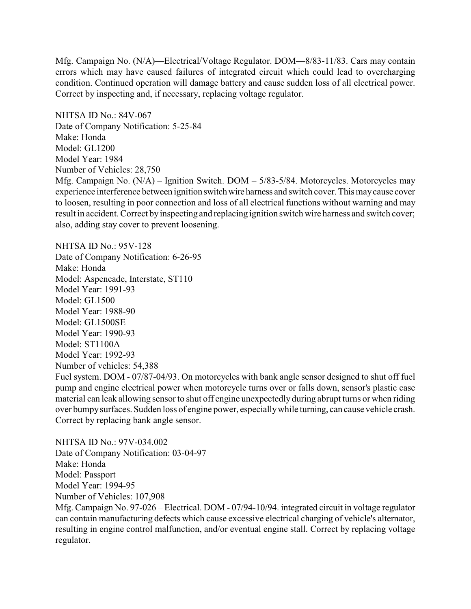Mfg. Campaign No. (N/A)—Electrical/Voltage Regulator. DOM—8/83-11/83. Cars may contain errors which may have caused failures of integrated circuit which could lead to overcharging condition. Continued operation will damage battery and cause sudden loss of all electrical power. Correct by inspecting and, if necessary, replacing voltage regulator.

NHTSA ID No.: 84V-067 Date of Company Notification: 5-25-84 Make: Honda Model: GL1200 Model Year: 1984 Number of Vehicles: 28,750

Mfg. Campaign No. (N/A) – Ignition Switch. DOM – 5/83-5/84. Motorcycles. Motorcycles may experience interference between ignition switch wire harness and switch cover. This may cause cover to loosen, resulting in poor connection and loss of all electrical functions without warning and may result in accident. Correct by inspecting and replacing ignition switch wire harness and switch cover; also, adding stay cover to prevent loosening.

NHTSA ID No.: 95V-128 Date of Company Notification: 6-26-95 Make: Honda Model: Aspencade, Interstate, ST110 Model Year: 1991-93 Model: GL1500 Model Year: 1988-90 Model: GL1500SE Model Year: 1990-93 Model: ST1100A Model Year: 1992-93 Number of vehicles: 54,388 Fuel system. DOM - 07/87-04/93. On motorcycles with bank angle sensor designed to shut off fuel pump and engine electrical power when motorcycle turns over or falls down, sensor's plastic case material can leak allowing sensor to shut off engine unexpectedly during abrupt turns or when riding over bumpysurfaces. Sudden loss of engine power, especiallywhile turning, can cause vehicle crash. Correct by replacing bank angle sensor.

NHTSA ID No.: 97V-034.002 Date of Company Notification: 03-04-97 Make: Honda Model: Passport Model Year: 1994-95 Number of Vehicles: 107,908 Mfg. Campaign No. 97-026 – Electrical. DOM - 07/94-10/94. integrated circuit in voltage regulator can contain manufacturing defects which cause excessive electrical charging of vehicle's alternator, resulting in engine control malfunction, and/or eventual engine stall. Correct by replacing voltage regulator.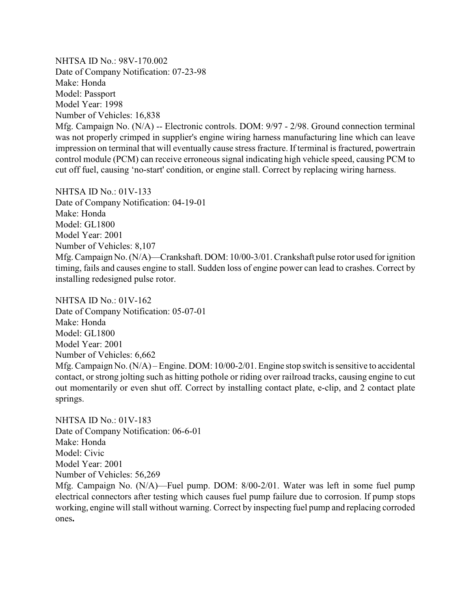NHTSA ID No.: 98V-170.002 Date of Company Notification: 07-23-98 Make: Honda Model: Passport Model Year: 1998 Number of Vehicles: 16,838 Mfg. Campaign No. (N/A) -- Electronic controls. DOM: 9/97 - 2/98. Ground connection terminal was not properly crimped in supplier's engine wiring harness manufacturing line which can leave impression on terminal that will eventually cause stress fracture. If terminal is fractured, powertrain control module (PCM) can receive erroneous signal indicating high vehicle speed, causing PCM to cut off fuel, causing 'no-start' condition, or engine stall. Correct by replacing wiring harness.

NHTSA ID No.: 01V-133 Date of Company Notification: 04-19-01 Make: Honda Model: GL1800 Model Year: 2001 Number of Vehicles: 8,107 Mfg. Campaign No. (N/A)—Crankshaft. DOM: 10/00-3/01. Crankshaft pulse rotor used for ignition timing, fails and causes engine to stall. Sudden loss of engine power can lead to crashes. Correct by installing redesigned pulse rotor.

NHTSA ID No.: 01V-162 Date of Company Notification: 05-07-01 Make: Honda Model: GL1800 Model Year: 2001 Number of Vehicles: 6,662 Mfg. Campaign No. (N/A) – Engine. DOM: 10/00-2/01. Engine stop switch is sensitive to accidental contact, or strong jolting such as hitting pothole or riding over railroad tracks, causing engine to cut out momentarily or even shut off. Correct by installing contact plate, e-clip, and 2 contact plate springs.

NHTSA ID No.: 01V-183 Date of Company Notification: 06-6-01 Make: Honda Model: Civic Model Year: 2001 Number of Vehicles: 56,269

Mfg. Campaign No. (N/A)—Fuel pump. DOM: 8/00-2/01. Water was left in some fuel pump electrical connectors after testing which causes fuel pump failure due to corrosion. If pump stops working, engine will stall without warning. Correct by inspecting fuel pump and replacing corroded ones**.**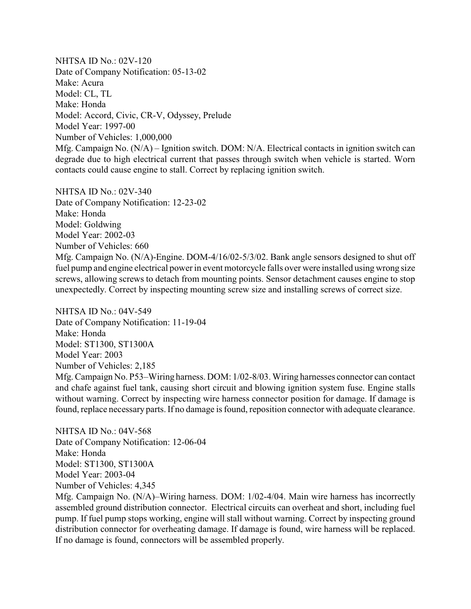NHTSA ID No.: 02V-120 Date of Company Notification: 05-13-02 Make: Acura Model: CL, TL Make: Honda Model: Accord, Civic, CR-V, Odyssey, Prelude Model Year: 1997-00 Number of Vehicles: 1,000,000 Mfg. Campaign No. (N/A) – Ignition switch. DOM: N/A. Electrical contacts in ignition switch can degrade due to high electrical current that passes through switch when vehicle is started. Worn contacts could cause engine to stall. Correct by replacing ignition switch.

NHTSA ID No.: 02V-340 Date of Company Notification: 12-23-02 Make: Honda Model: Goldwing Model Year: 2002-03 Number of Vehicles: 660 Mfg. Campaign No. (N/A)-Engine. DOM-4/16/02-5/3/02. Bank angle sensors designed to shut off fuel pump and engine electrical power in event motorcycle falls over were installed using wrong size screws, allowing screws to detach from mounting points. Sensor detachment causes engine to stop unexpectedly. Correct by inspecting mounting screw size and installing screws of correct size.

NHTSA ID No $\cdot$  04V-549 Date of Company Notification: 11-19-04 Make: Honda Model: ST1300, ST1300A Model Year: 2003 Number of Vehicles: 2,185 Mfg. Campaign No. P53–Wiring harness. DOM: 1/02-8/03. Wiring harnesses connector can contact and chafe against fuel tank, causing short circuit and blowing ignition system fuse. Engine stalls without warning. Correct by inspecting wire harness connector position for damage. If damage is found, replace necessary parts. If no damage is found, reposition connector with adequate clearance.

NHTSA ID No.: 04V-568 Date of Company Notification: 12-06-04 Make: Honda Model: ST1300, ST1300A Model Year: 2003-04 Number of Vehicles: 4,345

Mfg. Campaign No. (N/A)–Wiring harness. DOM: 1/02-4/04. Main wire harness has incorrectly assembled ground distribution connector. Electrical circuits can overheat and short, including fuel pump. If fuel pump stops working, engine will stall without warning. Correct by inspecting ground distribution connector for overheating damage. If damage is found, wire harness will be replaced. If no damage is found, connectors will be assembled properly.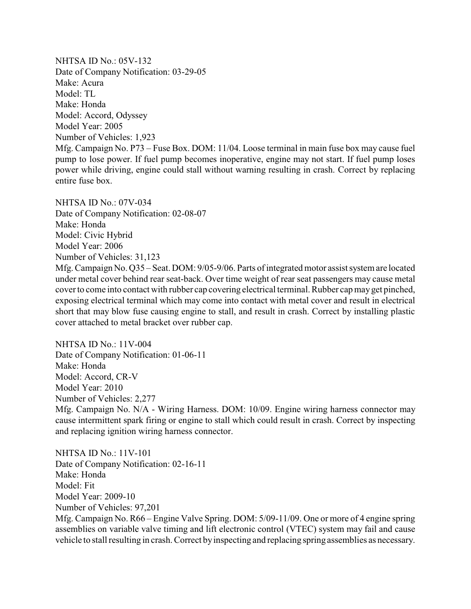NHTSA ID No.: 05V-132 Date of Company Notification: 03-29-05 Make: Acura Model: TL Make: Honda Model: Accord, Odyssey Model Year: 2005 Number of Vehicles: 1,923 Mfg. Campaign No. P73 – Fuse Box. DOM: 11/04. Loose terminal in main fuse box may cause fuel pump to lose power. If fuel pump becomes inoperative, engine may not start. If fuel pump loses power while driving, engine could stall without warning resulting in crash. Correct by replacing entire fuse box.

NHTSA ID No.: 07V-034 Date of Company Notification: 02-08-07 Make: Honda Model: Civic Hybrid Model Year: 2006 Number of Vehicles: 31,123 Mfg. Campaign No. Q35 – Seat. DOM: 9/05-9/06. Parts of integrated motor assist system are located under metal cover behind rear seat-back. Over time weight of rear seat passengers may cause metal coverto come into contact with rubber cap covering electrical terminal. Rubber cap mayget pinched, exposing electrical terminal which may come into contact with metal cover and result in electrical short that may blow fuse causing engine to stall, and result in crash. Correct by installing plastic cover attached to metal bracket over rubber cap.

NHTSA ID No.: 11V-004 Date of Company Notification: 01-06-11 Make: Honda Model: Accord, CR-V Model Year: 2010 Number of Vehicles: 2,277

Mfg. Campaign No. N/A - Wiring Harness. DOM: 10/09. Engine wiring harness connector may cause intermittent spark firing or engine to stall which could result in crash. Correct by inspecting and replacing ignition wiring harness connector.

NHTSA ID No.: 11V-101 Date of Company Notification: 02-16-11 Make: Honda Model: Fit Model Year: 2009-10 Number of Vehicles: 97,201 Mfg. Campaign No. R66 – Engine Valve Spring. DOM: 5/09-11/09. One or more of 4 engine spring assemblies on variable valve timing and lift electronic control (VTEC) system may fail and cause vehicle to stall resulting in crash. Correct by inspecting and replacing spring assemblies as necessary.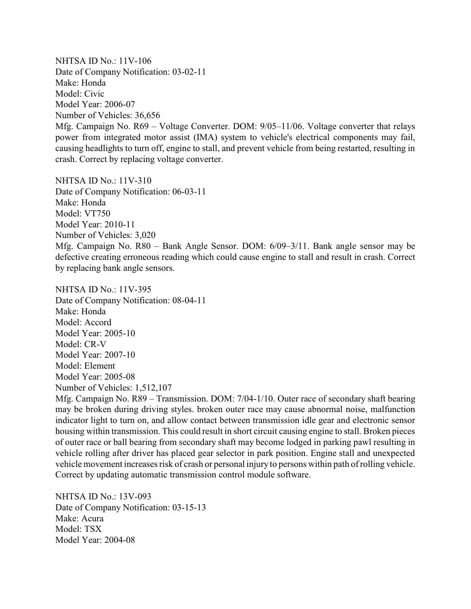NHTSA ID No.: 11V-106 Date of Company Notification: 03-02-11 Make: Honda Model: Civic Model Year: 2006-07 Number of Vehicles: 36,656 Mfg. Campaign No. R69 – Voltage Converter. DOM: 9/05–11/06. Voltage converter that relays power from integrated motor assist (IMA) system to vehicle's electrical components may fail, causing headlights to turn off, engine to stall, and prevent vehicle from being restarted, resulting in crash. Correct by replacing voltage converter.

NHTSA ID No.: 11V-310 Date of Company Notification: 06-03-11 Make: Honda Model: VT750 Model Year: 2010-11 Number of Vehicles: 3,020 Mfg. Campaign No. R80 – Bank Angle Sensor. DOM: 6/09–3/11. Bank angle sensor may be defective creating erroneous reading which could cause engine to stall and result in crash. Correct by replacing bank angle sensors.

NHTSA ID No.: 11V-395 Date of Company Notification: 08-04-11 Make: Honda Model: Accord Model Year: 2005-10 Model: CR-V Model Year: 2007-10 Model: Element Model Year: 2005-08 Number of Vehicles: 1,512,107

Mfg. Campaign No. R89 – Transmission. DOM: 7/04-1/10. Outer race of secondary shaft bearing may be broken during driving styles. broken outer race may cause abnormal noise, malfunction indicator light to turn on, and allow contact between transmission idle gear and electronic sensor housing within transmission. This could result in short circuit causing engine to stall. Broken pieces of outer race or ball bearing from secondary shaft may become lodged in parking pawl resulting in vehicle rolling after driver has placed gear selector in park position. Engine stall and unexpected vehicle movement increases risk of crash or personal injury to persons within path of rolling vehicle. Correct by updating automatic transmission control module software.

NHTSA ID No.: 13V-093 Date of Company Notification: 03-15-13 Make: Acura Model: TSX Model Year: 2004-08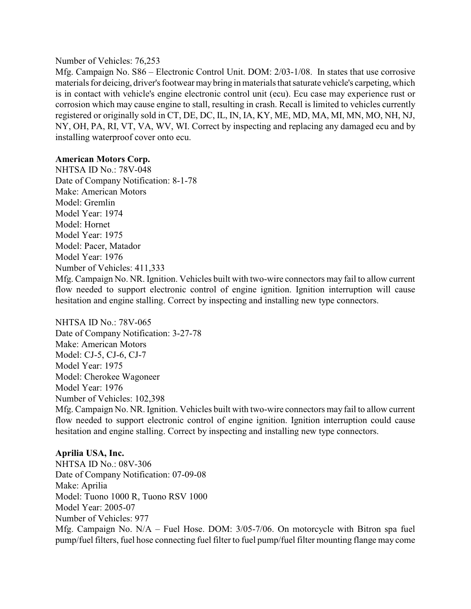#### Number of Vehicles: 76,253

Mfg. Campaign No. S86 – Electronic Control Unit. DOM: 2/03-1/08. In states that use corrosive materials for deicing, driver's footwear maybring in materials that saturate vehicle's carpeting, which is in contact with vehicle's engine electronic control unit (ecu). Ecu case may experience rust or corrosion which may cause engine to stall, resulting in crash. Recall is limited to vehicles currently registered or originally sold in CT, DE, DC, IL, IN, IA, KY, ME, MD, MA, MI, MN, MO, NH, NJ, NY, OH, PA, RI, VT, VA, WV, WI. Correct by inspecting and replacing any damaged ecu and by installing waterproof cover onto ecu.

### **American Motors Corp.**

NHTSA ID No.: 78V-048 Date of Company Notification: 8-1-78 Make: American Motors Model: Gremlin Model Year: 1974 Model: Hornet Model Year: 1975 Model: Pacer, Matador Model Year: 1976 Number of Vehicles: 411,333 Mfg. Campaign No. NR. Ignition. Vehicles built with two-wire connectors may fail to allow current flow needed to support electronic control of engine ignition. Ignition interruption will cause hesitation and engine stalling. Correct by inspecting and installing new type connectors.

### NHTSA ID No.: 78V-065

Date of Company Notification: 3-27-78 Make: American Motors Model: CJ-5, CJ-6, CJ-7 Model Year: 1975 Model: Cherokee Wagoneer Model Year: 1976 Number of Vehicles: 102,398

Mfg. Campaign No. NR. Ignition. Vehicles built with two-wire connectors may fail to allow current flow needed to support electronic control of engine ignition. Ignition interruption could cause hesitation and engine stalling. Correct by inspecting and installing new type connectors.

### **Aprilia USA, Inc.**

NHTSA ID No.: 08V-306 Date of Company Notification: 07-09-08 Make: Aprilia Model: Tuono 1000 R, Tuono RSV 1000 Model Year: 2005-07 Number of Vehicles: 977 Mfg. Campaign No. N/A – Fuel Hose. DOM: 3/05-7/06. On motorcycle with Bitron spa fuel pump/fuel filters, fuel hose connecting fuel filter to fuel pump/fuel filter mounting flange may come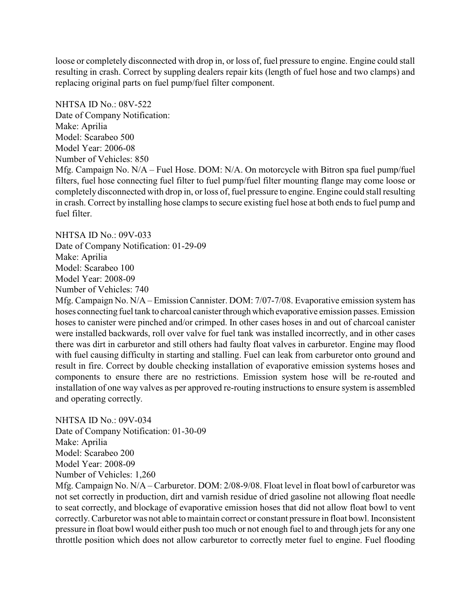loose or completely disconnected with drop in, or loss of, fuel pressure to engine. Engine could stall resulting in crash. Correct by suppling dealers repair kits (length of fuel hose and two clamps) and replacing original parts on fuel pump/fuel filter component.

NHTSA ID No.: 08V-522 Date of Company Notification: Make: Aprilia Model: Scarabeo 500 Model Year: 2006-08 Number of Vehicles: 850 Mfg. Campaign No. N/A – Fuel Hose. DOM: N/A. On motorcycle with Bitron spa fuel pump/fuel filters, fuel hose connecting fuel filter to fuel pump/fuel filter mounting flange may come loose or completely disconnected with drop in, or loss of, fuel pressure to engine. Engine could stall resulting in crash. Correct by installing hose clamps to secure existing fuel hose at both ends to fuel pump and fuel filter.

NHTSA ID No.: 09V-033

Date of Company Notification: 01-29-09 Make: Aprilia

Model: Scarabeo 100

Model Year: 2008-09

Number of Vehicles: 740

Mfg. Campaign No. N/A – Emission Cannister. DOM: 7/07-7/08. Evaporative emission system has hoses connecting fuel tank to charcoal canister through which evaporative emission passes. Emission hoses to canister were pinched and/or crimped. In other cases hoses in and out of charcoal canister were installed backwards, roll over valve for fuel tank was installed incorrectly, and in other cases there was dirt in carburetor and still others had faulty float valves in carburetor. Engine may flood with fuel causing difficulty in starting and stalling. Fuel can leak from carburetor onto ground and result in fire. Correct by double checking installation of evaporative emission systems hoses and components to ensure there are no restrictions. Emission system hose will be re-routed and installation of one way valves as per approved re-routing instructions to ensure system is assembled and operating correctly.

NHTSA ID No.: 09V-034

Date of Company Notification: 01-30-09 Make: Aprilia Model: Scarabeo 200 Model Year: 2008-09 Number of Vehicles: 1,260

Mfg. Campaign No. N/A – Carburetor. DOM: 2/08-9/08. Float level in float bowl of carburetor was not set correctly in production, dirt and varnish residue of dried gasoline not allowing float needle to seat correctly, and blockage of evaporative emission hoses that did not allow float bowl to vent correctly. Carburetor was not able to maintain correct or constant pressure in float bowl. Inconsistent pressure in float bowl would either push too much or not enough fuel to and through jets for any one throttle position which does not allow carburetor to correctly meter fuel to engine. Fuel flooding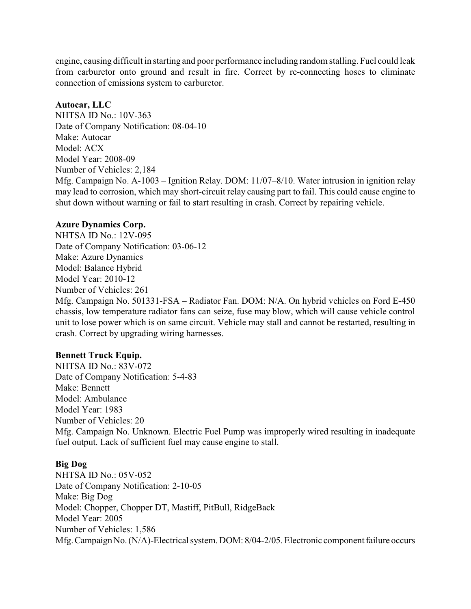engine, causing difficult in starting and poor performance including random stalling. Fuel could leak from carburetor onto ground and result in fire. Correct by re-connecting hoses to eliminate connection of emissions system to carburetor.

## **Autocar, LLC**

NHTSA ID No.: 10V-363 Date of Company Notification: 08-04-10 Make: Autocar Model: ACX Model Year: 2008-09 Number of Vehicles: 2,184 Mfg. Campaign No. A-1003 – Ignition Relay. DOM: 11/07–8/10. Water intrusion in ignition relay may lead to corrosion, which may short-circuit relay causing part to fail. This could cause engine to shut down without warning or fail to start resulting in crash. Correct by repairing vehicle.

# **Azure Dynamics Corp.**

NHTSA ID No.: 12V-095 Date of Company Notification: 03-06-12 Make: Azure Dynamics Model: Balance Hybrid Model Year: 2010-12 Number of Vehicles: 261 Mfg. Campaign No. 501331-FSA – Radiator Fan. DOM: N/A. On hybrid vehicles on Ford E-450 chassis, low temperature radiator fans can seize, fuse may blow, which will cause vehicle control unit to lose power which is on same circuit. Vehicle may stall and cannot be restarted, resulting in crash. Correct by upgrading wiring harnesses.

# **Bennett Truck Equip.**

NHTSA ID No.: 83V-072 Date of Company Notification: 5-4-83 Make: Bennett Model: Ambulance Model Year: 1983 Number of Vehicles: 20 Mfg. Campaign No. Unknown. Electric Fuel Pump was improperly wired resulting in inadequate fuel output. Lack of sufficient fuel may cause engine to stall.

### **Big Dog**

NHTSA ID No.: 05V-052 Date of Company Notification: 2-10-05 Make: Big Dog Model: Chopper, Chopper DT, Mastiff, PitBull, RidgeBack Model Year: 2005 Number of Vehicles: 1,586 Mfg.Campaign No. (N/A)-Electrical system. DOM: 8/04-2/05. Electronic component failure occurs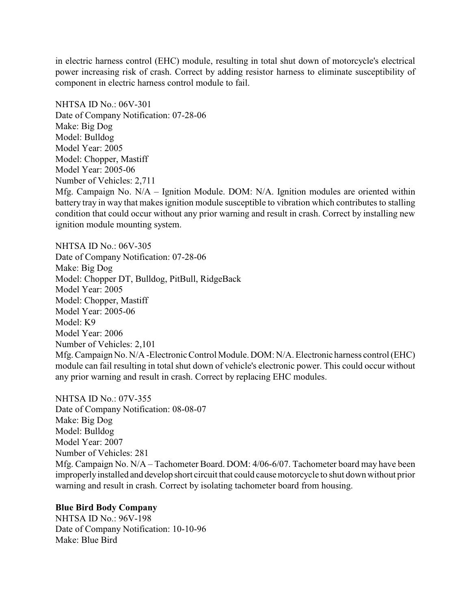in electric harness control (EHC) module, resulting in total shut down of motorcycle's electrical power increasing risk of crash. Correct by adding resistor harness to eliminate susceptibility of component in electric harness control module to fail.

NHTSA ID No.: 06V-301 Date of Company Notification: 07-28-06 Make: Big Dog Model: Bulldog Model Year: 2005 Model: Chopper, Mastiff Model Year: 2005-06 Number of Vehicles: 2,711 Mfg. Campaign No. N/A – Ignition Module. DOM: N/A. Ignition modules are oriented within battery tray in way that makes ignition module susceptible to vibration which contributes to stalling condition that could occur without any prior warning and result in crash. Correct by installing new ignition module mounting system.

NHTSA ID No.: 06V-305 Date of Company Notification: 07-28-06 Make: Big Dog Model: Chopper DT, Bulldog, PitBull, RidgeBack Model Year: 2005 Model: Chopper, Mastiff Model Year: 2005-06 Model: K9 Model Year: 2006 Number of Vehicles: 2,101 Mfg. Campaign No. N/A -Electronic Control Module. DOM: N/A. Electronic harness control (EHC) module can fail resulting in total shut down of vehicle's electronic power. This could occur without any prior warning and result in crash. Correct by replacing EHC modules.

NHTSA ID No.: 07V-355 Date of Company Notification: 08-08-07 Make: Big Dog Model: Bulldog Model Year: 2007 Number of Vehicles: 281 Mfg. Campaign No. N/A – Tachometer Board. DOM: 4/06-6/07. Tachometer board may have been improperlyinstalled and develop short circuit that could causemotorcycle to shut down without prior warning and result in crash. Correct by isolating tachometer board from housing.

### **Blue Bird Body Company**

NHTSA ID No.: 96V-198 Date of Company Notification: 10-10-96 Make: Blue Bird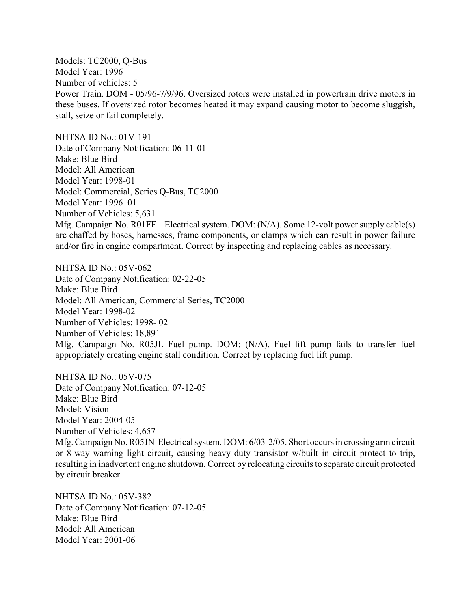Models: TC2000, Q-Bus Model Year: 1996 Number of vehicles: 5 Power Train. DOM - 05/96-7/9/96. Oversized rotors were installed in powertrain drive motors in these buses. If oversized rotor becomes heated it may expand causing motor to become sluggish, stall, seize or fail completely.

NHTSA ID No.: 01V-191 Date of Company Notification: 06-11-01 Make: Blue Bird Model: All American Model Year: 1998-01 Model: Commercial, Series Q-Bus, TC2000 Model Year: 1996–01 Number of Vehicles: 5,631 Mfg. Campaign No. R01FF – Electrical system. DOM: (N/A). Some 12-volt power supply cable(s) are chaffed by hoses, harnesses, frame components, or clamps which can result in power failure and/or fire in engine compartment. Correct by inspecting and replacing cables as necessary.

NHTSA ID No.: 05V-062 Date of Company Notification: 02-22-05 Make: Blue Bird Model: All American, Commercial Series, TC2000 Model Year: 1998-02 Number of Vehicles: 1998- 02 Number of Vehicles: 18,891 Mfg. Campaign No. R05JL–Fuel pump. DOM: (N/A). Fuel lift pump fails to transfer fuel appropriately creating engine stall condition. Correct by replacing fuel lift pump.

NHTSA ID No.: 05V-075 Date of Company Notification: 07-12-05 Make: Blue Bird Model: Vision Model Year: 2004-05 Number of Vehicles: 4,657 Mfg. Campaign No. R05JN-Electrical system. DOM: 6/03-2/05. Short occurs in crossing arm circuit or 8-way warning light circuit, causing heavy duty transistor w/built in circuit protect to trip, resulting in inadvertent engine shutdown. Correct by relocating circuits to separate circuit protected by circuit breaker.

NHTSA ID No.: 05V-382 Date of Company Notification: 07-12-05 Make: Blue Bird Model: All American Model Year: 2001-06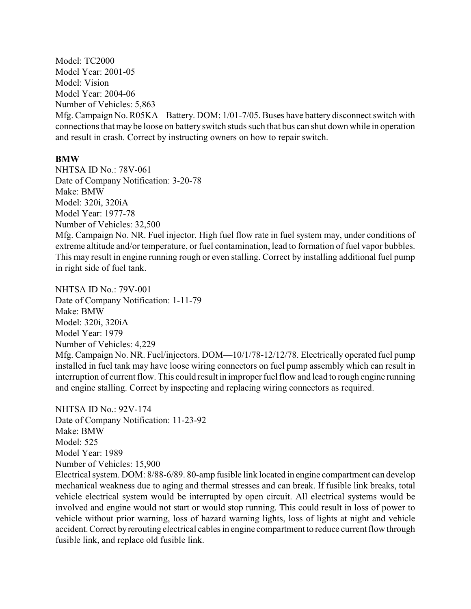Model: TC2000 Model Year: 2001-05 Model: Vision Model Year: 2004-06 Number of Vehicles: 5,863 Mfg. Campaign No. R05KA – Battery. DOM: 1/01-7/05. Buses have battery disconnect switch with connections that maybe loose on battery switch studs such that bus can shut down while in operation and result in crash. Correct by instructing owners on how to repair switch.

#### **BMW**

NHTSA ID No.: 78V-061 Date of Company Notification: 3-20-78 Make: BMW Model: 320i, 320iA Model Year: 1977-78 Number of Vehicles: 32,500

Mfg. Campaign No. NR. Fuel injector. High fuel flow rate in fuel system may, under conditions of extreme altitude and/or temperature, or fuel contamination, lead to formation of fuel vapor bubbles. This may result in engine running rough or even stalling. Correct by installing additional fuel pump in right side of fuel tank.

NHTSA ID No.: 79V-001 Date of Company Notification: 1-11-79 Make: BMW Model: 320i, 320iA Model Year: 1979 Number of Vehicles: 4,229 Mfg. Campaign No. NR. Fuel/injectors. DOM—10/1/78-12/12/78. Electrically operated fuel pump installed in fuel tank may have loose wiring connectors on fuel pump assembly which can result in interruption of current flow. This could result in improper fuel flow and lead to rough engine running and engine stalling. Correct by inspecting and replacing wiring connectors as required.

NHTSA ID No.: 92V-174 Date of Company Notification: 11-23-92 Make: BMW Model: 525 Model Year: 1989 Number of Vehicles: 15,900

Electrical system. DOM: 8/88-6/89. 80-amp fusible link located in engine compartment can develop mechanical weakness due to aging and thermal stresses and can break. If fusible link breaks, total vehicle electrical system would be interrupted by open circuit. All electrical systems would be involved and engine would not start or would stop running. This could result in loss of power to vehicle without prior warning, loss of hazard warning lights, loss of lights at night and vehicle accident.Correct byrerouting electrical cables in engine compartment to reduce current flow through fusible link, and replace old fusible link.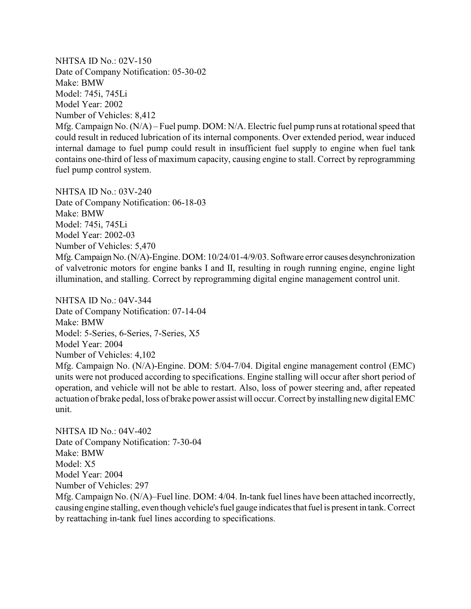NHTSA ID No.: 02V-150 Date of Company Notification: 05-30-02 Make: BMW Model: 745i, 745Li Model Year: 2002 Number of Vehicles: 8,412 Mfg. Campaign No. (N/A) – Fuel pump. DOM: N/A. Electric fuel pump runs at rotational speed that could result in reduced lubrication of its internal components. Over extended period, wear induced internal damage to fuel pump could result in insufficient fuel supply to engine when fuel tank contains one-third of less of maximum capacity, causing engine to stall. Correct by reprogramming fuel pump control system.

NHTSA ID No.: 03V-240 Date of Company Notification: 06-18-03 Make: BMW Model: 745i, 745Li Model Year: 2002-03 Number of Vehicles: 5,470 Mfg.CampaignNo.(N/A)-Engine. DOM: 10/24/01-4/9/03. Software error causes desynchronization of valvetronic motors for engine banks I and II, resulting in rough running engine, engine light illumination, and stalling. Correct by reprogramming digital engine management control unit.

NHTSA ID No.: 04V-344 Date of Company Notification: 07-14-04 Make: BMW Model: 5-Series, 6-Series, 7-Series, X5 Model Year: 2004 Number of Vehicles: 4,102 Mfg. Campaign No. (N/A)-Engine. DOM: 5/04-7/04. Digital engine management control (EMC) units were not produced according to specifications. Engine stalling will occur after short period of operation, and vehicle will not be able to restart. Also, loss of power steering and, after repeated actuation of brake pedal, loss of brake power assist will occur. Correct byinstalling new digital EMC unit.

NHTSA ID No.: 04V-402 Date of Company Notification: 7-30-04 Make: BMW Model: X5 Model Year: 2004 Number of Vehicles: 297

Mfg. Campaign No. (N/A)–Fuel line. DOM: 4/04. In-tank fuel lines have been attached incorrectly, causing engine stalling, even though vehicle's fuel gauge indicates that fuel is present in tank. Correct by reattaching in-tank fuel lines according to specifications.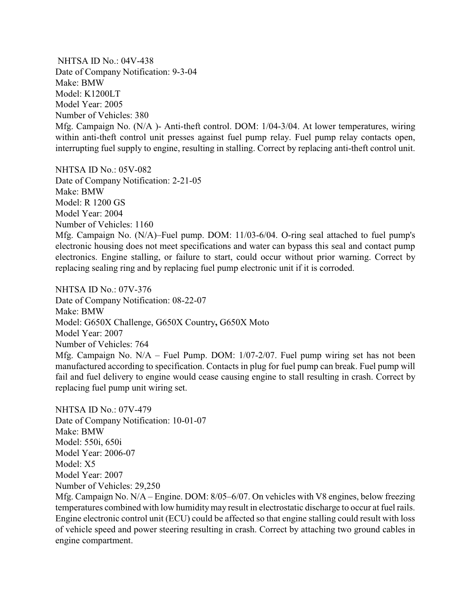NHTSA ID No.: 04V-438 Date of Company Notification: 9-3-04 Make: BMW Model: K1200LT Model Year: 2005 Number of Vehicles: 380 Mfg. Campaign No. (N/A )- Anti-theft control. DOM: 1/04-3/04. At lower temperatures, wiring within anti-theft control unit presses against fuel pump relay. Fuel pump relay contacts open, interrupting fuel supply to engine, resulting in stalling. Correct by replacing anti-theft control unit.

NHTSA ID No.: 05V-082 Date of Company Notification: 2-21-05 Make: BMW Model: R 1200 GS Model Year: 2004 Number of Vehicles: 1160 Mfg. Campaign No. (N/A)–Fuel pump. DOM: 11/03-6/04. O-ring seal attached to fuel pump's electronic housing does not meet specifications and water can bypass this seal and contact pump electronics. Engine stalling, or failure to start, could occur without prior warning. Correct by replacing sealing ring and by replacing fuel pump electronic unit if it is corroded.

NHTSA ID No.: 07V-376 Date of Company Notification: 08-22-07 Make: BMW Model: G650X Challenge, G650X Country**,** G650X Moto Model Year: 2007 Number of Vehicles: 764 Mfg. Campaign No. N/A – Fuel Pump. DOM: 1/07-2/07. Fuel pump wiring set has not been manufactured according to specification. Contacts in plug for fuel pump can break. Fuel pump will fail and fuel delivery to engine would cease causing engine to stall resulting in crash. Correct by replacing fuel pump unit wiring set.

NHTSA ID No.: 07V-479 Date of Company Notification: 10-01-07 Make: BMW Model: 550i, 650i Model Year: 2006-07 Model: X5 Model Year: 2007 Number of Vehicles: 29,250

Mfg. Campaign No. N/A – Engine. DOM: 8/05–6/07. On vehicles with V8 engines, below freezing temperatures combined with low humiditymay result in electrostatic discharge to occur at fuel rails. Engine electronic control unit (ECU) could be affected so that engine stalling could result with loss of vehicle speed and power steering resulting in crash. Correct by attaching two ground cables in engine compartment.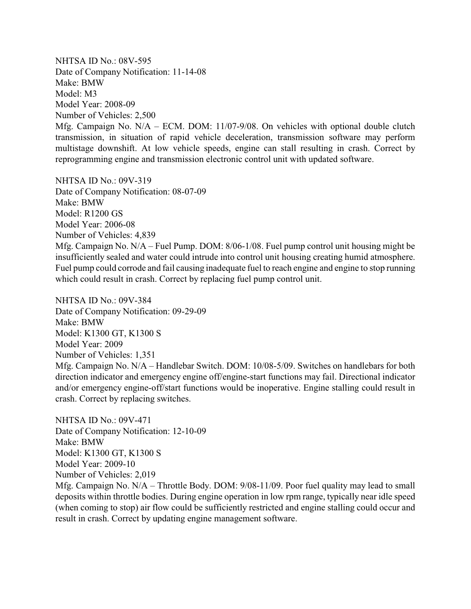NHTSA ID No.: 08V-595 Date of Company Notification: 11-14-08 Make: BMW Model: M3 Model Year: 2008-09 Number of Vehicles: 2,500

Mfg. Campaign No. N/A – ECM. DOM: 11/07-9/08. On vehicles with optional double clutch transmission, in situation of rapid vehicle deceleration, transmission software may perform multistage downshift. At low vehicle speeds, engine can stall resulting in crash. Correct by reprogramming engine and transmission electronic control unit with updated software.

NHTSA ID No.: 09V-319 Date of Company Notification: 08-07-09 Make: BMW Model: R1200 GS Model Year: 2006-08 Number of Vehicles: 4,839 Mfg. Campaign No. N/A – Fuel Pump. DOM: 8/06-1/08. Fuel pump control unit housing might be insufficiently sealed and water could intrude into control unit housing creating humid atmosphere. Fuel pump could corrode and fail causing inadequate fuel to reach engine and engine to stop running which could result in crash. Correct by replacing fuel pump control unit.

NHTSA ID No.: 09V-384 Date of Company Notification: 09-29-09 Make: BMW Model: K1300 GT, K1300 S Model Year: 2009 Number of Vehicles: 1,351 Mfg. Campaign No. N/A – Handlebar Switch. DOM: 10/08-5/09. Switches on handlebars for both direction indicator and emergency engine off/engine-start functions may fail. Directional indicator and/or emergency engine-off/start functions would be inoperative. Engine stalling could result in crash. Correct by replacing switches.

NHTSA ID No.: 09V-471 Date of Company Notification: 12-10-09 Make: BMW Model: K1300 GT, K1300 S Model Year: 2009-10 Number of Vehicles: 2,019

Mfg. Campaign No. N/A – Throttle Body. DOM: 9/08-11/09. Poor fuel quality may lead to small deposits within throttle bodies. During engine operation in low rpm range, typically near idle speed (when coming to stop) air flow could be sufficiently restricted and engine stalling could occur and result in crash. Correct by updating engine management software.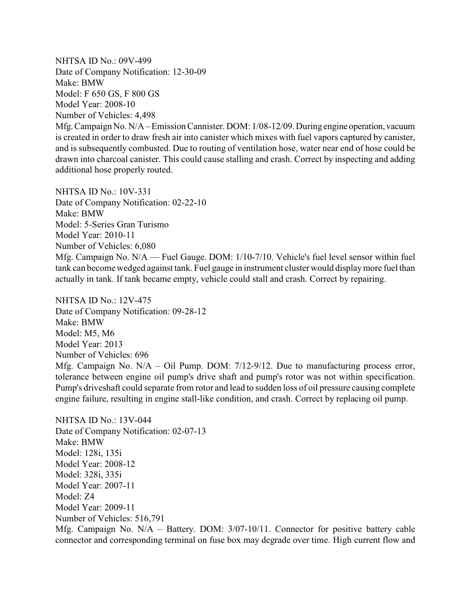NHTSA ID No.: 09V-499 Date of Company Notification: 12-30-09 Make: BMW Model: F 650 GS, F 800 GS Model Year: 2008-10 Number of Vehicles: 4,498 Mfg.Campaign No. N/A – Emission Cannister. DOM: 1/08-12/09. During engine operation, vacuum is created in order to draw fresh air into canister which mixes with fuel vapors captured by canister, and is subsequently combusted. Due to routing of ventilation hose, water near end of hose could be drawn into charcoal canister. This could cause stalling and crash. Correct by inspecting and adding additional hose properly routed.

NHTSA ID No.: 10V-331 Date of Company Notification: 02-22-10 Make: BMW Model: 5-Series Gran Turismo Model Year: 2010-11 Number of Vehicles: 6,080 Mfg. Campaign No. N/A — Fuel Gauge. DOM: 1/10-7/10. Vehicle's fuel level sensor within fuel tank can become wedged against tank. Fuel gauge in instrument cluster would displaymore fuel than actually in tank. If tank became empty, vehicle could stall and crash. Correct by repairing.

NHTSA ID No.: 12V-475 Date of Company Notification: 09-28-12 Make: BMW Model: M5, M6 Model Year: 2013 Number of Vehicles: 696 Mfg. Campaign No. N/A – Oil Pump. DOM: 7/12-9/12. Due to manufacturing process error, tolerance between engine oil pump's drive shaft and pump's rotor was not within specification. Pump's driveshaft could separate from rotor and lead to sudden loss of oil pressure causing complete engine failure, resulting in engine stall-like condition, and crash. Correct by replacing oil pump.

NHTSA ID No.: 13V-044 Date of Company Notification: 02-07-13 Make: BMW Model: 128i, 135i Model Year: 2008-12 Model: 328i, 335i Model Year: 2007-11 Model: Z4 Model Year: 2009-11 Number of Vehicles: 516,791

Mfg. Campaign No. N/A – Battery. DOM: 3/07-10/11. Connector for positive battery cable connector and corresponding terminal on fuse box may degrade over time. High current flow and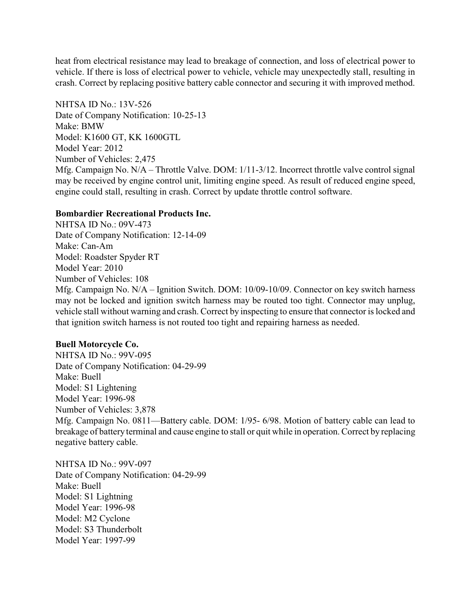heat from electrical resistance may lead to breakage of connection, and loss of electrical power to vehicle. If there is loss of electrical power to vehicle, vehicle may unexpectedly stall, resulting in crash. Correct by replacing positive battery cable connector and securing it with improved method.

NHTSA ID No.: 13V-526 Date of Company Notification: 10-25-13 Make: BMW Model: K1600 GT, KK 1600GTL Model Year: 2012 Number of Vehicles: 2,475 Mfg. Campaign No. N/A – Throttle Valve. DOM: 1/11-3/12. Incorrect throttle valve control signal may be received by engine control unit, limiting engine speed. As result of reduced engine speed, engine could stall, resulting in crash. Correct by update throttle control software.

# **Bombardier Recreational Products Inc.**

NHTSA ID No.: 09V-473 Date of Company Notification: 12-14-09 Make: Can-Am Model: Roadster Spyder RT Model Year: 2010 Number of Vehicles: 108 Mfg. Campaign No. N/A – Ignition Switch. DOM: 10/09-10/09. Connector on key switch harness may not be locked and ignition switch harness may be routed too tight. Connector may unplug, vehicle stall without warning and crash. Correct by inspecting to ensure that connector is locked and that ignition switch harness is not routed too tight and repairing harness as needed.

### **Buell Motorcycle Co.**

NHTSA ID No.: 99V-095 Date of Company Notification: 04-29-99 Make: Buell Model: S1 Lightening Model Year: 1996-98 Number of Vehicles: 3,878 Mfg. Campaign No. 0811—Battery cable. DOM: 1/95- 6/98. Motion of battery cable can lead to breakage of battery terminal and cause engine to stall or quit while in operation. Correct by replacing negative battery cable.

NHTSA ID No.: 99V-097 Date of Company Notification: 04-29-99 Make: Buell Model: S1 Lightning Model Year: 1996-98 Model: M2 Cyclone Model: S3 Thunderbolt Model Year: 1997-99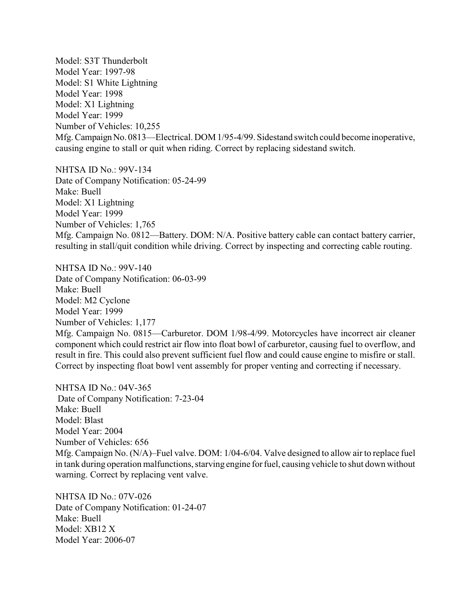Model: S3T Thunderbolt Model Year: 1997-98 Model: S1 White Lightning Model Year: 1998 Model: X1 Lightning Model Year: 1999 Number of Vehicles: 10,255 Mfg. Campaign No. 0813—Electrical. DOM 1/95-4/99. Sidestand switch could become inoperative, causing engine to stall or quit when riding. Correct by replacing sidestand switch.

NHTSA ID No.: 99V-134 Date of Company Notification: 05-24-99 Make: Buell Model: X1 Lightning Model Year: 1999 Number of Vehicles: 1,765 Mfg. Campaign No. 0812—Battery. DOM: N/A. Positive battery cable can contact battery carrier, resulting in stall/quit condition while driving. Correct by inspecting and correcting cable routing.

NHTSA ID No.: 99V-140 Date of Company Notification: 06-03-99 Make: Buell Model: M2 Cyclone Model Year: 1999 Number of Vehicles: 1,177 Mfg. Campaign No. 0815—Carburetor. DOM 1/98-4/99. Motorcycles have incorrect air cleaner component which could restrict air flow into float bowl of carburetor, causing fuel to overflow, and result in fire. This could also prevent sufficient fuel flow and could cause engine to misfire or stall. Correct by inspecting float bowl vent assembly for proper venting and correcting if necessary.

NHTSA ID No.: 04V-365 Date of Company Notification: 7-23-04 Make: Buell Model: Blast Model Year: 2004 Number of Vehicles: 656 Mfg. Campaign No. (N/A)–Fuel valve. DOM: 1/04-6/04. Valve designed to allow air to replace fuel in tank during operation malfunctions, starving engine for fuel, causing vehicle to shut down without warning. Correct by replacing vent valve.

NHTSA ID No.: 07V-026 Date of Company Notification: 01-24-07 Make: Buell Model: XB12 X Model Year: 2006-07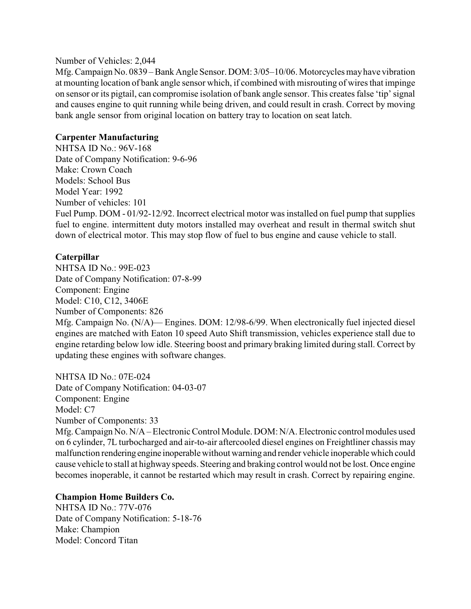#### Number of Vehicles: 2,044

Mfg. Campaign No. 0839 – Bank Angle Sensor. DOM: 3/05–10/06. Motorcycles mayhave vibration at mounting location of bank angle sensor which, if combined with misrouting of wires that impinge on sensor or its pigtail, can compromise isolation of bank angle sensor. This creates false 'tip' signal and causes engine to quit running while being driven, and could result in crash. Correct by moving bank angle sensor from original location on battery tray to location on seat latch.

# **Carpenter Manufacturing**

NHTSA ID No.: 96V-168 Date of Company Notification: 9-6-96 Make: Crown Coach Models: School Bus Model Year: 1992 Number of vehicles: 101 Fuel Pump. DOM - 01/92-12/92. Incorrect electrical motor was installed on fuel pump that supplies fuel to engine. intermittent duty motors installed may overheat and result in thermal switch shut down of electrical motor. This may stop flow of fuel to bus engine and cause vehicle to stall.

# **Caterpillar**

NHTSA ID No.: 99E-023 Date of Company Notification: 07-8-99 Component: Engine Model: C10, C12, 3406E Number of Components: 826

Mfg. Campaign No. (N/A)— Engines. DOM: 12/98-6/99. When electronically fuel injected diesel engines are matched with Eaton 10 speed Auto Shift transmission, vehicles experience stall due to engine retarding below low idle. Steering boost and primary braking limited during stall. Correct by updating these engines with software changes.

NHTSA ID No.: 07E-024 Date of Company Notification: 04-03-07 Component: Engine Model: C7 Number of Components: 33

Mfg. Campaign No. N/A – Electronic Control Module. DOM: N/A. Electronic control modules used on 6 cylinder, 7L turbocharged and air-to-air aftercooled diesel engines on Freightliner chassis may malfunction rendering engine inoperable without warning and render vehicle inoperable which could cause vehicle to stall at highway speeds. Steering and braking control would not be lost. Once engine becomes inoperable, it cannot be restarted which may result in crash. Correct by repairing engine.

# **Champion Home Builders Co.**

NHTSA ID No.: 77V-076 Date of Company Notification: 5-18-76 Make: Champion Model: Concord Titan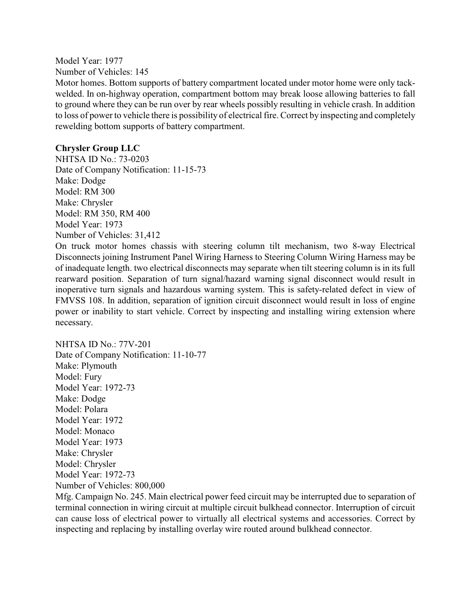Model Year: 1977 Number of Vehicles: 145

Motor homes. Bottom supports of battery compartment located under motor home were only tackwelded. In on-highway operation, compartment bottom may break loose allowing batteries to fall to ground where they can be run over by rear wheels possibly resulting in vehicle crash. In addition to loss of power to vehicle there is possibility of electrical fire. Correct by inspecting and completely rewelding bottom supports of battery compartment.

# **Chrysler Group LLC**

NHTSA ID No.: 73-0203 Date of Company Notification: 11-15-73 Make: Dodge Model: RM 300 Make: Chrysler Model: RM 350, RM 400 Model Year: 1973 Number of Vehicles: 31,412

On truck motor homes chassis with steering column tilt mechanism, two 8-way Electrical Disconnects joining Instrument Panel Wiring Harness to Steering Column Wiring Harness may be of inadequate length. two electrical disconnects may separate when tilt steering column is in its full rearward position. Separation of turn signal/hazard warning signal disconnect would result in inoperative turn signals and hazardous warning system. This is safety-related defect in view of FMVSS 108. In addition, separation of ignition circuit disconnect would result in loss of engine power or inability to start vehicle. Correct by inspecting and installing wiring extension where necessary.

NHTSA ID No.: 77V-201 Date of Company Notification: 11-10-77 Make: Plymouth Model: Fury Model Year: 1972-73 Make: Dodge Model: Polara Model Year: 1972 Model: Monaco Model Year: 1973 Make: Chrysler Model: Chrysler Model Year: 1972-73 Number of Vehicles: 800,000

Mfg. Campaign No. 245. Main electrical power feed circuit may be interrupted due to separation of terminal connection in wiring circuit at multiple circuit bulkhead connector. Interruption of circuit can cause loss of electrical power to virtually all electrical systems and accessories. Correct by inspecting and replacing by installing overlay wire routed around bulkhead connector.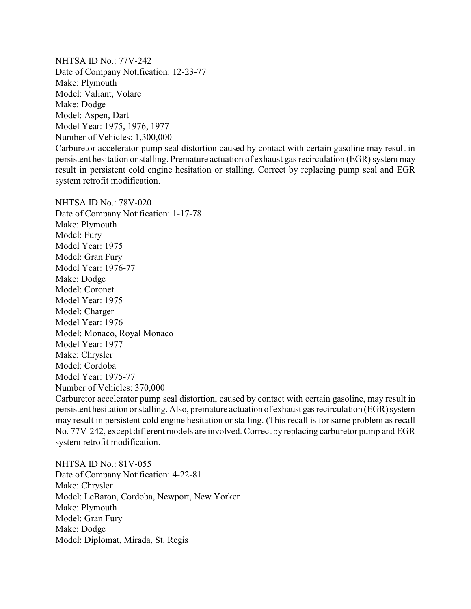NHTSA ID No.: 77V-242 Date of Company Notification: 12-23-77 Make: Plymouth Model: Valiant, Volare Make: Dodge Model: Aspen, Dart Model Year: 1975, 1976, 1977 Number of Vehicles: 1,300,000

Carburetor accelerator pump seal distortion caused by contact with certain gasoline may result in persistent hesitation or stalling. Premature actuation of exhaust gas recirculation (EGR) system may result in persistent cold engine hesitation or stalling. Correct by replacing pump seal and EGR system retrofit modification.

NHTSA ID No.: 78V-020 Date of Company Notification: 1-17-78 Make: Plymouth Model: Fury Model Year: 1975 Model: Gran Fury Model Year: 1976-77 Make: Dodge Model: Coronet Model Year: 1975 Model: Charger Model Year: 1976 Model: Monaco, Royal Monaco Model Year: 1977 Make: Chrysler Model: Cordoba Model Year: 1975-77 Number of Vehicles: 370,000

Carburetor accelerator pump seal distortion, caused by contact with certain gasoline, may result in persistent hesitation or stalling. Also, premature actuation of exhaust gasrecirculation (EGR) system may result in persistent cold engine hesitation or stalling. (This recall is for same problem as recall No. 77V-242, except different models are involved. Correct by replacing carburetor pump and EGR system retrofit modification.

NHTSA ID No.: 81V-055 Date of Company Notification: 4-22-81 Make: Chrysler Model: LeBaron, Cordoba, Newport, New Yorker Make: Plymouth Model: Gran Fury Make: Dodge Model: Diplomat, Mirada, St. Regis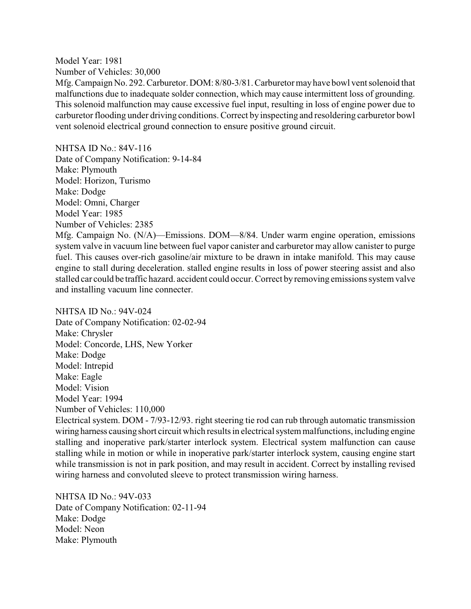Model Year: 1981 Number of Vehicles: 30,000

Mfg. Campaign No. 292. Carburetor. DOM: 8/80-3/81. Carburetor mayhave bowl vent solenoid that malfunctions due to inadequate solder connection, which may cause intermittent loss of grounding. This solenoid malfunction may cause excessive fuel input, resulting in loss of engine power due to carburetor flooding under driving conditions. Correct by inspecting and resoldering carburetor bowl vent solenoid electrical ground connection to ensure positive ground circuit.

NHTSA ID No.: 84V-116 Date of Company Notification: 9-14-84 Make: Plymouth Model: Horizon, Turismo Make: Dodge Model: Omni, Charger Model Year: 1985 Number of Vehicles: 2385

Mfg. Campaign No. (N/A)—Emissions. DOM—8/84. Under warm engine operation, emissions system valve in vacuum line between fuel vapor canister and carburetor may allow canister to purge fuel. This causes over-rich gasoline/air mixture to be drawn in intake manifold. This may cause engine to stall during deceleration. stalled engine results in loss of power steering assist and also stalled car could be traffic hazard. accident could occur. Correct byremoving emissions system valve and installing vacuum line connecter.

NHTSA ID No $\cdot$  94V-024

Date of Company Notification: 02-02-94 Make: Chrysler Model: Concorde, LHS, New Yorker Make: Dodge Model: Intrepid Make: Eagle Model: Vision Model Year: 1994 Number of Vehicles: 110,000

Electrical system. DOM - 7/93-12/93. right steering tie rod can rub through automatic transmission wiring harness causing short circuit which results in electrical system malfunctions, including engine stalling and inoperative park/starter interlock system. Electrical system malfunction can cause stalling while in motion or while in inoperative park/starter interlock system, causing engine start while transmission is not in park position, and may result in accident. Correct by installing revised wiring harness and convoluted sleeve to protect transmission wiring harness.

NHTSA ID No.: 94V-033 Date of Company Notification: 02-11-94 Make: Dodge Model: Neon Make: Plymouth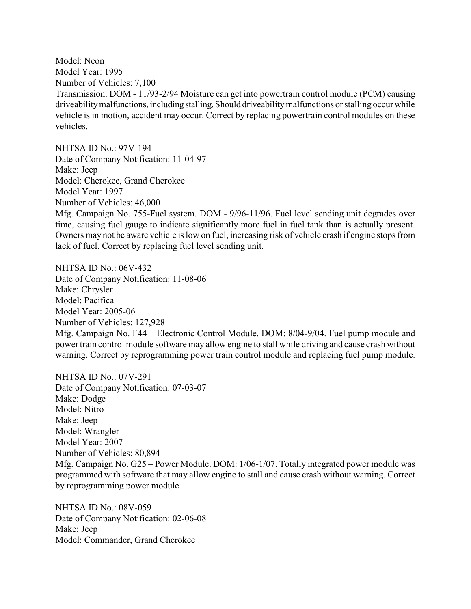Model: Neon Model Year: 1995 Number of Vehicles: 7,100 Transmission. DOM - 11/93-2/94 Moisture can get into powertrain control module (PCM) causing driveability malfunctions, including stalling. Should driveability malfunctions or stalling occur while vehicle is in motion, accident may occur. Correct by replacing powertrain control modules on these vehicles.

NHTSA ID No.: 97V-194 Date of Company Notification: 11-04-97 Make: Jeep Model: Cherokee, Grand Cherokee Model Year: 1997 Number of Vehicles: 46,000 Mfg. Campaign No. 755-Fuel system. DOM - 9/96-11/96. Fuel level sending unit degrades over time, causing fuel gauge to indicate significantly more fuel in fuel tank than is actually present. Owners may not be aware vehicle is low on fuel, increasing risk of vehicle crash if engine stops from lack of fuel. Correct by replacing fuel level sending unit.

NHTSA ID No.: 06V-432 Date of Company Notification: 11-08-06 Make: Chrysler Model: Pacifica Model Year: 2005-06 Number of Vehicles: 127,928 Mfg. Campaign No. F44 – Electronic Control Module. DOM: 8/04-9/04. Fuel pump module and powertrain control module software may allow engine to stall while driving and cause crash without warning. Correct by reprogramming power train control module and replacing fuel pump module.

NHTSA ID No.: 07V-291 Date of Company Notification: 07-03-07 Make: Dodge Model: Nitro Make: Jeep Model: Wrangler Model Year: 2007 Number of Vehicles: 80,894 Mfg. Campaign No. G25 – Power Module. DOM: 1/06-1/07. Totally integrated power module was programmed with software that may allow engine to stall and cause crash without warning. Correct by reprogramming power module.

NHTSA ID No.: 08V-059 Date of Company Notification: 02-06-08 Make: Jeep Model: Commander, Grand Cherokee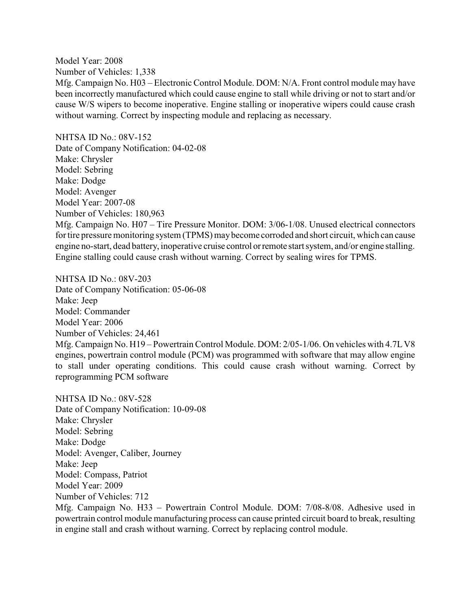Model Year: 2008 Number of Vehicles: 1,338 Mfg. Campaign No. H03 – Electronic Control Module. DOM: N/A. Front control module may have been incorrectly manufactured which could cause engine to stall while driving or not to start and/or cause W/S wipers to become inoperative. Engine stalling or inoperative wipers could cause crash without warning. Correct by inspecting module and replacing as necessary.

NHTSA ID No.: 08V-152 Date of Company Notification: 04-02-08 Make: Chrysler Model: Sebring Make: Dodge Model: Avenger Model Year: 2007-08 Number of Vehicles: 180,963 Mfg. Campaign No. H07 – Tire Pressure Monitor. DOM: 3/06-1/08. Unused electrical connectors for tire pressure monitoring system (TPMS) may become corroded and short circuit, which can cause engine no-start, dead battery, inoperative cruise control orremote start system, and/or engine stalling. Engine stalling could cause crash without warning. Correct by sealing wires for TPMS.

NHTSA ID No.: 08V-203 Date of Company Notification: 05-06-08 Make: Jeep Model: Commander Model Year: 2006 Number of Vehicles: 24,461 Mfg. Campaign No. H19 – Powertrain Control Module. DOM: 2/05-1/06. On vehicles with 4.7LV8 engines, powertrain control module (PCM) was programmed with software that may allow engine to stall under operating conditions. This could cause crash without warning. Correct by reprogramming PCM software

NHTSA ID No.: 08V-528 Date of Company Notification: 10-09-08 Make: Chrysler Model: Sebring Make: Dodge Model: Avenger, Caliber, Journey Make: Jeep Model: Compass, Patriot Model Year: 2009 Number of Vehicles: 712 Mfg. Campaign No. H33 – Powertrain Control Module. DOM: 7/08-8/08. Adhesive used in powertrain control module manufacturing process can cause printed circuit board to break, resulting in engine stall and crash without warning. Correct by replacing control module.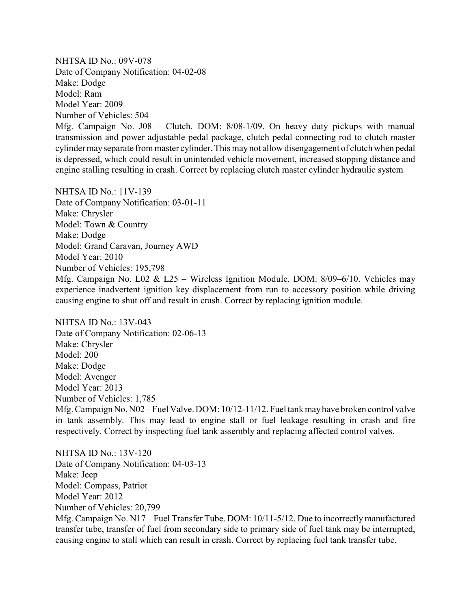NHTSA ID No.: 09V-078 Date of Company Notification: 04-02-08 Make: Dodge Model: Ram Model Year: 2009 Number of Vehicles: 504

Mfg. Campaign No. J08 – Clutch. DOM: 8/08-1/09. On heavy duty pickups with manual transmission and power adjustable pedal package, clutch pedal connecting rod to clutch master cylinder mayseparate from master cylinder. This may not allow disengagement of clutch when pedal is depressed, which could result in unintended vehicle movement, increased stopping distance and engine stalling resulting in crash. Correct by replacing clutch master cylinder hydraulic system

NHTSA ID No.: 11V-139 Date of Company Notification: 03-01-11 Make: Chrysler Model: Town & Country Make: Dodge Model: Grand Caravan, Journey AWD Model Year: 2010 Number of Vehicles: 195,798 Mfg. Campaign No. L02 & L25 – Wireless Ignition Module. DOM: 8/09–6/10. Vehicles may experience inadvertent ignition key displacement from run to accessory position while driving causing engine to shut off and result in crash. Correct by replacing ignition module.

NHTSA ID No.: 13V-043 Date of Company Notification: 02-06-13 Make: Chrysler Model: 200 Make: Dodge Model: Avenger Model Year: 2013 Number of Vehicles: 1,785 Mfg. Campaign No. N02 – Fuel Valve. DOM: 10/12-11/12. Fuel tank mayhave broken control valve in tank assembly. This may lead to engine stall or fuel leakage resulting in crash and fire respectively. Correct by inspecting fuel tank assembly and replacing affected control valves.

NHTSA ID No.: 13V-120 Date of Company Notification: 04-03-13 Make: Jeep Model: Compass, Patriot Model Year: 2012 Number of Vehicles: 20,799 Mfg. Campaign No. N17 – Fuel Transfer Tube. DOM: 10/11-5/12. Due to incorrectlymanufactured transfer tube, transfer of fuel from secondary side to primary side of fuel tank may be interrupted, causing engine to stall which can result in crash. Correct by replacing fuel tank transfer tube.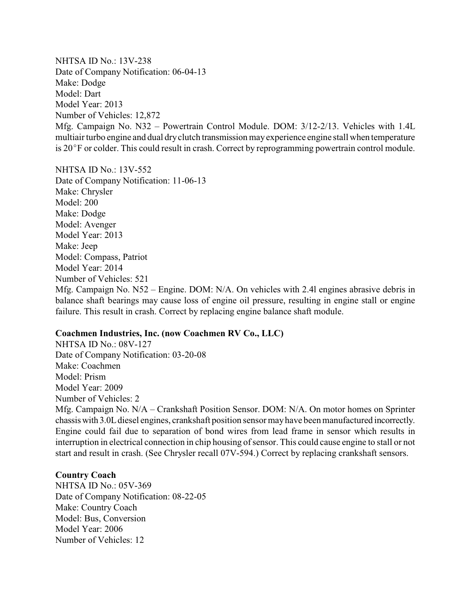NHTSA ID No.: 13V-238 Date of Company Notification: 06-04-13 Make: Dodge Model: Dart Model Year: 2013 Number of Vehicles: 12,872 Mfg. Campaign No. N32 – Powertrain Control Module. DOM: 3/12-2/13. Vehicles with 1.4L multiair turbo engine and dual dryclutch transmission mayexperience engine stall when temperature is 20°F or colder. This could result in crash. Correct by reprogramming powertrain control module.

NHTSA ID No.: 13V-552 Date of Company Notification: 11-06-13 Make: Chrysler Model: 200 Make: Dodge Model: Avenger Model Year: 2013 Make: Jeep Model: Compass, Patriot Model Year: 2014 Number of Vehicles: 521 Mfg. Campaign No. N52 – Engine. DOM: N/A. On vehicles with 2.4l engines abrasive debris in balance shaft bearings may cause loss of engine oil pressure, resulting in engine stall or engine failure. This result in crash. Correct by replacing engine balance shaft module.

#### **Coachmen Industries, Inc. (now Coachmen RV Co., LLC)**

NHTSA ID No.: 08V-127 Date of Company Notification: 03-20-08 Make: Coachmen Model: Prism Model Year: 2009 Number of Vehicles: 2 Mfg. Campaign No. N/A – Crankshaft Position Sensor. DOM: N/A. On motor homes on Sprinter chassiswith 3.0Ldiesel engines, crankshaft position sensor mayhave been manufactured incorrectly. Engine could fail due to separation of bond wires from lead frame in sensor which results in interruption in electrical connection in chip housing of sensor. This could cause engine to stall or not start and result in crash. (See Chrysler recall 07V-594.) Correct by replacing crankshaft sensors.

### **Country Coach**

NHTSA ID No.: 05V-369 Date of Company Notification: 08-22-05 Make: Country Coach Model: Bus, Conversion Model Year: 2006 Number of Vehicles: 12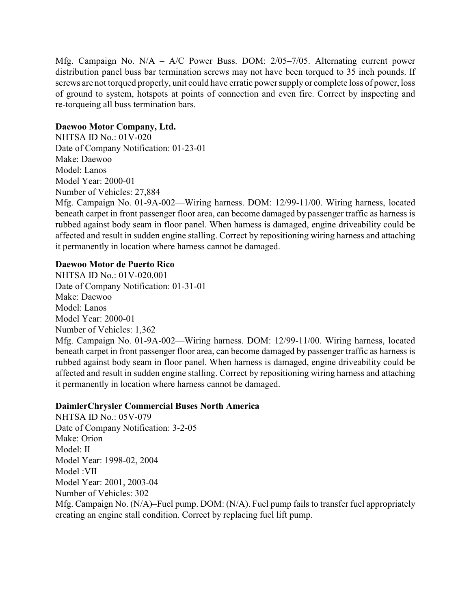Mfg. Campaign No. N/A – A/C Power Buss. DOM: 2/05–7/05. Alternating current power distribution panel buss bar termination screws may not have been torqued to 35 inch pounds. If screws are not torqued properly, unit could have erratic power supply or complete loss of power, loss of ground to system, hotspots at points of connection and even fire. Correct by inspecting and re-torqueing all buss termination bars.

## **Daewoo Motor Company, Ltd.**

NHTSA ID No.: 01V-020 Date of Company Notification: 01-23-01 Make: Daewoo Model: Lanos Model Year: 2000-01 Number of Vehicles: 27,884

Mfg. Campaign No. 01-9A-002—Wiring harness. DOM: 12/99-11/00. Wiring harness, located beneath carpet in front passenger floor area, can become damaged by passenger traffic as harness is rubbed against body seam in floor panel. When harness is damaged, engine driveability could be affected and result in sudden engine stalling. Correct by repositioning wiring harness and attaching it permanently in location where harness cannot be damaged.

### **Daewoo Motor de Puerto Rico**

NHTSA ID No.: 01V-020.001 Date of Company Notification: 01-31-01 Make: Daewoo Model: Lanos Model Year: 2000-01 Number of Vehicles: 1,362 Mfg. Campaign No. 01-9A-002—Wiring harness. DOM: 12/99-11/00. Wiring harness, located beneath carpet in front passenger floor area, can become damaged by passenger traffic as harness is rubbed against body seam in floor panel. When harness is damaged, engine driveability could be affected and result in sudden engine stalling. Correct by repositioning wiring harness and attaching it permanently in location where harness cannot be damaged.

### **DaimlerChrysler Commercial Buses North America**

NHTSA ID No.: 05V-079 Date of Company Notification: 3-2-05 Make: Orion Model: II Model Year: 1998-02, 2004 Model :VII Model Year: 2001, 2003-04 Number of Vehicles: 302 Mfg. Campaign No. (N/A)–Fuel pump. DOM: (N/A). Fuel pump fails to transfer fuel appropriately creating an engine stall condition. Correct by replacing fuel lift pump.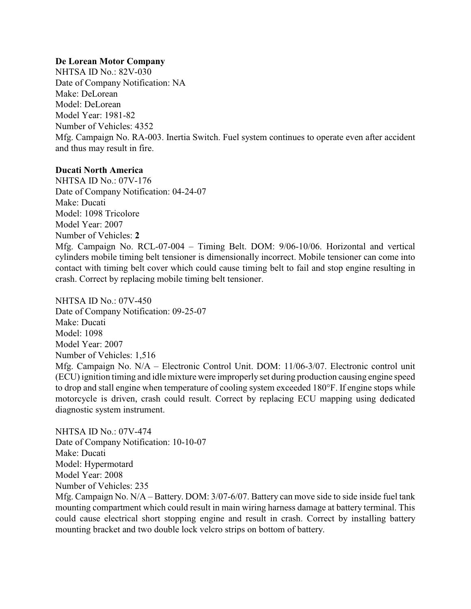# **De Lorean Motor Company**

NHTSA ID No.: 82V-030 Date of Company Notification: NA Make: DeLorean Model: DeLorean Model Year: 1981-82 Number of Vehicles: 4352 Mfg. Campaign No. RA-003. Inertia Switch. Fuel system continues to operate even after accident and thus may result in fire.

# **Ducati North America**

NHTSA ID No.: 07V-176 Date of Company Notification: 04-24-07 Make: Ducati Model: 1098 Tricolore Model Year: 2007 Number of Vehicles: **2** Mfg. Campaign No. RCL-07-004 – Timing Belt. DOM: 9/06-10/06. Horizontal and vertical cylinders mobile timing belt tensioner is dimensionally incorrect. Mobile tensioner can come into contact with timing belt cover which could cause timing belt to fail and stop engine resulting in crash. Correct by replacing mobile timing belt tensioner.

NHTSA ID No.: 07V-450 Date of Company Notification: 09-25-07 Make: Ducati Model: 1098 Model Year: 2007 Number of Vehicles: 1,516 Mfg. Campaign No. N/A – Electronic Control Unit. DOM: 11/06-3/07. Electronic control unit (ECU) ignition timing and idle mixture were improperly set during production causing engine speed to drop and stall engine when temperature of cooling system exceeded 180°F. If engine stops while motorcycle is driven, crash could result. Correct by replacing ECU mapping using dedicated diagnostic system instrument.

NHTSA ID No.: 07V-474 Date of Company Notification: 10-10-07 Make: Ducati Model: Hypermotard Model Year: 2008 Number of Vehicles: 235

Mfg. Campaign No. N/A – Battery. DOM: 3/07-6/07. Battery can move side to side inside fuel tank mounting compartment which could result in main wiring harness damage at battery terminal. This could cause electrical short stopping engine and result in crash. Correct by installing battery mounting bracket and two double lock velcro strips on bottom of battery.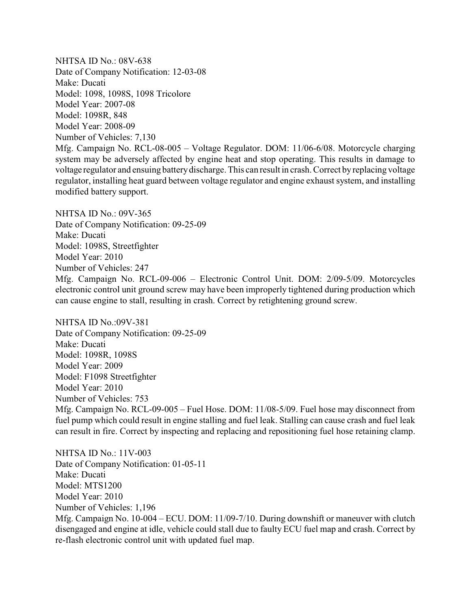NHTSA ID No.: 08V-638 Date of Company Notification: 12-03-08 Make: Ducati Model: 1098, 1098S, 1098 Tricolore Model Year: 2007-08 Model: 1098R, 848 Model Year: 2008-09 Number of Vehicles: 7,130 Mfg. Campaign No. RCL-08-005 – Voltage Regulator. DOM: 11/06-6/08. Motorcycle charging system may be adversely affected by engine heat and stop operating. This results in damage to voltage regulator and ensuing batterydischarge. This can result in crash. Correct byreplacing voltage regulator, installing heat guard between voltage regulator and engine exhaust system, and installing modified battery support.

NHTSA ID No $\cdot$  09V-365 Date of Company Notification: 09-25-09 Make: Ducati Model: 1098S, Streetfighter Model Year: 2010 Number of Vehicles: 247 Mfg. Campaign No. RCL-09-006 – Electronic Control Unit. DOM: 2/09-5/09. Motorcycles electronic control unit ground screw may have been improperly tightened during production which can cause engine to stall, resulting in crash. Correct by retightening ground screw.

NHTSA ID No.:09V-381 Date of Company Notification: 09-25-09 Make: Ducati Model: 1098R, 1098S Model Year: 2009 Model: F1098 Streetfighter Model Year: 2010 Number of Vehicles: 753 Mfg. Campaign No. RCL-09-005 – Fuel Hose. DOM: 11/08-5/09. Fuel hose may disconnect from fuel pump which could result in engine stalling and fuel leak. Stalling can cause crash and fuel leak can result in fire. Correct by inspecting and replacing and repositioning fuel hose retaining clamp.

NHTSA ID No.: 11V-003 Date of Company Notification: 01-05-11 Make: Ducati Model: MTS1200 Model Year: 2010 Number of Vehicles: 1,196 Mfg. Campaign No. 10-004 – ECU. DOM: 11/09-7/10. During downshift or maneuver with clutch disengaged and engine at idle, vehicle could stall due to faulty ECU fuel map and crash. Correct by re-flash electronic control unit with updated fuel map.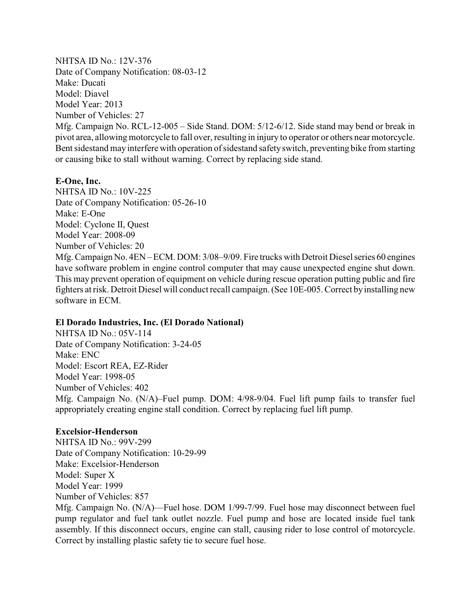NHTSA ID No.: 12V-376 Date of Company Notification: 08-03-12 Make: Ducati Model: Diavel Model Year: 2013 Number of Vehicles: 27 Mfg. Campaign No. RCL-12-005 – Side Stand. DOM: 5/12-6/12. Side stand may bend or break in pivot area, allowing motorcycle to fall over, resulting in injury to operator or others nearmotorcycle. Bent sidestand may interfere with operation of sidestand safety switch, preventing bike from starting or causing bike to stall without warning. Correct by replacing side stand.

### **E-One, Inc.**

NHTSA ID No.: 10V-225 Date of Company Notification: 05-26-10 Make: E-One Model: Cyclone II, Quest Model Year: 2008-09 Number of Vehicles: 20 Mfg. Campaign No. 4EN – ECM. DOM: 3/08–9/09. Fire trucks with Detroit Diesel series 60 engines have software problem in engine control computer that may cause unexpected engine shut down. This may prevent operation of equipment on vehicle during rescue operation putting public and fire fighters at risk. Detroit Diesel will conduct recall campaign. (See 10E-005. Correct byinstalling new software in ECM.

### **El Dorado Industries, Inc. (El Dorado National)**

NHTSA ID No.: 05V-114 Date of Company Notification: 3-24-05 Make: ENC Model: Escort REA, EZ-Rider Model Year: 1998-05 Number of Vehicles: 402 Mfg. Campaign No. (N/A)–Fuel pump. DOM: 4/98-9/04. Fuel lift pump fails to transfer fuel appropriately creating engine stall condition. Correct by replacing fuel lift pump.

### **Excelsior-Henderson**

NHTSA ID No.: 99V-299 Date of Company Notification: 10-29-99 Make: Excelsior-Henderson Model: Super X Model Year: 1999 Number of Vehicles: 857 Mfg. Campaign No. (N/A)—Fuel hose. DOM 1/99-7/99. Fuel hose may disconnect between fuel pump regulator and fuel tank outlet nozzle. Fuel pump and hose are located inside fuel tank assembly. If this disconnect occurs, engine can stall, causing rider to lose control of motorcycle. Correct by installing plastic safety tie to secure fuel hose.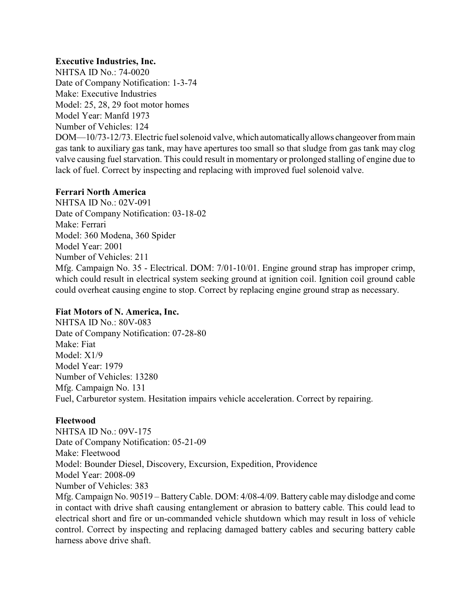# **Executive Industries, Inc.**

NHTSA ID No.: 74-0020 Date of Company Notification: 1-3-74 Make: Executive Industries Model: 25, 28, 29 foot motor homes Model Year: Manfd 1973 Number of Vehicles: 124 DOM—10/73-12/73. Electric fuel solenoid valve, which automaticallyallows changeoverfrom main gas tank to auxiliary gas tank, may have apertures too small so that sludge from gas tank may clog valve causing fuel starvation. This could result in momentary or prolonged stalling of engine due to lack of fuel. Correct by inspecting and replacing with improved fuel solenoid valve.

### **Ferrari North America**

NHTSA ID No.: 02V-091 Date of Company Notification: 03-18-02 Make: Ferrari Model: 360 Modena, 360 Spider Model Year: 2001 Number of Vehicles: 211 Mfg. Campaign No. 35 - Electrical. DOM: 7/01-10/01. Engine ground strap has improper crimp, which could result in electrical system seeking ground at ignition coil. Ignition coil ground cable could overheat causing engine to stop. Correct by replacing engine ground strap as necessary.

### **Fiat Motors of N. America, Inc.**

NHTSA ID No.: 80V-083 Date of Company Notification: 07-28-80 Make: Fiat Model: X1/9 Model Year: 1979 Number of Vehicles: 13280 Mfg. Campaign No. 131 Fuel, Carburetor system. Hesitation impairs vehicle acceleration. Correct by repairing.

### **Fleetwood**

NHTSA ID No.: 09V-175 Date of Company Notification: 05-21-09 Make: Fleetwood Model: Bounder Diesel, Discovery, Excursion, Expedition, Providence Model Year: 2008-09 Number of Vehicles: 383 Mfg. Campaign No. 90519 – BatteryCable. DOM: 4/08-4/09. Battery cable may dislodge and come in contact with drive shaft causing entanglement or abrasion to battery cable. This could lead to electrical short and fire or un-commanded vehicle shutdown which may result in loss of vehicle control. Correct by inspecting and replacing damaged battery cables and securing battery cable harness above drive shaft.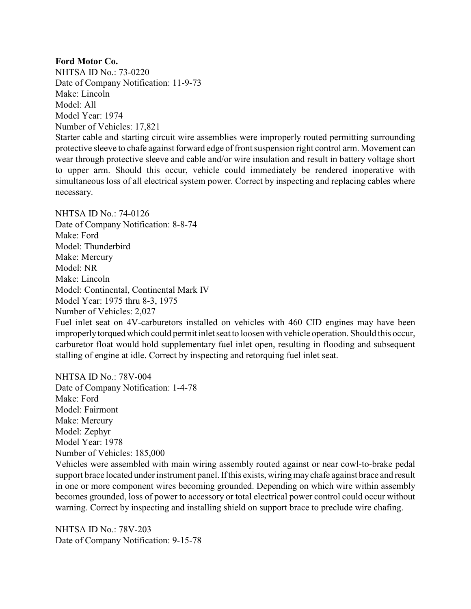### **Ford Motor Co.**

NHTSA ID No.: 73-0220 Date of Company Notification: 11-9-73 Make: Lincoln Model: All Model Year: 1974 Number of Vehicles: 17,821

Starter cable and starting circuit wire assemblies were improperly routed permitting surrounding protective sleeve to chafe against forward edge of front suspension right control arm. Movement can wear through protective sleeve and cable and/or wire insulation and result in battery voltage short to upper arm. Should this occur, vehicle could immediately be rendered inoperative with simultaneous loss of all electrical system power. Correct by inspecting and replacing cables where necessary.

NHTSA ID No.: 74-0126 Date of Company Notification: 8-8-74 Make: Ford Model: Thunderbird Make: Mercury Model: NR Make: Lincoln Model: Continental, Continental Mark IV Model Year: 1975 thru 8-3, 1975 Number of Vehicles: 2,027

Fuel inlet seat on 4V-carburetors installed on vehicles with 460 CID engines may have been improperlytorqued which could permit inlet seat to loosen with vehicle operation. Should this occur, carburetor float would hold supplementary fuel inlet open, resulting in flooding and subsequent stalling of engine at idle. Correct by inspecting and retorquing fuel inlet seat.

NHTSA ID No.: 78V-004 Date of Company Notification: 1-4-78 Make: Ford Model: Fairmont Make: Mercury Model: Zephyr Model Year: 1978 Number of Vehicles: 185,000

Vehicles were assembled with main wiring assembly routed against or near cowl-to-brake pedal support brace located under instrument panel. If this exists, wiringmaychafe against brace and result in one or more component wires becoming grounded. Depending on which wire within assembly becomes grounded, loss of power to accessory or total electrical power control could occur without warning. Correct by inspecting and installing shield on support brace to preclude wire chafing.

NHTSA ID No.: 78V-203 Date of Company Notification: 9-15-78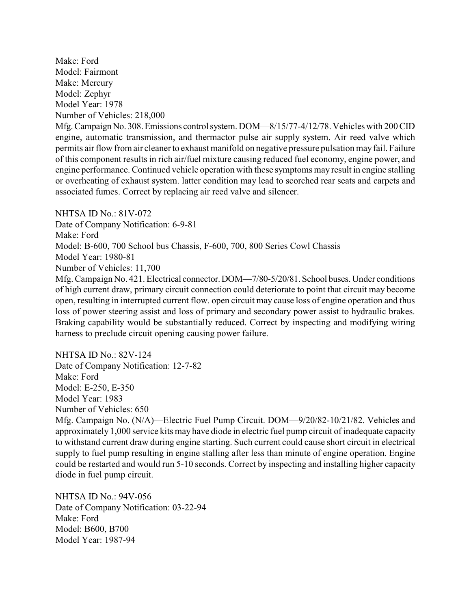Make: Ford Model: Fairmont Make: Mercury Model: Zephyr Model Year: 1978 Number of Vehicles: 218,000

Mfg.CampaignNo. 308.Emissions control system. DOM—8/15/77-4/12/78. Vehicles with 200 CID engine, automatic transmission, and thermactor pulse air supply system. Air reed valve which permits air flow from air cleaner to exhaust manifold on negative pressure pulsation mayfail. Failure of this component results in rich air/fuel mixture causing reduced fuel economy, engine power, and engine performance. Continued vehicle operation with these symptoms may result in engine stalling or overheating of exhaust system. latter condition may lead to scorched rear seats and carpets and associated fumes. Correct by replacing air reed valve and silencer.

NHTSA ID  $No.81V-072$ 

Date of Company Notification: 6-9-81 Make: Ford Model: B-600, 700 School bus Chassis, F-600, 700, 800 Series Cowl Chassis Model Year: 1980-81 Number of Vehicles: 11,700 Mfg. Campaign No. 421. Electrical connector.DOM—7/80-5/20/81. School buses. Under conditions

of high current draw, primary circuit connection could deteriorate to point that circuit may become open, resulting in interrupted current flow. open circuit may cause loss of engine operation and thus loss of power steering assist and loss of primary and secondary power assist to hydraulic brakes. Braking capability would be substantially reduced. Correct by inspecting and modifying wiring harness to preclude circuit opening causing power failure.

NHTSA ID No.: 82V-124 Date of Company Notification: 12-7-82 Make: Ford Model: E-250, E-350 Model Year: 1983 Number of Vehicles: 650

Mfg. Campaign No. (N/A)—Electric Fuel Pump Circuit. DOM—9/20/82-10/21/82. Vehicles and approximately 1,000 service kits may have diode in electric fuel pump circuit of inadequate capacity to withstand current draw during engine starting. Such current could cause short circuit in electrical supply to fuel pump resulting in engine stalling after less than minute of engine operation. Engine could be restarted and would run 5-10 seconds. Correct by inspecting and installing higher capacity diode in fuel pump circuit.

NHTSA ID No.: 94V-056 Date of Company Notification: 03-22-94 Make: Ford Model: B600, B700 Model Year: 1987-94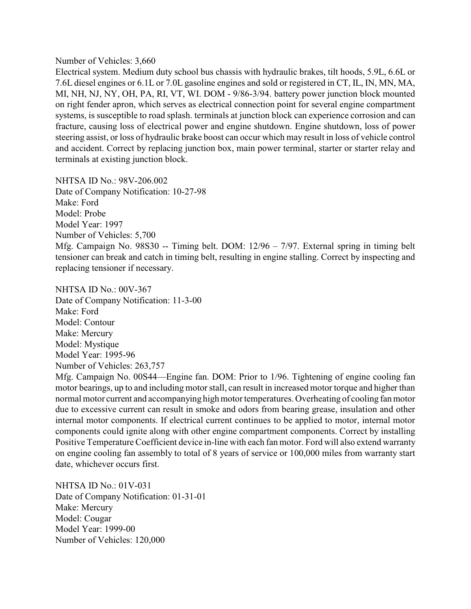#### Number of Vehicles: 3,660

Electrical system. Medium duty school bus chassis with hydraulic brakes, tilt hoods, 5.9L, 6.6L or 7.6L diesel engines or 6.1L or 7.0L gasoline engines and sold or registered in CT, IL, IN, MN, MA, MI, NH, NJ, NY, OH, PA, RI, VT, WI. DOM - 9/86-3/94. battery power junction block mounted on right fender apron, which serves as electrical connection point for several engine compartment systems, is susceptible to road splash. terminals at junction block can experience corrosion and can fracture, causing loss of electrical power and engine shutdown. Engine shutdown, loss of power steering assist, or loss of hydraulic brake boost can occur which may result in loss of vehicle control and accident. Correct by replacing junction box, main power terminal, starter or starter relay and terminals at existing junction block.

NHTSA ID No.: 98V-206.002

Date of Company Notification: 10-27-98 Make: Ford Model: Probe Model Year: 1997 Number of Vehicles: 5,700 Mfg. Campaign No. 98S30 -- Timing belt. DOM: 12/96 – 7/97. External spring in timing belt tensioner can break and catch in timing belt, resulting in engine stalling. Correct by inspecting and replacing tensioner if necessary.

NHTSA ID No.: 00V-367 Date of Company Notification: 11-3-00 Make: Ford Model: Contour Make: Mercury Model: Mystique Model Year: 1995-96 Number of Vehicles: 263,757

Mfg. Campaign No. 00S44—Engine fan. DOM: Prior to 1/96. Tightening of engine cooling fan motor bearings, up to and including motor stall, can result in increased motor torque and higher than normal motor current and accompanying high motor temperatures. Overheating of cooling fan motor due to excessive current can result in smoke and odors from bearing grease, insulation and other internal motor components. If electrical current continues to be applied to motor, internal motor components could ignite along with other engine compartment components. Correct by installing Positive Temperature Coefficient device in-line with each fan motor. Ford will also extend warranty on engine cooling fan assembly to total of 8 years of service or 100,000 miles from warranty start date, whichever occurs first.

NHTSA ID No.: 01V-031 Date of Company Notification: 01-31-01 Make: Mercury Model: Cougar Model Year: 1999-00 Number of Vehicles: 120,000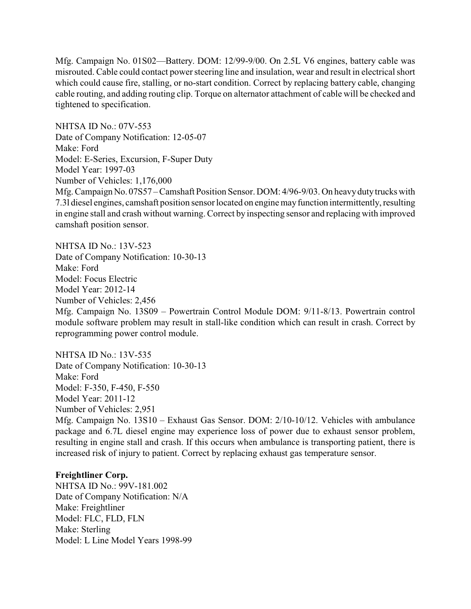Mfg. Campaign No. 01S02—Battery. DOM: 12/99-9/00. On 2.5L V6 engines, battery cable was misrouted. Cable could contact power steering line and insulation, wear and result in electrical short which could cause fire, stalling, or no-start condition. Correct by replacing battery cable, changing cable routing, and adding routing clip. Torque on alternator attachment of cable will be checked and tightened to specification.

NHTSA ID No.: 07V-553 Date of Company Notification: 12-05-07 Make: Ford Model: E-Series, Excursion, F-Super Duty Model Year: 1997-03 Number of Vehicles: 1,176,000 Mfg. Campaign No. 07S57 – Camshaft Position Sensor. DOM: 4/96-9/03. On heavy duty trucks with 7.3l diesel engines, camshaft position sensor located on engine mayfunction intermittently, resulting in engine stall and crash without warning. Correct by inspecting sensor and replacing with improved camshaft position sensor.

NHTSA ID No.: 13V-523 Date of Company Notification: 10-30-13 Make: Ford Model: Focus Electric Model Year: 2012-14 Number of Vehicles: 2,456 Mfg. Campaign No. 13S09 – Powertrain Control Module DOM: 9/11-8/13. Powertrain control module software problem may result in stall-like condition which can result in crash. Correct by reprogramming power control module.

NHTSA ID No.: 13V-535 Date of Company Notification: 10-30-13 Make: Ford Model: F-350, F-450, F-550 Model Year: 2011-12 Number of Vehicles: 2,951 Mfg. Campaign No. 13S10 – Exhaust Gas Sensor. DOM: 2/10-10/12. Vehicles with ambulance package and 6.7L diesel engine may experience loss of power due to exhaust sensor problem, resulting in engine stall and crash. If this occurs when ambulance is transporting patient, there is increased risk of injury to patient. Correct by replacing exhaust gas temperature sensor.

### **Freightliner Corp.**

NHTSA ID No.: 99V-181.002 Date of Company Notification: N/A Make: Freightliner Model: FLC, FLD, FLN Make: Sterling Model: L Line Model Years 1998-99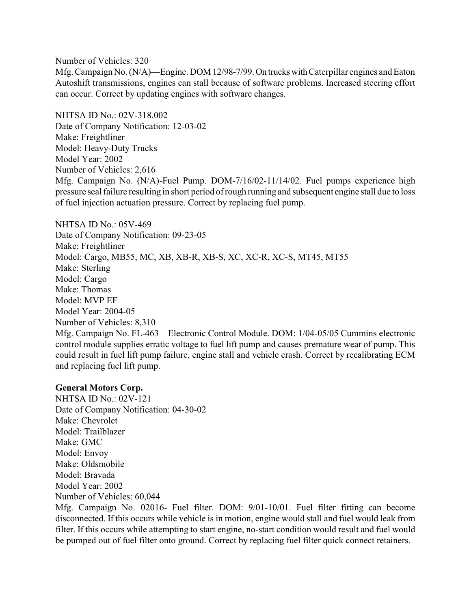Number of Vehicles: 320

Mfg. Campaign No. (N/A)—Engine. DOM 12/98-7/99. On trucks with Caterpillar engines and Eaton Autoshift transmissions, engines can stall because of software problems. Increased steering effort can occur. Correct by updating engines with software changes.

NHTSA ID No.: 02V-318.002 Date of Company Notification: 12-03-02 Make: Freightliner Model: Heavy-Duty Trucks Model Year: 2002 Number of Vehicles: 2,616 Mfg. Campaign No. (N/A)-Fuel Pump. DOM-7/16/02-11/14/02. Fuel pumps experience high pressure seal failure resulting in short period of rough running and subsequent engine stall due to loss of fuel injection actuation pressure. Correct by replacing fuel pump.

NHTSA ID No.: 05V-469 Date of Company Notification: 09-23-05 Make: Freightliner Model: Cargo, MB55, MC, XB, XB-R, XB-S, XC, XC-R, XC-S, MT45, MT55 Make: Sterling Model: Cargo Make: Thomas Model: MVP EF Model Year: 2004-05 Number of Vehicles: 8,310 Mfg. Campaign No. FL-463 – Electronic Control Module. DOM: 1/04-05/05 Cummins electronic control module supplies erratic voltage to fuel lift pump and causes premature wear of pump. This could result in fuel lift pump failure, engine stall and vehicle crash. Correct by recalibrating ECM and replacing fuel lift pump.

### **General Motors Corp.**

NHTSA ID No.: 02V-121 Date of Company Notification: 04-30-02 Make: Chevrolet Model: Trailblazer Make: GMC Model: Envoy Make: Oldsmobile Model: Bravada Model Year: 2002 Number of Vehicles: 60,044

Mfg. Campaign No. 02016- Fuel filter. DOM: 9/01-10/01. Fuel filter fitting can become disconnected. If this occurs while vehicle is in motion, engine would stall and fuel would leak from filter. If this occurs while attempting to start engine, no-start condition would result and fuel would be pumped out of fuel filter onto ground. Correct by replacing fuel filter quick connect retainers.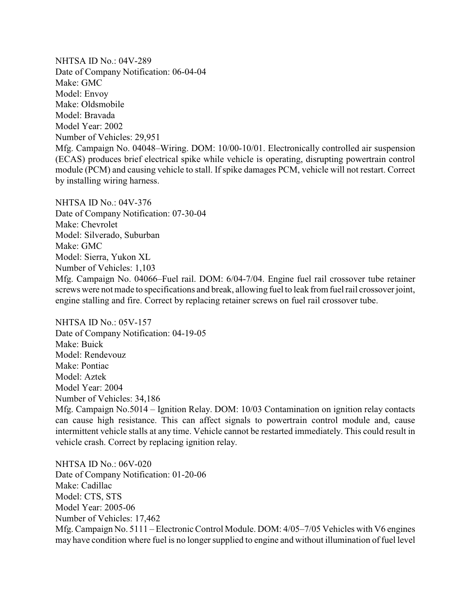NHTSA ID No.: 04V-289 Date of Company Notification: 06-04-04 Make: GMC Model: Envoy Make: Oldsmobile Model: Bravada Model Year: 2002 Number of Vehicles: 29,951 Mfg. Campaign No. 04048–Wiring. DOM: 10/00-10/01. Electronically controlled air suspension (ECAS) produces brief electrical spike while vehicle is operating, disrupting powertrain control module (PCM) and causing vehicle to stall. If spike damages PCM, vehicle will not restart. Correct by installing wiring harness.

NHTSA ID No.: 04V-376 Date of Company Notification: 07-30-04 Make: Chevrolet Model: Silverado, Suburban Make: GMC Model: Sierra, Yukon XL Number of Vehicles: 1,103 Mfg. Campaign No. 04066–Fuel rail. DOM: 6/04-7/04. Engine fuel rail crossover tube retainer screws were not made to specifications and break, allowing fuel to leak from fuel rail crossover joint, engine stalling and fire. Correct by replacing retainer screws on fuel rail crossover tube.

NHTSA ID No.: 05V-157 Date of Company Notification: 04-19-05 Make: Buick Model: Rendevouz Make: Pontiac Model: Aztek Model Year: 2004 Number of Vehicles: 34,186

Mfg. Campaign No.5014 – Ignition Relay. DOM: 10/03 Contamination on ignition relay contacts can cause high resistance. This can affect signals to powertrain control module and, cause intermittent vehicle stalls at any time. Vehicle cannot be restarted immediately. This could result in vehicle crash. Correct by replacing ignition relay.

NHTSA ID No.: 06V-020 Date of Company Notification: 01-20-06 Make: Cadillac Model: CTS, STS Model Year: 2005-06 Number of Vehicles: 17,462 Mfg. Campaign No. 5111 – Electronic Control Module. DOM: 4/05–7/05 Vehicles with V6 engines may have condition where fuel is no longer supplied to engine and without illumination of fuel level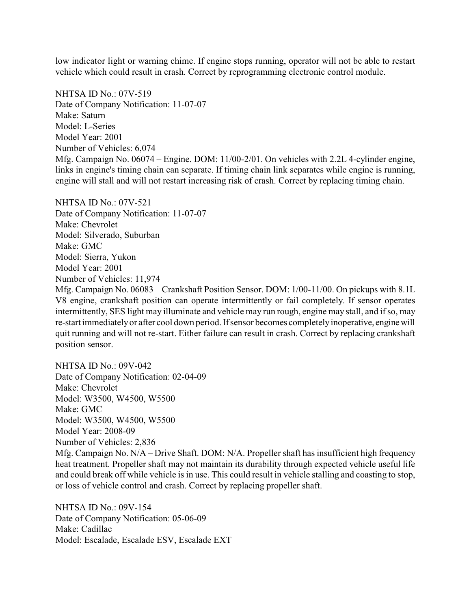low indicator light or warning chime. If engine stops running, operator will not be able to restart vehicle which could result in crash. Correct by reprogramming electronic control module.

NHTSA ID No.: 07V-519 Date of Company Notification: 11-07-07 Make: Saturn Model: L-Series Model Year: 2001 Number of Vehicles: 6,074 Mfg. Campaign No. 06074 – Engine. DOM: 11/00-2/01. On vehicles with 2.2L 4-cylinder engine, links in engine's timing chain can separate. If timing chain link separates while engine is running, engine will stall and will not restart increasing risk of crash. Correct by replacing timing chain.

NHTSA ID No.: 07V-521 Date of Company Notification: 11-07-07 Make: Chevrolet Model: Silverado, Suburban Make: GMC Model: Sierra, Yukon Model Year: 2001 Number of Vehicles: 11,974

Mfg. Campaign No. 06083 – Crankshaft Position Sensor. DOM: 1/00-11/00. On pickups with 8.1L V8 engine, crankshaft position can operate intermittently or fail completely. If sensor operates intermittently, SES light may illuminate and vehicle may run rough, engine may stall, and if so, may re-start immediatelyor after cool down period. If sensor becomes completelyinoperative, enginewill quit running and will not re-start. Either failure can result in crash. Correct by replacing crankshaft position sensor.

NHTSA ID No.: 09V-042 Date of Company Notification: 02-04-09 Make: Chevrolet Model: W3500, W4500, W5500 Make: GMC Model: W3500, W4500, W5500 Model Year: 2008-09 Number of Vehicles: 2,836 Mfg. Campaign No. N/A – Drive Shaft. DOM: N/A. Propeller shaft has insufficient high frequency heat treatment. Propeller shaft may not maintain its durability through expected vehicle useful life and could break off while vehicle is in use. This could result in vehicle stalling and coasting to stop, or loss of vehicle control and crash. Correct by replacing propeller shaft.

NHTSA ID No.: 09V-154 Date of Company Notification: 05-06-09 Make: Cadillac Model: Escalade, Escalade ESV, Escalade EXT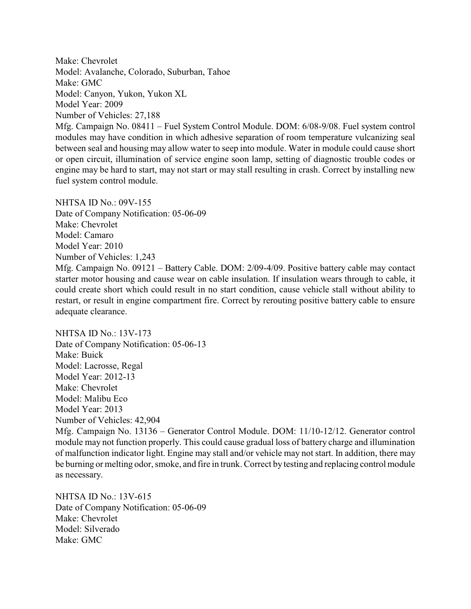Make: Chevrolet Model: Avalanche, Colorado, Suburban, Tahoe Make: GMC Model: Canyon, Yukon, Yukon XL Model Year: 2009 Number of Vehicles: 27,188

Mfg. Campaign No. 08411 – Fuel System Control Module. DOM: 6/08-9/08. Fuel system control modules may have condition in which adhesive separation of room temperature vulcanizing seal between seal and housing may allow water to seep into module. Water in module could cause short or open circuit, illumination of service engine soon lamp, setting of diagnostic trouble codes or engine may be hard to start, may not start or may stall resulting in crash. Correct by installing new fuel system control module.

NHTSA ID No.: 09V-155 Date of Company Notification: 05-06-09 Make: Chevrolet Model: Camaro Model Year: 2010 Number of Vehicles: 1,243 Mfg. Campaign No. 09121 – Battery Cable. DOM: 2/09-4/09. Positive battery cable may contact starter motor housing and cause wear on cable insulation. If insulation wears through to cable, it could create short which could result in no start condition, cause vehicle stall without ability to restart, or result in engine compartment fire. Correct by rerouting positive battery cable to ensure adequate clearance.

NHTSA ID No.: 13V-173 Date of Company Notification: 05-06-13 Make: Buick Model: Lacrosse, Regal Model Year: 2012-13 Make: Chevrolet Model: Malibu Eco Model Year: 2013 Number of Vehicles: 42,904

Mfg. Campaign No. 13136 – Generator Control Module. DOM: 11/10-12/12. Generator control module may not function properly. This could cause gradual loss of battery charge and illumination of malfunction indicator light. Engine may stall and/or vehicle may not start. In addition, there may be burning or melting odor, smoke, and fire in trunk. Correct by testing and replacing control module as necessary.

NHTSA ID No.: 13V-615 Date of Company Notification: 05-06-09 Make: Chevrolet Model: Silverado Make: GMC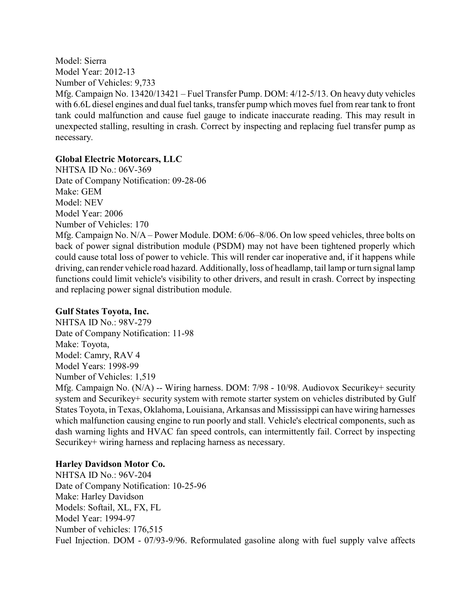Model: Sierra Model Year: 2012-13 Number of Vehicles: 9,733 Mfg. Campaign No. 13420/13421 – Fuel Transfer Pump. DOM: 4/12-5/13. On heavy duty vehicles with 6.6L diesel engines and dual fuel tanks, transfer pump which moves fuel from rear tank to front tank could malfunction and cause fuel gauge to indicate inaccurate reading. This may result in unexpected stalling, resulting in crash. Correct by inspecting and replacing fuel transfer pump as necessary.

# **Global Electric Motorcars, LLC**

NHTSA ID No.: 06V-369 Date of Company Notification: 09-28-06 Make: GEM Model: NEV Model Year: 2006 Number of Vehicles: 170

Mfg. Campaign No. N/A – Power Module. DOM: 6/06–8/06. On low speed vehicles, three bolts on back of power signal distribution module (PSDM) may not have been tightened properly which could cause total loss of power to vehicle. This will render car inoperative and, if it happens while driving, can render vehicle road hazard. Additionally, loss of headlamp, tail lamp or turn signal lamp functions could limit vehicle's visibility to other drivers, and result in crash. Correct by inspecting and replacing power signal distribution module.

### **Gulf States Toyota, Inc.**

NHTSA ID No.: 98V-279 Date of Company Notification: 11-98 Make: Toyota, Model: Camry, RAV 4 Model Years: 1998-99 Number of Vehicles: 1,519

Mfg. Campaign No. (N/A) -- Wiring harness. DOM: 7/98 - 10/98. Audiovox Securikey+ security system and Securikey+ security system with remote starter system on vehicles distributed by Gulf States Toyota, in Texas, Oklahoma, Louisiana, Arkansas and Mississippi can have wiring harnesses which malfunction causing engine to run poorly and stall. Vehicle's electrical components, such as dash warning lights and HVAC fan speed controls, can intermittently fail. Correct by inspecting Securikey+ wiring harness and replacing harness as necessary.

# **Harley Davidson Motor Co.**

NHTSA ID No.: 96V-204 Date of Company Notification: 10-25-96 Make: Harley Davidson Models: Softail, XL, FX, FL Model Year: 1994-97 Number of vehicles: 176,515 Fuel Injection. DOM - 07/93-9/96. Reformulated gasoline along with fuel supply valve affects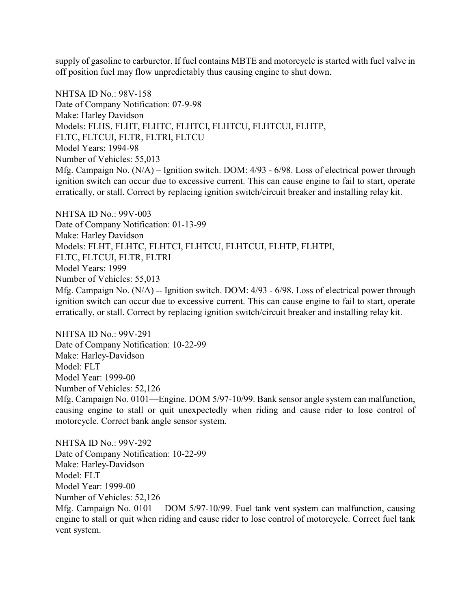supply of gasoline to carburetor. If fuel contains MBTE and motorcycle is started with fuel valve in off position fuel may flow unpredictably thus causing engine to shut down.

NHTSA ID No.: 98V-158 Date of Company Notification: 07-9-98 Make: Harley Davidson Models: FLHS, FLHT, FLHTC, FLHTCI, FLHTCU, FLHTCUI, FLHTP, FLTC, FLTCUI, FLTR, FLTRI, FLTCU Model Years: 1994-98 Number of Vehicles: 55,013 Mfg. Campaign No. (N/A) – Ignition switch. DOM: 4/93 - 6/98. Loss of electrical power through ignition switch can occur due to excessive current. This can cause engine to fail to start, operate erratically, or stall. Correct by replacing ignition switch/circuit breaker and installing relay kit.

NHTSA ID No.: 99V-003 Date of Company Notification: 01-13-99 Make: Harley Davidson Models: FLHT, FLHTC, FLHTCI, FLHTCU, FLHTCUI, FLHTP, FLHTPI, FLTC, FLTCUI, FLTR, FLTRI Model Years: 1999 Number of Vehicles: 55,013 Mfg. Campaign No. (N/A) -- Ignition switch. DOM: 4/93 - 6/98. Loss of electrical power through ignition switch can occur due to excessive current. This can cause engine to fail to start, operate erratically, or stall. Correct by replacing ignition switch/circuit breaker and installing relay kit.

NHTSA ID No.: 99V-291 Date of Company Notification: 10-22-99 Make: Harley-Davidson Model: FLT Model Year: 1999-00 Number of Vehicles: 52,126 Mfg. Campaign No. 0101—Engine. DOM 5/97-10/99. Bank sensor angle system can malfunction, causing engine to stall or quit unexpectedly when riding and cause rider to lose control of motorcycle. Correct bank angle sensor system.

NHTSA ID No.: 99V-292 Date of Company Notification: 10-22-99 Make: Harley-Davidson Model: FLT Model Year: 1999-00 Number of Vehicles: 52,126 Mfg. Campaign No. 0101— DOM 5/97-10/99. Fuel tank vent system can malfunction, causing engine to stall or quit when riding and cause rider to lose control of motorcycle. Correct fuel tank vent system.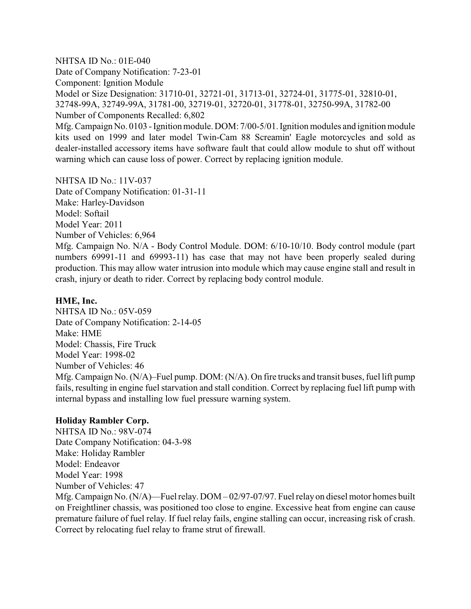NHTSA ID No.: 01E-040 Date of Company Notification: 7-23-01 Component: Ignition Module Model or Size Designation: 31710-01, 32721-01, 31713-01, 32724-01, 31775-01, 32810-01, 32748-99A, 32749-99A, 31781-00, 32719-01, 32720-01, 31778-01, 32750-99A, 31782-00 Number of Components Recalled: 6,802

Mfg. Campaign No. 0103 - Ignition module. DOM: 7/00-5/01. Ignition modules and ignition module kits used on 1999 and later model Twin-Cam 88 Screamin' Eagle motorcycles and sold as dealer-installed accessory items have software fault that could allow module to shut off without warning which can cause loss of power. Correct by replacing ignition module.

NHTSA ID No.: 11V-037 Date of Company Notification: 01-31-11 Make: Harley-Davidson Model: Softail Model Year: 2011 Number of Vehicles: 6,964 Mfg. Campaign No. N/A - Body Control Module. DOM: 6/10-10/10. Body control module (part numbers 69991-11 and 69993-11) has case that may not have been properly sealed during production. This may allow water intrusion into module which may cause engine stall and result in

### **HME, Inc.**

NHTSA ID No.: 05V-059 Date of Company Notification: 2-14-05 Make: HME Model: Chassis, Fire Truck Model Year: 1998-02 Number of Vehicles: 46 Mfg. Campaign No. (N/A)–Fuel pump. DOM: (N/A). On fire trucks and transit buses, fuel lift pump fails, resulting in engine fuel starvation and stall condition. Correct by replacing fuel lift pump with internal bypass and installing low fuel pressure warning system.

crash, injury or death to rider. Correct by replacing body control module.

#### **Holiday Rambler Corp.**

NHTSA ID No.: 98V-074 Date Company Notification: 04-3-98 Make: Holiday Rambler Model: Endeavor Model Year: 1998 Number of Vehicles: 47 Mfg. Campaign No. (N/A)—Fuel relay. DOM – 02/97-07/97. Fuel relay on diesel motor homes built on Freightliner chassis, was positioned too close to engine. Excessive heat from engine can cause premature failure of fuel relay. If fuel relay fails, engine stalling can occur, increasing risk of crash. Correct by relocating fuel relay to frame strut of firewall.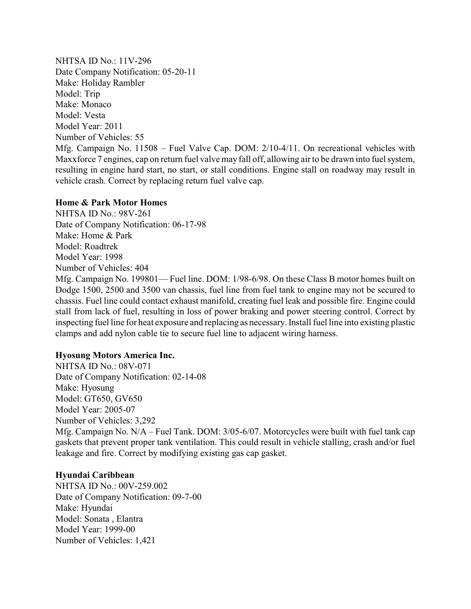NHTSA ID No.: 11V-296 Date Company Notification: 05-20-11 Make: Holiday Rambler Model: Trip Make: Monaco Model: Vesta Model Year: 2011 Number of Vehicles: 55 Mfg. Campaign No. 11508 – Fuel Valve Cap. DOM: 2/10-4/11. On recreational vehicles with Maxxforce 7 engines, cap on return fuel valve may fall off, allowing air to be drawn into fuel system, resulting in engine hard start, no start, or stall conditions. Engine stall on roadway may result in vehicle crash. Correct by replacing return fuel valve cap.

#### **Home & Park Motor Homes**

NHTSA ID No.: 98V-261 Date of Company Notification: 06-17-98 Make: Home & Park Model: Roadtrek Model Year: 1998 Number of Vehicles: 404

Mfg. Campaign No. 199801— Fuel line. DOM: 1/98-6/98. On these Class B motor homes built on Dodge 1500, 2500 and 3500 van chassis, fuel line from fuel tank to engine may not be secured to chassis. Fuel line could contact exhaust manifold, creating fuel leak and possible fire. Engine could stall from lack of fuel, resulting in loss of power braking and power steering control. Correct by inspecting fuel line for heat exposure and replacing as necessary. Install fuel line into existing plastic clamps and add nylon cable tie to secure fuel line to adjacent wiring harness.

### **Hyosung Motors America Inc.**

NHTSA ID No.: 08V-071 Date of Company Notification: 02-14-08 Make: Hyosung Model: GT650, GV650 Model Year: 2005-07 Number of Vehicles: 3,292 Mfg. Campaign No. N/A – Fuel Tank. DOM: 3/05-6/07. Motorcycles were built with fuel tank cap gaskets that prevent proper tank ventilation. This could result in vehicle stalling, crash and/or fuel leakage and fire. Correct by modifying existing gas cap gasket.

#### **Hyundai Caribbean**

NHTSA ID No.: 00V-259.002 Date of Company Notification: 09-7-00 Make: Hyundai Model: Sonata , Elantra Model Year: 1999-00 Number of Vehicles: 1,421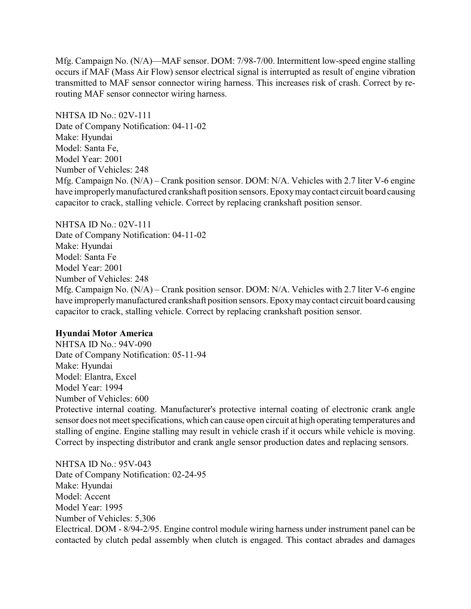Mfg. Campaign No. (N/A)—MAF sensor. DOM: 7/98-7/00. Intermittent low-speed engine stalling occurs if MAF (Mass Air Flow) sensor electrical signal is interrupted as result of engine vibration transmitted to MAF sensor connector wiring harness. This increases risk of crash. Correct by rerouting MAF sensor connector wiring harness.

NHTSA ID No.: 02V-111 Date of Company Notification: 04-11-02 Make: Hyundai Model: Santa Fe, Model Year: 2001 Number of Vehicles: 248 Mfg. Campaign No. (N/A) – Crank position sensor. DOM: N/A. Vehicles with 2.7 liter V-6 engine have improperlymanufactured crankshaft position sensors. Epoxymaycontact circuit board causing capacitor to crack, stalling vehicle. Correct by replacing crankshaft position sensor.

#### NHTSA ID No.: 02V-111

Date of Company Notification: 04-11-02 Make: Hyundai Model: Santa Fe Model Year: 2001 Number of Vehicles: 248 Mfg. Campaign No. (N/A) – Crank position sensor. DOM: N/A. Vehicles with 2.7 liter V-6 engine have improperlymanufactured crankshaft position sensors. Epoxymaycontact circuit board causing capacitor to crack, stalling vehicle. Correct by replacing crankshaft position sensor.

### **Hyundai Motor America**

NHTSA ID No.: 94V-090 Date of Company Notification: 05-11-94 Make: Hyundai Model: Elantra, Excel Model Year: 1994 Number of Vehicles: 600

Protective internal coating. Manufacturer's protective internal coating of electronic crank angle sensor does not meet specifications, which can cause open circuit at high operating temperatures and stalling of engine. Engine stalling may result in vehicle crash if it occurs while vehicle is moving. Correct by inspecting distributor and crank angle sensor production dates and replacing sensors.

NHTSA ID No.: 95V-043 Date of Company Notification: 02-24-95 Make: Hyundai Model: Accent Model Year: 1995 Number of Vehicles: 5,306 Electrical. DOM - 8/94-2/95. Engine control module wiring harness under instrument panel can be contacted by clutch pedal assembly when clutch is engaged. This contact abrades and damages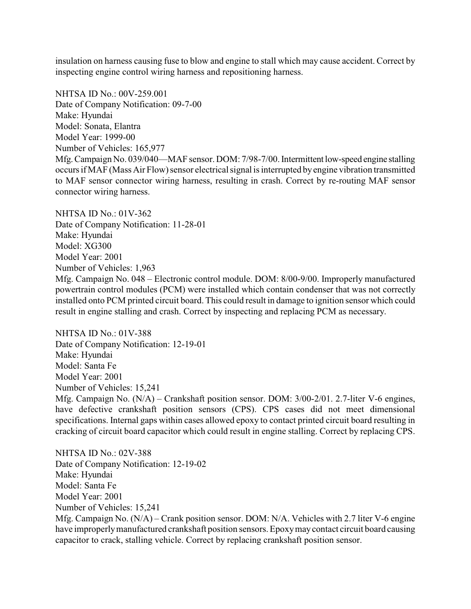insulation on harness causing fuse to blow and engine to stall which may cause accident. Correct by inspecting engine control wiring harness and repositioning harness.

NHTSA ID No.: 00V-259.001 Date of Company Notification: 09-7-00 Make: Hyundai Model: Sonata, Elantra Model Year: 1999-00 Number of Vehicles: 165,977 Mfg.Campaign No. 039/040—MAF sensor. DOM: 7/98-7/00. Intermittent low-speed engine stalling occurs if MAF (Mass Air Flow) sensor electrical signal is interrupted by engine vibration transmitted to MAF sensor connector wiring harness, resulting in crash. Correct by re-routing MAF sensor connector wiring harness.

NHTSA ID No $\cdot$  01V-362 Date of Company Notification: 11-28-01 Make: Hyundai Model: XG300 Model Year: 2001 Number of Vehicles: 1,963 Mfg. Campaign No. 048 – Electronic control module. DOM: 8/00-9/00. Improperly manufactured powertrain control modules (PCM) were installed which contain condenser that was not correctly installed onto PCM printed circuit board. This could result in damage to ignition sensor which could result in engine stalling and crash. Correct by inspecting and replacing PCM as necessary.

NHTSA ID No.: 01V-388 Date of Company Notification: 12-19-01 Make: Hyundai Model: Santa Fe Model Year: 2001 Number of Vehicles: 15,241 Mfg. Campaign No. (N/A) – Crankshaft position sensor. DOM: 3/00-2/01. 2.7-liter V-6 engines, have defective crankshaft position sensors (CPS). CPS cases did not meet dimensional specifications. Internal gaps within cases allowed epoxy to contact printed circuit board resulting in cracking of circuit board capacitor which could result in engine stalling. Correct by replacing CPS.

NHTSA ID No.: 02V-388 Date of Company Notification: 12-19-02 Make: Hyundai Model: Santa Fe Model Year: 2001 Number of Vehicles: 15,241 Mfg. Campaign No. (N/A) – Crank position sensor. DOM: N/A. Vehicles with 2.7 liter V-6 engine have improperlymanufactured crankshaft position sensors. Epoxymaycontact circuit board causing capacitor to crack, stalling vehicle. Correct by replacing crankshaft position sensor.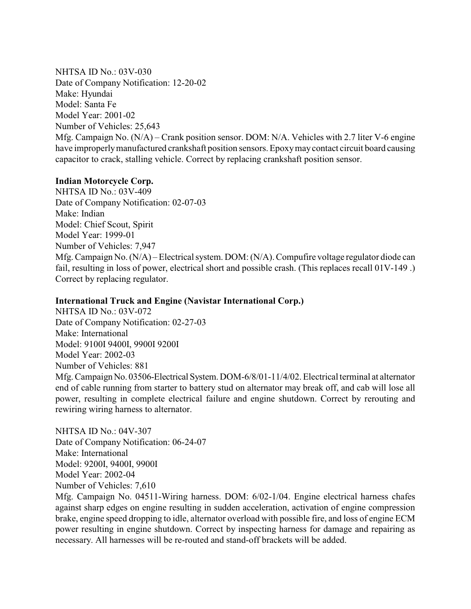NHTSA ID No.: 03V-030 Date of Company Notification: 12-20-02 Make: Hyundai Model: Santa Fe Model Year: 2001-02 Number of Vehicles: 25,643 Mfg. Campaign No. (N/A) – Crank position sensor. DOM: N/A. Vehicles with 2.7 liter V-6 engine have improperlymanufactured crankshaft position sensors. Epoxymaycontact circuit board causing capacitor to crack, stalling vehicle. Correct by replacing crankshaft position sensor.

# **Indian Motorcycle Corp.**

NHTSA ID No.: 03V-409 Date of Company Notification: 02-07-03 Make: Indian Model: Chief Scout, Spirit Model Year: 1999-01 Number of Vehicles: 7,947 Mfg. Campaign No. (N/A) – Electrical system. DOM: (N/A). Compufire voltage regulator diode can fail, resulting in loss of power, electrical short and possible crash. (This replaces recall 01V-149 .) Correct by replacing regulator.

# **International Truck and Engine (Navistar International Corp.)**

NHTSA ID No.: 03V-072 Date of Company Notification: 02-27-03 Make: International Model: 9100I 9400I, 9900I 9200I Model Year: 2002-03 Number of Vehicles: 881 Mfg. Campaign No. 03506-Electrical System. DOM-6/8/01-11/4/02. Electrical terminal at alternator end of cable running from starter to battery stud on alternator may break off, and cab will lose all power, resulting in complete electrical failure and engine shutdown. Correct by rerouting and rewiring wiring harness to alternator.

NHTSA ID No.: 04V-307 Date of Company Notification: 06-24-07 Make: International Model: 9200I, 9400I, 9900I Model Year: 2002-04 Number of Vehicles: 7,610

Mfg. Campaign No. 04511-Wiring harness. DOM: 6/02-1/04. Engine electrical harness chafes against sharp edges on engine resulting in sudden acceleration, activation of engine compression brake, engine speed dropping to idle, alternator overload with possible fire, and loss of engine ECM power resulting in engine shutdown. Correct by inspecting harness for damage and repairing as necessary. All harnesses will be re-routed and stand-off brackets will be added.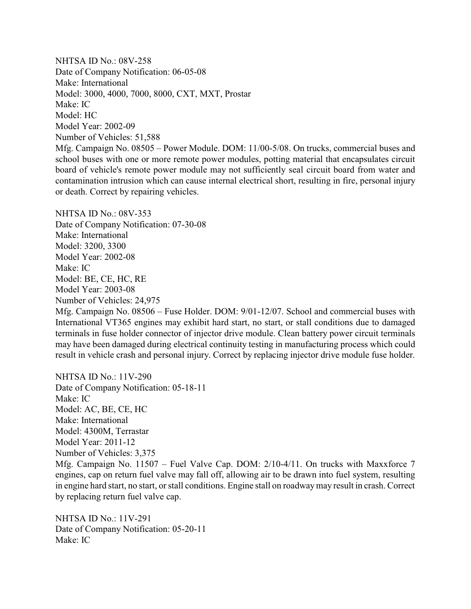NHTSA ID No.: 08V-258 Date of Company Notification: 06-05-08 Make: International Model: 3000, 4000, 7000, 8000, CXT, MXT, Prostar Make: IC Model: HC Model Year: 2002-09 Number of Vehicles: 51,588 Mfg. Campaign No. 08505 – Power Module. DOM: 11/00-5/08. On trucks, commercial buses and school buses with one or more remote power modules, potting material that encapsulates circuit board of vehicle's remote power module may not sufficiently seal circuit board from water and contamination intrusion which can cause internal electrical short, resulting in fire, personal injury or death. Correct by repairing vehicles.

NHTSA ID No $\cdot$  08V-353 Date of Company Notification: 07-30-08 Make: International Model: 3200, 3300 Model Year: 2002-08 Make: IC Model: BE, CE, HC, RE Model Year: 2003-08 Number of Vehicles: 24,975

Mfg. Campaign No. 08506 – Fuse Holder. DOM: 9/01-12/07. School and commercial buses with International VT365 engines may exhibit hard start, no start, or stall conditions due to damaged terminals in fuse holder connector of injector drive module. Clean battery power circuit terminals may have been damaged during electrical continuity testing in manufacturing process which could result in vehicle crash and personal injury. Correct by replacing injector drive module fuse holder.

NHTSA ID No.: 11V-290 Date of Company Notification: 05-18-11 Make: IC Model: AC, BE, CE, HC Make: International Model: 4300M, Terrastar Model Year: 2011-12 Number of Vehicles: 3,375 Mfg. Campaign No. 11507 – Fuel Valve Cap. DOM: 2/10-4/11. On trucks with Maxxforce 7 engines, cap on return fuel valve may fall off, allowing air to be drawn into fuel system, resulting in engine hard start, no start, or stall conditions. Engine stall on roadwaymay result in crash. Correct by replacing return fuel valve cap.

NHTSA ID No.: 11V-291 Date of Company Notification: 05-20-11 Make: IC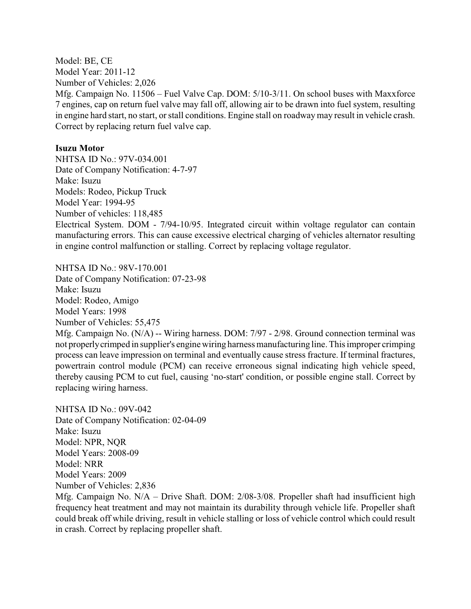Model: BE, CE Model Year: 2011-12 Number of Vehicles: 2,026 Mfg. Campaign No. 11506 – Fuel Valve Cap. DOM: 5/10-3/11. On school buses with Maxxforce 7 engines, cap on return fuel valve may fall off, allowing air to be drawn into fuel system, resulting in engine hard start, no start, or stall conditions. Engine stall on roadway may result in vehicle crash. Correct by replacing return fuel valve cap.

#### **Isuzu Motor**

NHTSA ID No.: 97V-034.001 Date of Company Notification: 4-7-97 Make: Isuzu Models: Rodeo, Pickup Truck Model Year: 1994-95 Number of vehicles: 118,485 Electrical System. DOM - 7/94-10/95. Integrated circuit within voltage regulator can contain manufacturing errors. This can cause excessive electrical charging of vehicles alternator resulting in engine control malfunction or stalling. Correct by replacing voltage regulator.

NHTSA ID No.: 98V-170.001 Date of Company Notification: 07-23-98 Make: Isuzu Model: Rodeo, Amigo Model Years: 1998 Number of Vehicles: 55,475

Mfg. Campaign No. (N/A) -- Wiring harness. DOM: 7/97 - 2/98. Ground connection terminal was not properlycrimped in supplier's engine wiring harness manufacturing line. This improper crimping process can leave impression on terminal and eventually cause stress fracture. If terminal fractures, powertrain control module (PCM) can receive erroneous signal indicating high vehicle speed, thereby causing PCM to cut fuel, causing 'no-start' condition, or possible engine stall. Correct by replacing wiring harness.

NHTSA ID No.: 09V-042 Date of Company Notification: 02-04-09 Make: Isuzu Model: NPR, NQR Model Years: 2008-09 Model: NRR Model Years: 2009 Number of Vehicles: 2,836

Mfg. Campaign No.  $N/A$  – Drive Shaft. DOM: 2/08-3/08. Propeller shaft had insufficient high frequency heat treatment and may not maintain its durability through vehicle life. Propeller shaft could break off while driving, result in vehicle stalling or loss of vehicle control which could result in crash. Correct by replacing propeller shaft.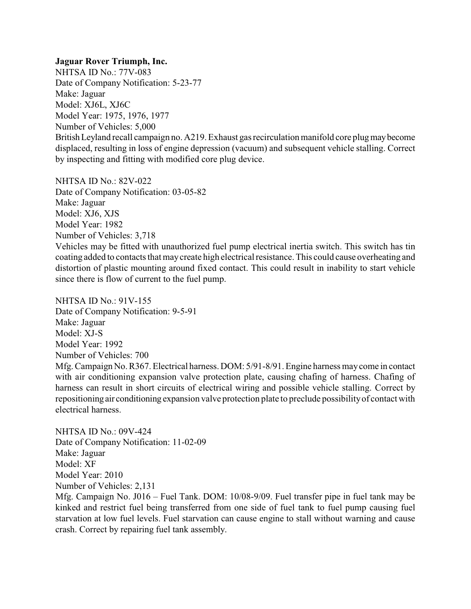#### **Jaguar Rover Triumph, Inc.**

NHTSA ID No.: 77V-083 Date of Company Notification: 5-23-77 Make: Jaguar Model: XJ6L, XJ6C Model Year: 1975, 1976, 1977 Number of Vehicles: 5,000 BritishLeyland recall campaign no. A219. Exhaust gas recirculation manifold core plugmaybecome displaced, resulting in loss of engine depression (vacuum) and subsequent vehicle stalling. Correct by inspecting and fitting with modified core plug device.

NHTSA ID No.: 82V-022

Date of Company Notification: 03-05-82 Make: Jaguar Model: XJ6, XJS Model Year: 1982 Number of Vehicles: 3,718

Vehicles may be fitted with unauthorized fuel pump electrical inertia switch. This switch has tin coating added to contacts that maycreate high electrical resistance. This could cause overheating and distortion of plastic mounting around fixed contact. This could result in inability to start vehicle since there is flow of current to the fuel pump.

NHTSA ID No.: 91V-155 Date of Company Notification: 9-5-91 Make: Jaguar Model: XJ-S Model Year: 1992 Number of Vehicles: 700 Mfg. Campaign No. R367. Electrical harness. DOM: 5/91-8/91. Engine harness maycome in contact with air conditioning expansion valve protection plate, causing chafing of harness. Chafing of harness can result in short circuits of electrical wiring and possible vehicle stalling. Correct by repositioning air conditioning expansion valve protection plate to preclude possibilityof contact with electrical harness.

NHTSA ID No.: 09V-424 Date of Company Notification: 11-02-09 Make: Jaguar Model: XF Model Year: 2010 Number of Vehicles: 2,131

Mfg. Campaign No. J016 – Fuel Tank. DOM: 10/08-9/09. Fuel transfer pipe in fuel tank may be kinked and restrict fuel being transferred from one side of fuel tank to fuel pump causing fuel starvation at low fuel levels. Fuel starvation can cause engine to stall without warning and cause crash. Correct by repairing fuel tank assembly.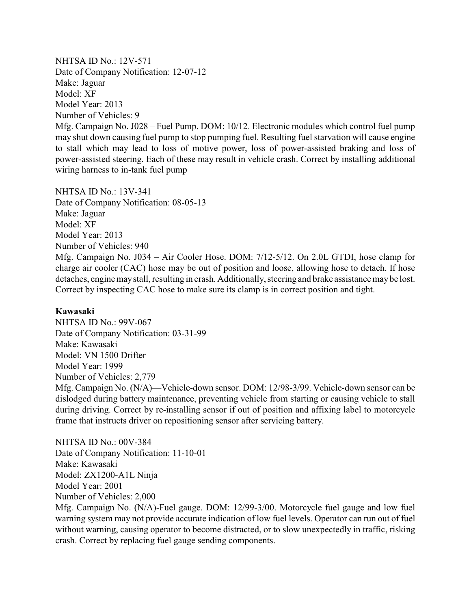NHTSA ID No.: 12V-571 Date of Company Notification: 12-07-12 Make: Jaguar Model: XF Model Year: 2013 Number of Vehicles: 9 Mfg. Campaign No. J028 – Fuel Pump. DOM: 10/12. Electronic modules which control fuel pump may shut down causing fuel pump to stop pumping fuel. Resulting fuel starvation will cause engine to stall which may lead to loss of motive power, loss of power-assisted braking and loss of power-assisted steering. Each of these may result in vehicle crash. Correct by installing additional wiring harness to in-tank fuel pump

NHTSA ID No.: 13V-341 Date of Company Notification: 08-05-13 Make: Jaguar Model: XF Model Year: 2013 Number of Vehicles: 940 Mfg. Campaign No. J034 – Air Cooler Hose. DOM: 7/12-5/12. On 2.0L GTDI, hose clamp for charge air cooler (CAC) hose may be out of position and loose, allowing hose to detach. If hose detaches, engine may stall, resulting in crash. Additionally, steering and brake assistance may be lost. Correct by inspecting CAC hose to make sure its clamp is in correct position and tight.

#### **Kawasaki**

NHTSA ID No.: 99V-067 Date of Company Notification: 03-31-99 Make: Kawasaki Model: VN 1500 Drifter Model Year: 1999 Number of Vehicles: 2,779 Mfg. Campaign No. (N/A)—Vehicle-down sensor. DOM: 12/98-3/99. Vehicle-down sensor can be dislodged during battery maintenance, preventing vehicle from starting or causing vehicle to stall during driving. Correct by re-installing sensor if out of position and affixing label to motorcycle frame that instructs driver on repositioning sensor after servicing battery.

NHTSA ID No.: 00V-384 Date of Company Notification: 11-10-01 Make: Kawasaki Model: ZX1200-A1L Ninja Model Year: 2001 Number of Vehicles: 2,000 Mfg. Campaign No. (N/A)-Fuel gauge. DOM: 12/99-3/00. Motorcycle fuel gauge and low fuel warning system may not provide accurate indication of low fuel levels. Operator can run out of fuel without warning, causing operator to become distracted, or to slow unexpectedly in traffic, risking crash. Correct by replacing fuel gauge sending components.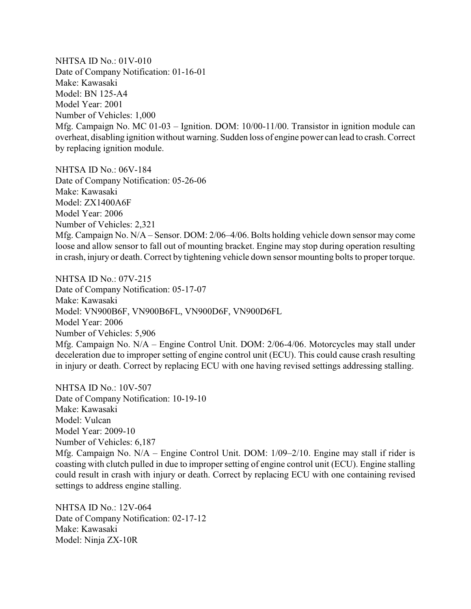NHTSA ID No.: 01V-010 Date of Company Notification: 01-16-01 Make: Kawasaki Model: BN 125-A4 Model Year: 2001 Number of Vehicles: 1,000 Mfg. Campaign No. MC 01-03 – Ignition. DOM: 10/00-11/00. Transistor in ignition module can overheat, disabling ignition without warning. Sudden loss of engine power can lead to crash. Correct by replacing ignition module.

NHTSA ID No.: 06V-184 Date of Company Notification: 05-26-06 Make: Kawasaki Model: ZX1400A6F Model Year: 2006 Number of Vehicles: 2,321 Mfg. Campaign No. N/A – Sensor. DOM: 2/06–4/06. Bolts holding vehicle down sensor may come loose and allow sensor to fall out of mounting bracket. Engine may stop during operation resulting in crash, injury or death. Correct by tightening vehicle down sensor mounting bolts to propertorque.

NHTSA ID No.: 07V-215 Date of Company Notification: 05-17-07 Make: Kawasaki Model: VN900B6F, VN900B6FL, VN900D6F, VN900D6FL Model Year: 2006 Number of Vehicles: 5,906 Mfg. Campaign No. N/A – Engine Control Unit. DOM: 2/06-4/06. Motorcycles may stall under deceleration due to improper setting of engine control unit (ECU). This could cause crash resulting in injury or death. Correct by replacing ECU with one having revised settings addressing stalling.

NHTSA ID No.: 10V-507 Date of Company Notification: 10-19-10 Make: Kawasaki Model: Vulcan Model Year: 2009-10 Number of Vehicles: 6,187 Mfg. Campaign No. N/A – Engine Control Unit. DOM: 1/09–2/10. Engine may stall if rider is coasting with clutch pulled in due to improper setting of engine control unit (ECU). Engine stalling could result in crash with injury or death. Correct by replacing ECU with one containing revised settings to address engine stalling.

NHTSA ID No.: 12V-064 Date of Company Notification: 02-17-12 Make: Kawasaki Model: Ninja ZX-10R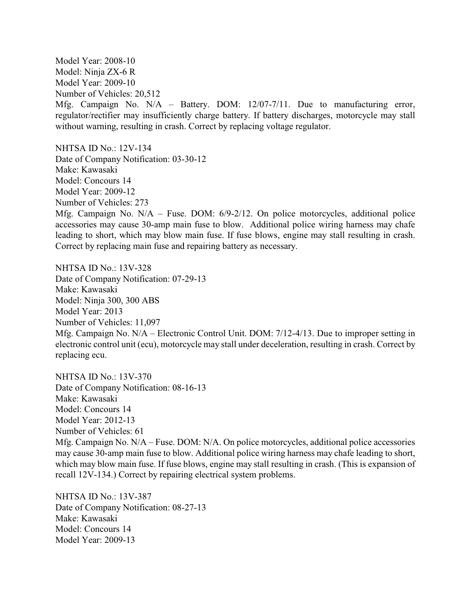Model Year: 2008-10 Model: Ninja ZX-6 R Model Year: 2009-10 Number of Vehicles: 20,512 Mfg. Campaign No. N/A – Battery. DOM: 12/07-7/11. Due to manufacturing error, regulator/rectifier may insufficiently charge battery. If battery discharges, motorcycle may stall without warning, resulting in crash. Correct by replacing voltage regulator.

NHTSA ID No.: 12V-134 Date of Company Notification: 03-30-12 Make: Kawasaki Model: Concours 14 Model Year: 2009-12 Number of Vehicles: 273 Mfg. Campaign No. N/A – Fuse. DOM: 6/9-2/12. On police motorcycles, additional police accessories may cause 30-amp main fuse to blow. Additional police wiring harness may chafe leading to short, which may blow main fuse. If fuse blows, engine may stall resulting in crash. Correct by replacing main fuse and repairing battery as necessary.

NHTSA ID No.: 13V-328 Date of Company Notification: 07-29-13 Make: Kawasaki Model: Ninja 300, 300 ABS Model Year: 2013 Number of Vehicles: 11,097 Mfg. Campaign No. N/A – Electronic Control Unit. DOM: 7/12-4/13. Due to improper setting in electronic control unit (ecu), motorcycle may stall under deceleration, resulting in crash. Correct by replacing ecu.

NHTSA ID No.: 13V-370 Date of Company Notification: 08-16-13 Make: Kawasaki Model: Concours 14 Model Year: 2012-13 Number of Vehicles: 61 Mfg. Campaign No. N/A – Fuse. DOM: N/A. On police motorcycles, additional police accessories may cause 30-amp main fuse to blow. Additional police wiring harness may chafe leading to short, which may blow main fuse. If fuse blows, engine may stall resulting in crash. (This is expansion of recall 12V-134.) Correct by repairing electrical system problems.

NHTSA ID No.: 13V-387 Date of Company Notification: 08-27-13 Make: Kawasaki Model: Concours 14 Model Year: 2009-13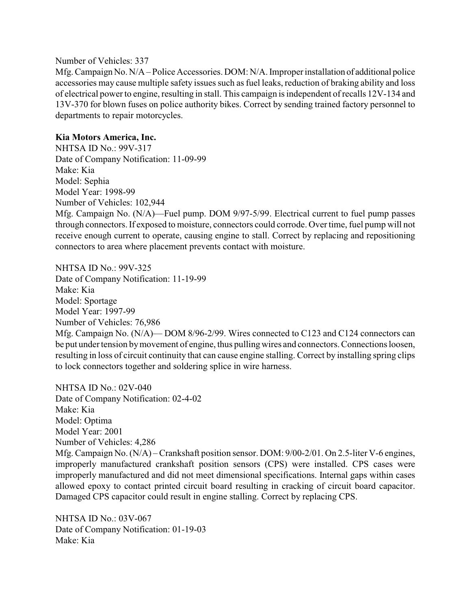#### Number of Vehicles: 337

Mfg. Campaign No. N/A – Police Accessories. DOM: N/A. Improper installation of additional police accessories may cause multiple safety issues such as fuel leaks, reduction of braking ability and loss of electrical powerto engine, resulting in stall. This campaign is independent of recalls 12V-134 and 13V-370 for blown fuses on police authority bikes. Correct by sending trained factory personnel to departments to repair motorcycles.

# **Kia Motors America, Inc.**

NHTSA ID No.: 99V-317 Date of Company Notification: 11-09-99 Make: Kia Model: Sephia Model Year: 1998-99 Number of Vehicles: 102,944 Mfg. Campaign No. (N/A)—Fuel pump. DOM 9/97-5/99. Electrical current to fuel pump passes through connectors. If exposed to moisture, connectors could corrode. Overtime, fuel pump will not receive enough current to operate, causing engine to stall. Correct by replacing and repositioning connectors to area where placement prevents contact with moisture.

NHTSA ID No.: 99V-325 Date of Company Notification: 11-19-99 Make: Kia Model: Sportage Model Year: 1997-99 Number of Vehicles: 76,986 Mfg. Campaign No. (N/A)— DOM 8/96-2/99. Wires connected to C123 and C124 connectors can be put under tension bymovement of engine, thus pulling wires and connectors. Connections loosen, resulting in loss of circuit continuity that can cause engine stalling. Correct by installing spring clips to lock connectors together and soldering splice in wire harness.

NHTSA ID No.: 02V-040 Date of Company Notification: 02-4-02 Make: Kia Model: Optima Model Year: 2001 Number of Vehicles: 4,286 Mfg. Campaign No. (N/A) – Crankshaft position sensor. DOM: 9/00-2/01. On 2.5-liter V-6 engines, improperly manufactured crankshaft position sensors (CPS) were installed. CPS cases were improperly manufactured and did not meet dimensional specifications. Internal gaps within cases allowed epoxy to contact printed circuit board resulting in cracking of circuit board capacitor. Damaged CPS capacitor could result in engine stalling. Correct by replacing CPS.

NHTSA ID No $\cdot$  03V-067 Date of Company Notification: 01-19-03 Make: Kia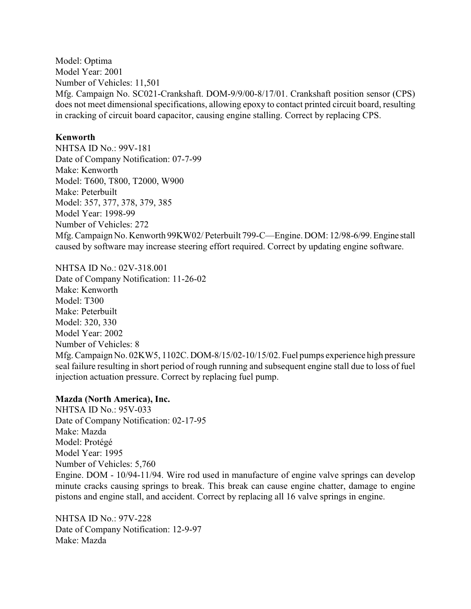Model: Optima Model Year: 2001 Number of Vehicles: 11,501 Mfg. Campaign No. SC021-Crankshaft. DOM-9/9/00-8/17/01. Crankshaft position sensor (CPS) does not meet dimensional specifications, allowing epoxy to contact printed circuit board, resulting in cracking of circuit board capacitor, causing engine stalling. Correct by replacing CPS.

## **Kenworth**

NHTSA ID No.: 99V-181 Date of Company Notification: 07-7-99 Make: Kenworth Model: T600, T800, T2000, W900 Make: Peterbuilt Model: 357, 377, 378, 379, 385 Model Year: 1998-99 Number of Vehicles: 272 Mfg. Campaign No. Kenworth 99KW02/ Peterbuilt 799-C—Engine. DOM: 12/98-6/99.Engine stall caused by software may increase steering effort required. Correct by updating engine software.

NHTSA ID No.: 02V-318.001

Date of Company Notification: 11-26-02 Make: Kenworth Model: T300 Make: Peterbuilt Model: 320, 330 Model Year: 2002 Number of Vehicles: 8 Mfg. Campaign No. 02KW5, 1102C. DOM-8/15/02-10/15/02. Fuel pumps experience high pressure seal failure resulting in short period of rough running and subsequent engine stall due to loss of fuel injection actuation pressure. Correct by replacing fuel pump.

# **Mazda (North America), Inc.**

NHTSA ID No.: 95V-033 Date of Company Notification: 02-17-95 Make: Mazda Model: Protégé Model Year: 1995 Number of Vehicles: 5,760 Engine. DOM - 10/94-11/94. Wire rod used in manufacture of engine valve springs can develop minute cracks causing springs to break. This break can cause engine chatter, damage to engine pistons and engine stall, and accident. Correct by replacing all 16 valve springs in engine.

NHTSA ID No $\cdot$  97V-228 Date of Company Notification: 12-9-97 Make: Mazda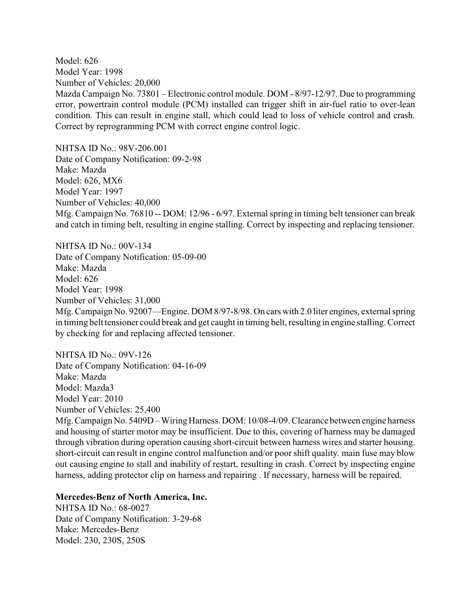Model: 626 Model Year: 1998 Number of Vehicles: 20,000 Mazda Campaign No. 73801 – Electronic control module. DOM - 8/97-12/97. Due to programming error, powertrain control module (PCM) installed can trigger shift in air-fuel ratio to over-lean condition. This can result in engine stall, which could lead to loss of vehicle control and crash. Correct by reprogramming PCM with correct engine control logic.

NHTSA ID No.: 98V-206.001 Date of Company Notification: 09-2-98 Make: Mazda Model: 626, MX6 Model Year: 1997 Number of Vehicles: 40,000 Mfg. Campaign No. 76810 -- DOM: 12/96 - 6/97. External spring in timing belt tensioner can break and catch in timing belt, resulting in engine stalling. Correct by inspecting and replacing tensioner.

NHTSA ID No.: 00V-134 Date of Company Notification: 05-09-00 Make: Mazda Model: 626 Model Year: 1998 Number of Vehicles: 31,000 Mfg. Campaign No. 92007—Engine. DOM 8/97-8/98. On cars with 2.0 liter engines, external spring in timing belt tensioner could break and get caught in timing belt, resulting in engine stalling. Correct by checking for and replacing affected tensioner.

NHTSA ID No.: 09V-126 Date of Company Notification: 04-16-09 Make: Mazda Model: Mazda3 Model Year: 2010 Number of Vehicles: 25,400

Mfg.Campaign No. 5409D – Wiring Harness. DOM: 10/08-4/09. Clearance between engine harness and housing of starter motor may be insufficient. Due to this, covering of harness may be damaged through vibration during operation causing short-circuit between harness wires and starter housing. short-circuit can result in engine control malfunction and/or poor shift quality. main fuse may blow out causing engine to stall and inability of restart, resulting in crash. Correct by inspecting engine harness, adding protector clip on harness and repairing . If necessary, harness will be repaired.

#### **Mercedes-Benz of North America, Inc.**

NHTSA ID No.: 68-0027 Date of Company Notification: 3-29-68 Make: Mercedes-Benz Model: 230, 230S, 250S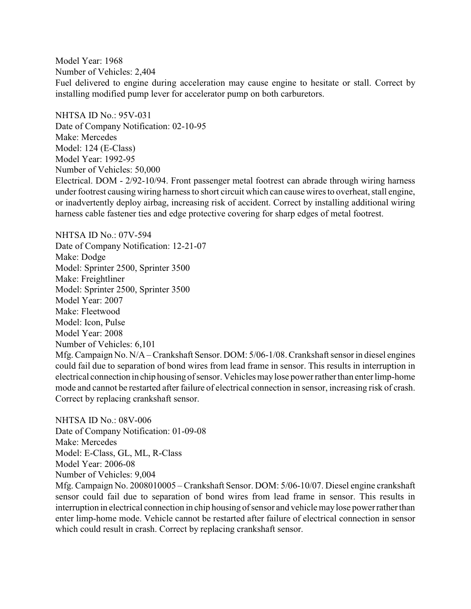Model Year: 1968 Number of Vehicles: 2,404 Fuel delivered to engine during acceleration may cause engine to hesitate or stall. Correct by installing modified pump lever for accelerator pump on both carburetors.

NHTSA ID No.: 95V-031 Date of Company Notification: 02-10-95 Make: Mercedes Model: 124 (E-Class) Model Year: 1992-95 Number of Vehicles: 50,000

Electrical. DOM - 2/92-10/94. Front passenger metal footrest can abrade through wiring harness under footrest causing wiring harness to short circuit which can causewires to overheat, stall engine, or inadvertently deploy airbag, increasing risk of accident. Correct by installing additional wiring harness cable fastener ties and edge protective covering for sharp edges of metal footrest.

NHTSA ID No.: 07V-594 Date of Company Notification: 12-21-07 Make: Dodge Model: Sprinter 2500, Sprinter 3500 Make: Freightliner Model: Sprinter 2500, Sprinter 3500 Model Year: 2007 Make: Fleetwood Model: Icon, Pulse Model Year: 2008 Number of Vehicles: 6,101 Mfg. Campaign No. N/A – Crankshaft Sensor. DOM: 5/06-1/08. Crankshaft sensor in diesel engines could fail due to separation of bond wires from lead frame in sensor. This results in interruption in electrical connection in chip housing of sensor. Vehicles maylose powerrather than enterlimp-home mode and cannot be restarted after failure of electrical connection in sensor, increasing risk of crash. Correct by replacing crankshaft sensor.

NHTSA ID No.: 08V-006 Date of Company Notification: 01-09-08 Make: Mercedes Model: E-Class, GL, ML, R-Class Model Year: 2006-08 Number of Vehicles: 9,004

Mfg. Campaign No. 2008010005 – Crankshaft Sensor. DOM: 5/06-10/07. Diesel engine crankshaft sensor could fail due to separation of bond wires from lead frame in sensor. This results in interruption in electrical connection in chip housing of sensor and vehicle maylose powerrather than enter limp-home mode. Vehicle cannot be restarted after failure of electrical connection in sensor which could result in crash. Correct by replacing crankshaft sensor.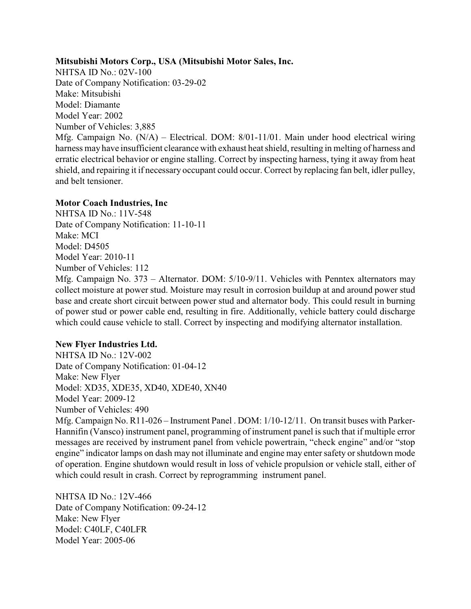## **Mitsubishi Motors Corp., USA (Mitsubishi Motor Sales, Inc.**

NHTSA ID No.: 02V-100 Date of Company Notification: 03-29-02 Make: Mitsubishi Model: Diamante Model Year: 2002 Number of Vehicles: 3,885 Mfg. Campaign No. (N/A) – Electrical. DOM: 8/01-11/01. Main under hood electrical wiring harness may have insufficient clearance with exhaust heat shield, resulting in melting of harness and erratic electrical behavior or engine stalling. Correct by inspecting harness, tying it away from heat shield, and repairing it if necessary occupant could occur. Correct by replacing fan belt, idler pulley, and belt tensioner.

### **Motor Coach Industries, Inc**

NHTSA ID No.: 11V-548 Date of Company Notification: 11-10-11 Make: MCI Model: D4505 Model Year: 2010-11 Number of Vehicles: 112 Mfg. Campaign No. 373 – Alternator. DOM: 5/10-9/11. Vehicles with Penntex alternators may collect moisture at power stud. Moisture may result in corrosion buildup at and around power stud base and create short circuit between power stud and alternator body. This could result in burning of power stud or power cable end, resulting in fire. Additionally, vehicle battery could discharge which could cause vehicle to stall. Correct by inspecting and modifying alternator installation.

# **New Flyer Industries Ltd.**

NHTSA ID No.: 12V-002 Date of Company Notification: 01-04-12 Make: New Flyer Model: XD35, XDE35, XD40, XDE40, XN40 Model Year: 2009-12 Number of Vehicles: 490 Mfg. Campaign No. R11-026 – Instrument Panel . DOM: 1/10-12/11. On transit buses with Parker-Hannifin (Vansco) instrument panel, programming of instrument panel is such that if multiple error messages are received by instrument panel from vehicle powertrain, "check engine" and/or "stop engine" indicator lamps on dash may not illuminate and engine may enter safety or shutdown mode of operation. Engine shutdown would result in loss of vehicle propulsion or vehicle stall, either of which could result in crash. Correct by reprogramming instrument panel.

NHTSA ID No.: 12V-466 Date of Company Notification: 09-24-12 Make: New Flyer Model: C40LF, C40LFR Model Year: 2005-06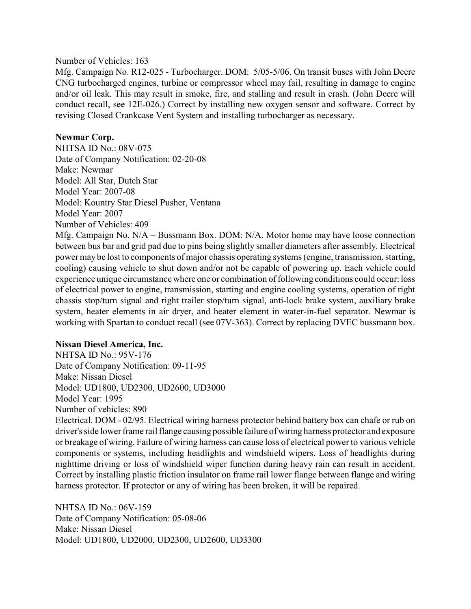#### Number of Vehicles: 163

Mfg. Campaign No. R12-025 - Turbocharger. DOM: 5/05-5/06. On transit buses with John Deere CNG turbocharged engines, turbine or compressor wheel may fail, resulting in damage to engine and/or oil leak. This may result in smoke, fire, and stalling and result in crash. (John Deere will conduct recall, see 12E-026.) Correct by installing new oxygen sensor and software. Correct by revising Closed Crankcase Vent System and installing turbocharger as necessary.

# **Newmar Corp.**

NHTSA ID No.: 08V-075 Date of Company Notification: 02-20-08 Make: Newmar Model: All Star, Dutch Star Model Year: 2007-08 Model: Kountry Star Diesel Pusher, Ventana Model Year: 2007 Number of Vehicles: 409

Mfg. Campaign No. N/A – Bussmann Box. DOM: N/A. Motor home may have loose connection between bus bar and grid pad due to pins being slightly smaller diameters after assembly. Electrical power may be lost to components of major chassis operating systems (engine, transmission, starting, cooling) causing vehicle to shut down and/or not be capable of powering up. Each vehicle could experience unique circumstance where one or combination of following conditions could occur: loss of electrical power to engine, transmission, starting and engine cooling systems, operation of right chassis stop/turn signal and right trailer stop/turn signal, anti-lock brake system, auxiliary brake system, heater elements in air dryer, and heater element in water-in-fuel separator. Newmar is working with Spartan to conduct recall (see 07V-363). Correct by replacing DVEC bussmann box.

### **Nissan Diesel America, Inc.**

NHTSA ID No.: 95V-176 Date of Company Notification: 09-11-95 Make: Nissan Diesel Model: UD1800, UD2300, UD2600, UD3000 Model Year: 1995 Number of vehicles: 890 Electrical. DOM - 02/95. Electrical wiring harness protector behind battery box can chafe or rub on driver's side lower frame rail flange causing possible failure of wiring harness protector and exposure or breakage of wiring. Failure of wiring harness can cause loss of electrical power to various vehicle components or systems, including headlights and windshield wipers. Loss of headlights during nighttime driving or loss of windshield wiper function during heavy rain can result in accident. Correct by installing plastic friction insulator on frame rail lower flange between flange and wiring harness protector. If protector or any of wiring has been broken, it will be repaired.

NHTSA ID No.: 06V-159 Date of Company Notification: 05-08-06 Make: Nissan Diesel Model: UD1800, UD2000, UD2300, UD2600, UD3300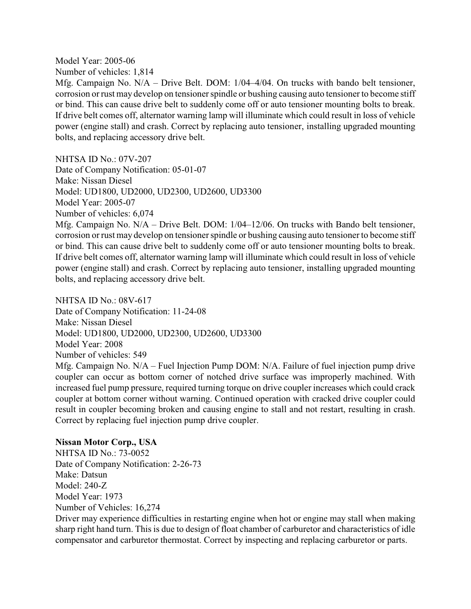Model Year: 2005-06

Number of vehicles: 1,814

Mfg. Campaign No.  $N/A$  – Drive Belt. DOM:  $1/04-4/04$ . On trucks with bando belt tensioner, corrosion or rust may develop on tensioner spindle or bushing causing auto tensioner to become stiff or bind. This can cause drive belt to suddenly come off or auto tensioner mounting bolts to break. If drive belt comes off, alternator warning lamp will illuminate which could result in loss of vehicle power (engine stall) and crash. Correct by replacing auto tensioner, installing upgraded mounting bolts, and replacing accessory drive belt.

NHTSA ID No.: 07V-207

Date of Company Notification: 05-01-07 Make: Nissan Diesel Model: UD1800, UD2000, UD2300, UD2600, UD3300 Model Year: 2005-07

Number of vehicles: 6,074

Mfg. Campaign No. N/A – Drive Belt. DOM: 1/04–12/06. On trucks with Bando belt tensioner, corrosion or rust may develop on tensioner spindle or bushing causing auto tensioner to become stiff or bind. This can cause drive belt to suddenly come off or auto tensioner mounting bolts to break. If drive belt comes off, alternator warning lamp will illuminate which could result in loss of vehicle power (engine stall) and crash. Correct by replacing auto tensioner, installing upgraded mounting bolts, and replacing accessory drive belt.

NHTSA ID No.: 08V-617 Date of Company Notification: 11-24-08 Make: Nissan Diesel Model: UD1800, UD2000, UD2300, UD2600, UD3300 Model Year: 2008 Number of vehicles: 549 Mfg. Campaign No. N/A – Fuel Injection Pump DOM: N/A. Failure of fuel injection pump drive coupler can occur as bottom corner of notched drive surface was improperly machined. With increased fuel pump pressure, required turning torque on drive coupler increases which could crack

coupler at bottom corner without warning. Continued operation with cracked drive coupler could result in coupler becoming broken and causing engine to stall and not restart, resulting in crash. Correct by replacing fuel injection pump drive coupler.

# **Nissan Motor Corp., USA**

NHTSA ID No.: 73-0052 Date of Company Notification: 2-26-73 Make: Datsun Model: 240-Z Model Year: 1973 Number of Vehicles: 16,274

Driver may experience difficulties in restarting engine when hot or engine may stall when making sharp right hand turn. This is due to design of float chamber of carburetor and characteristics of idle compensator and carburetor thermostat. Correct by inspecting and replacing carburetor or parts.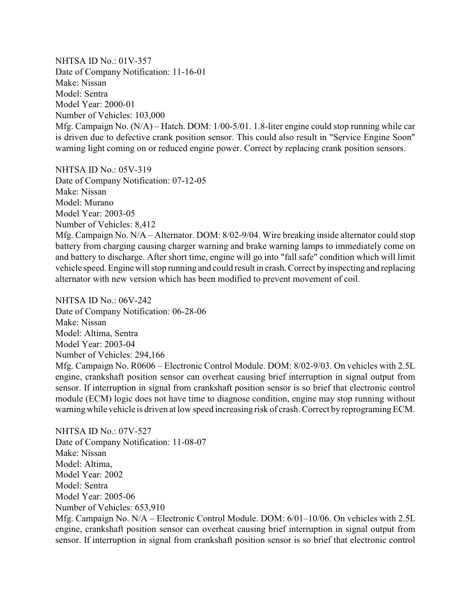NHTSA ID No.: 01V-357 Date of Company Notification: 11-16-01 Make: Nissan Model: Sentra Model Year: 2000-01 Number of Vehicles: 103,000 Mfg. Campaign No. (N/A) – Hatch. DOM: 1/00-5/01. 1.8-liter engine could stop running while car is driven due to defective crank position sensor. This could also result in "Service Engine Soon" warning light coming on or reduced engine power. Correct by replacing crank position sensors.

NHTSA ID No.: 05V-319 Date of Company Notification: 07-12-05 Make: Nissan Model: Murano Model Year: 2003-05 Number of Vehicles: 8,412 Mfg. Campaign No. N/A – Alternator. DOM: 8/02-9/04. Wire breaking inside alternator could stop battery from charging causing charger warning and brake warning lamps to immediately come on and battery to discharge. After short time, engine will go into "fall safe" condition which will limit vehicle speed. Engine will stop running and could result in crash. Correct byinspecting and replacing alternator with new version which has been modified to prevent movement of coil.

NHTSA ID No.: 06V-242 Date of Company Notification: 06-28-06 Make: Nissan Model: Altima, Sentra Model Year: 2003-04 Number of Vehicles: 294,166 Mfg. Campaign No. R0606 – Electronic Control Module. DOM: 8/02-9/03. On vehicles with 2.5L engine, crankshaft position sensor can overheat causing brief interruption in signal output from sensor. If interruption in signal from crankshaft position sensor is so brief that electronic control module (ECM) logic does not have time to diagnose condition, engine may stop running without warning while vehicle is driven at low speed increasing risk of crash. Correct by reprograming ECM.

NHTSA ID No.: 07V-527 Date of Company Notification: 11-08-07 Make: Nissan Model: Altima, Model Year: 2002 Model: Sentra Model Year: 2005-06 Number of Vehicles: 653,910

Mfg. Campaign No. N/A – Electronic Control Module. DOM: 6/01–10/06. On vehicles with 2.5L engine, crankshaft position sensor can overheat causing brief interruption in signal output from sensor. If interruption in signal from crankshaft position sensor is so brief that electronic control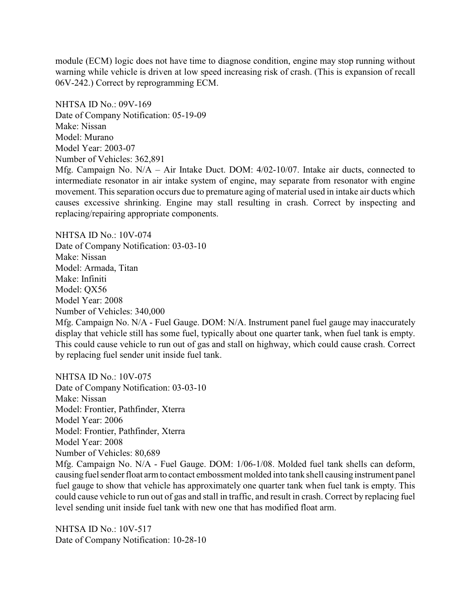module (ECM) logic does not have time to diagnose condition, engine may stop running without warning while vehicle is driven at low speed increasing risk of crash. (This is expansion of recall 06V-242.) Correct by reprogramming ECM.

NHTSA ID No.: 09V-169 Date of Company Notification: 05-19-09 Make: Nissan Model: Murano Model Year: 2003-07 Number of Vehicles: 362,891

Mfg. Campaign No. N/A – Air Intake Duct. DOM: 4/02-10/07. Intake air ducts, connected to intermediate resonator in air intake system of engine, may separate from resonator with engine movement. This separation occurs due to premature aging of material used in intake air ducts which causes excessive shrinking. Engine may stall resulting in crash. Correct by inspecting and replacing/repairing appropriate components.

NHTSA ID No.: 10V-074 Date of Company Notification: 03-03-10 Make: Nissan Model: Armada, Titan Make: Infiniti Model: QX56 Model Year: 2008 Number of Vehicles: 340,000

Mfg. Campaign No. N/A - Fuel Gauge. DOM: N/A. Instrument panel fuel gauge may inaccurately display that vehicle still has some fuel, typically about one quarter tank, when fuel tank is empty. This could cause vehicle to run out of gas and stall on highway, which could cause crash. Correct by replacing fuel sender unit inside fuel tank.

NHTSA ID No.: 10V-075 Date of Company Notification: 03-03-10 Make: Nissan Model: Frontier, Pathfinder, Xterra Model Year: 2006 Model: Frontier, Pathfinder, Xterra Model Year: 2008 Number of Vehicles: 80,689 Mfg. Campaign No. N/A - Fuel Gauge. DOM: 1/06-1/08. Molded fuel tank shells can deform, causing fuel sender float arm to contact embossment molded into tank shell causing instrument panel

fuel gauge to show that vehicle has approximately one quarter tank when fuel tank is empty. This could cause vehicle to run out of gas and stall in traffic, and result in crash. Correct by replacing fuel level sending unit inside fuel tank with new one that has modified float arm.

NHTSA ID No.: 10V-517 Date of Company Notification: 10-28-10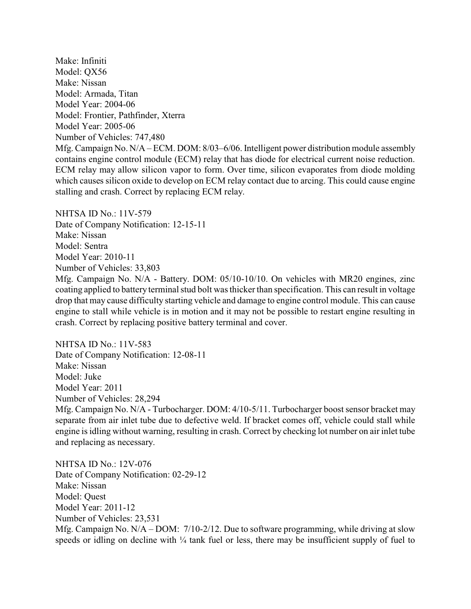Make: Infiniti Model: QX56 Make: Nissan Model: Armada, Titan Model Year: 2004-06 Model: Frontier, Pathfinder, Xterra Model Year: 2005-06 Number of Vehicles: 747,480 Mfg. Campaign No. N/A – ECM. DOM: 8/03–6/06. Intelligent power distribution module assembly contains engine control module (ECM) relay that has diode for electrical current noise reduction. ECM relay may allow silicon vapor to form. Over time, silicon evaporates from diode molding which causes silicon oxide to develop on ECM relay contact due to arcing. This could cause engine stalling and crash. Correct by replacing ECM relay.

NHTSA ID  $No.11V-579$ Date of Company Notification: 12-15-11 Make: Nissan Model: Sentra Model Year: 2010-11 Number of Vehicles: 33,803

Mfg. Campaign No. N/A - Battery. DOM: 05/10-10/10. On vehicles with MR20 engines, zinc coating applied to battery terminal stud bolt was thicker than specification. This can result in voltage drop that may cause difficulty starting vehicle and damage to engine control module. This can cause engine to stall while vehicle is in motion and it may not be possible to restart engine resulting in crash. Correct by replacing positive battery terminal and cover.

NHTSA ID No.: 11V-583 Date of Company Notification: 12-08-11 Make: Nissan Model: Juke Model Year: 2011 Number of Vehicles: 28,294

Mfg. Campaign No. N/A - Turbocharger. DOM: 4/10-5/11. Turbocharger boost sensor bracket may separate from air inlet tube due to defective weld. If bracket comes off, vehicle could stall while engine is idling without warning, resulting in crash. Correct by checking lot number on air inlet tube and replacing as necessary.

NHTSA ID No.: 12V-076 Date of Company Notification: 02-29-12 Make: Nissan Model: Quest Model Year: 2011-12 Number of Vehicles: 23,531 Mfg. Campaign No. N/A – DOM: 7/10-2/12. Due to software programming, while driving at slow speeds or idling on decline with  $\frac{1}{4}$  tank fuel or less, there may be insufficient supply of fuel to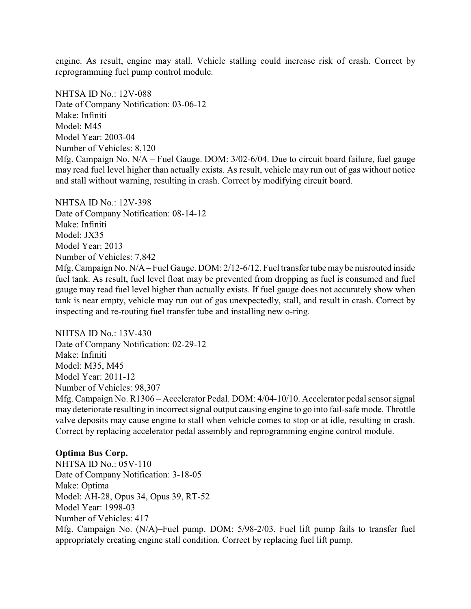engine. As result, engine may stall. Vehicle stalling could increase risk of crash. Correct by reprogramming fuel pump control module.

NHTSA ID No.: 12V-088 Date of Company Notification: 03-06-12 Make: Infiniti Model: M45 Model Year: 2003-04 Number of Vehicles: 8,120 Mfg. Campaign No. N/A – Fuel Gauge. DOM: 3/02-6/04. Due to circuit board failure, fuel gauge may read fuel level higher than actually exists. As result, vehicle may run out of gas without notice and stall without warning, resulting in crash. Correct by modifying circuit board.

NHTSA ID No.: 12V-398 Date of Company Notification: 08-14-12 Make: Infiniti Model: JX35 Model Year: 2013 Number of Vehicles: 7,842 Mfg. Campaign No. N/A – Fuel Gauge. DOM: 2/12-6/12. Fuel transfer tube maybe misrouted inside fuel tank. As result, fuel level float may be prevented from dropping as fuel is consumed and fuel gauge may read fuel level higher than actually exists. If fuel gauge does not accurately show when tank is near empty, vehicle may run out of gas unexpectedly, stall, and result in crash. Correct by inspecting and re-routing fuel transfer tube and installing new o-ring.

NHTSA ID No.: 13V-430 Date of Company Notification: 02-29-12 Make: Infiniti Model: M35, M45 Model Year: 2011-12 Number of Vehicles: 98,307 Mfg. Campaign No. R1306 – Accelerator Pedal. DOM: 4/04-10/10. Accelerator pedal sensor signal may deteriorate resulting in incorrect signal output causing engine to go into fail-safe mode. Throttle valve deposits may cause engine to stall when vehicle comes to stop or at idle, resulting in crash. Correct by replacing accelerator pedal assembly and reprogramming engine control module.

### **Optima Bus Corp.**

NHTSA ID No.: 05V-110 Date of Company Notification: 3-18-05 Make: Optima Model: AH-28, Opus 34, Opus 39, RT-52 Model Year: 1998-03 Number of Vehicles: 417 Mfg. Campaign No. (N/A)–Fuel pump. DOM: 5/98-2/03. Fuel lift pump fails to transfer fuel appropriately creating engine stall condition. Correct by replacing fuel lift pump.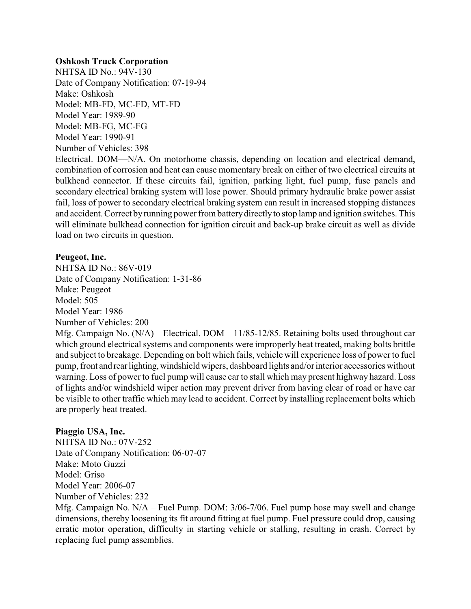#### **Oshkosh Truck Corporation**

NHTSA ID No.: 94V-130 Date of Company Notification: 07-19-94 Make: Oshkosh Model: MB-FD, MC-FD, MT-FD Model Year: 1989-90 Model: MB-FG, MC-FG Model Year: 1990-91 Number of Vehicles: 398

Electrical. DOM—N/A. On motorhome chassis, depending on location and electrical demand, combination of corrosion and heat can cause momentary break on either of two electrical circuits at bulkhead connector. If these circuits fail, ignition, parking light, fuel pump, fuse panels and secondary electrical braking system will lose power. Should primary hydraulic brake power assist fail, loss of power to secondary electrical braking system can result in increased stopping distances and accident. Correct by running power from battery directly to stop lamp and ignition switches. This will eliminate bulkhead connection for ignition circuit and back-up brake circuit as well as divide load on two circuits in question.

#### **Peugeot, Inc.**

NHTSA ID No.: 86V-019 Date of Company Notification: 1-31-86 Make: Peugeot Model: 505 Model Year: 1986 Number of Vehicles: 200

Mfg. Campaign No. (N/A)—Electrical. DOM—11/85-12/85. Retaining bolts used throughout car which ground electrical systems and components were improperly heat treated, making bolts brittle and subject to breakage. Depending on bolt which fails, vehicle will experience loss of power to fuel pump, front and rearlighting,windshield wipers, dashboard lights and/or interior accessories without warning. Loss of power to fuel pump will cause car to stall which may present highway hazard. Loss of lights and/or windshield wiper action may prevent driver from having clear of road or have car be visible to other traffic which may lead to accident. Correct by installing replacement bolts which are properly heat treated.

### **Piaggio USA, Inc.**

NHTSA ID No.: 07V-252 Date of Company Notification: 06-07-07 Make: Moto Guzzi Model: Griso Model Year: 2006-07 Number of Vehicles: 232

Mfg. Campaign No. N/A – Fuel Pump. DOM: 3/06-7/06. Fuel pump hose may swell and change dimensions, thereby loosening its fit around fitting at fuel pump. Fuel pressure could drop, causing erratic motor operation, difficulty in starting vehicle or stalling, resulting in crash. Correct by replacing fuel pump assemblies.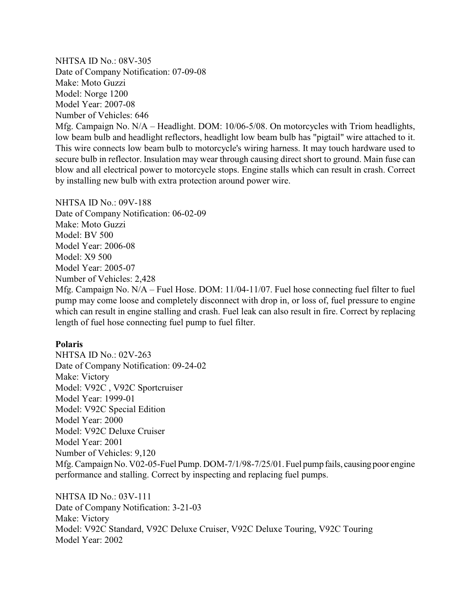NHTSA ID No.: 08V-305 Date of Company Notification: 07-09-08 Make: Moto Guzzi Model: Norge 1200 Model Year: 2007-08 Number of Vehicles: 646

Mfg. Campaign No. N/A – Headlight. DOM: 10/06-5/08. On motorcycles with Triom headlights, low beam bulb and headlight reflectors, headlight low beam bulb has "pigtail" wire attached to it. This wire connects low beam bulb to motorcycle's wiring harness. It may touch hardware used to secure bulb in reflector. Insulation may wear through causing direct short to ground. Main fuse can blow and all electrical power to motorcycle stops. Engine stalls which can result in crash. Correct by installing new bulb with extra protection around power wire.

NHTSA ID No.: 09V-188 Date of Company Notification: 06-02-09 Make: Moto Guzzi Model: BV 500 Model Year: 2006-08 Model: X9 500 Model Year: 2005-07 Number of Vehicles: 2,428 Mfg. Campaign No. N/A – Fuel Hose. DOM: 11/04-11/07. Fuel hose connecting fuel filter to fuel pump may come loose and completely disconnect with drop in, or loss of, fuel pressure to engine which can result in engine stalling and crash. Fuel leak can also result in fire. Correct by replacing length of fuel hose connecting fuel pump to fuel filter.

#### **Polaris**

NHTSA ID No.: 02V-263 Date of Company Notification: 09-24-02 Make: Victory Model: V92C , V92C Sportcruiser Model Year: 1999-01 Model: V92C Special Edition Model Year: 2000 Model: V92C Deluxe Cruiser Model Year: 2001 Number of Vehicles: 9,120 Mfg. Campaign No. V02-05-Fuel Pump. DOM-7/1/98-7/25/01. Fuel pump fails, causing poor engine performance and stalling. Correct by inspecting and replacing fuel pumps.

NHTSA ID No.: 03V-111 Date of Company Notification: 3-21-03 Make: Victory Model: V92C Standard, V92C Deluxe Cruiser, V92C Deluxe Touring, V92C Touring Model Year: 2002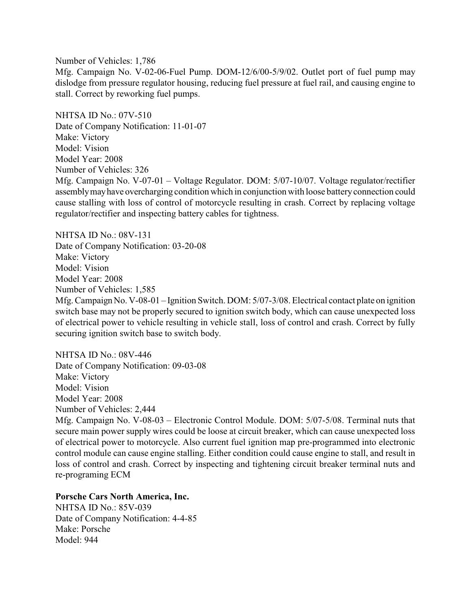Number of Vehicles: 1,786 Mfg. Campaign No. V-02-06-Fuel Pump. DOM-12/6/00-5/9/02. Outlet port of fuel pump may dislodge from pressure regulator housing, reducing fuel pressure at fuel rail, and causing engine to stall. Correct by reworking fuel pumps.

NHTSA ID No.: 07V-510 Date of Company Notification: 11-01-07 Make: Victory Model: Vision Model Year: 2008 Number of Vehicles: 326 Mfg. Campaign No. V-07-01 – Voltage Regulator. DOM: 5/07-10/07. Voltage regulator/rectifier assemblymayhave overcharging condition which in conjunction with loose batteryconnection could cause stalling with loss of control of motorcycle resulting in crash. Correct by replacing voltage regulator/rectifier and inspecting battery cables for tightness.

NHTSA ID No.: 08V-131 Date of Company Notification: 03-20-08 Make: Victory Model: Vision Model Year: 2008 Number of Vehicles: 1,585 Mfg. Campaign No. V-08-01 – Ignition Switch. DOM: 5/07-3/08. Electrical contact plate on ignition switch base may not be properly secured to ignition switch body, which can cause unexpected loss of electrical power to vehicle resulting in vehicle stall, loss of control and crash. Correct by fully securing ignition switch base to switch body.

NHTSA ID No.: 08V-446 Date of Company Notification: 09-03-08 Make: Victory Model: Vision Model Year: 2008 Number of Vehicles: 2,444

Mfg. Campaign No. V-08-03 – Electronic Control Module. DOM: 5/07-5/08. Terminal nuts that secure main power supply wires could be loose at circuit breaker, which can cause unexpected loss of electrical power to motorcycle. Also current fuel ignition map pre-programmed into electronic control module can cause engine stalling. Either condition could cause engine to stall, and result in loss of control and crash. Correct by inspecting and tightening circuit breaker terminal nuts and re-programing ECM

# **Porsche Cars North America, Inc.**

NHTSA ID No.: 85V-039 Date of Company Notification: 4-4-85 Make: Porsche Model: 944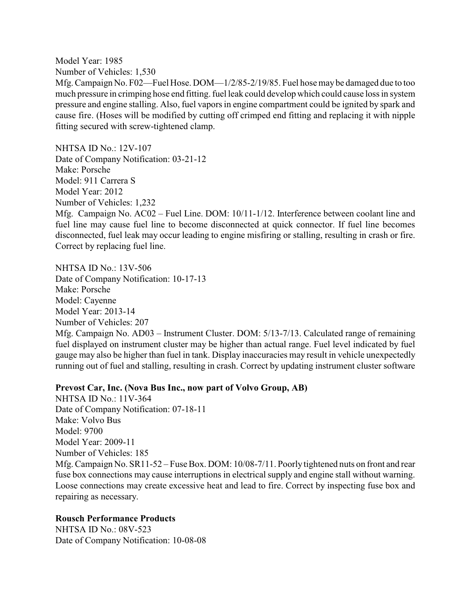Model Year: 1985 Number of Vehicles: 1,530

Mfg. Campaign No. F02—Fuel Hose. DOM—1/2/85-2/19/85. Fuel hose maybe damaged due to too much pressure in crimping hose end fitting. fuel leak could develop which could cause loss in system pressure and engine stalling. Also, fuel vapors in engine compartment could be ignited by spark and cause fire. (Hoses will be modified by cutting off crimped end fitting and replacing it with nipple fitting secured with screw-tightened clamp.

NHTSA ID No.: 12V-107 Date of Company Notification: 03-21-12 Make: Porsche Model: 911 Carrera S Model Year: 2012 Number of Vehicles: 1,232 Mfg. Campaign No. AC02 – Fuel Line. DOM: 10/11-1/12. Interference between coolant line and fuel line may cause fuel line to become disconnected at quick connector. If fuel line becomes disconnected, fuel leak may occur leading to engine misfiring or stalling, resulting in crash or fire. Correct by replacing fuel line.

NHTSA ID No.: 13V-506 Date of Company Notification: 10-17-13 Make: Porsche Model: Cayenne Model Year: 2013-14 Number of Vehicles: 207 Mfg. Campaign No. AD03 – Instrument Cluster. DOM: 5/13-7/13. Calculated range of remaining fuel displayed on instrument cluster may be higher than actual range. Fuel level indicated by fuel gauge may also be higher than fuel in tank. Display inaccuracies may result in vehicle unexpectedly running out of fuel and stalling, resulting in crash. Correct by updating instrument cluster software

### **Prevost Car, Inc. (Nova Bus Inc., now part of Volvo Group, AB)**

NHTSA ID No.: 11V-364 Date of Company Notification: 07-18-11 Make: Volvo Bus Model: 9700 Model Year: 2009-11 Number of Vehicles: 185 Mfg. Campaign No.  $SR11-52$  – Fuse Box. DOM: 10/08-7/11. Poorly tightened nuts on front and rear fuse box connections may cause interruptions in electrical supply and engine stall without warning. Loose connections may create excessive heat and lead to fire. Correct by inspecting fuse box and repairing as necessary.

### **Rousch Performance Products**

NHTSA ID No.: 08V-523 Date of Company Notification: 10-08-08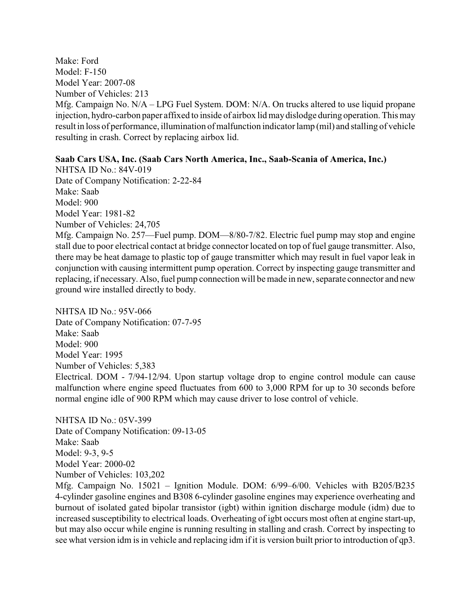Make: Ford Model: F-150 Model Year: 2007-08 Number of Vehicles: 213 Mfg. Campaign No. N/A – LPG Fuel System. DOM: N/A. On trucks altered to use liquid propane injection, hydro-carbon paper affixed to inside of airbox lid maydislodge during operation. This may result in loss of performance, illumination of malfunction indicator lamp (mil) and stalling of vehicle resulting in crash. Correct by replacing airbox lid.

### **Saab Cars USA, Inc. (Saab Cars North America, Inc., Saab-Scania of America, Inc.)**

NHTSA ID No.: 84V-019 Date of Company Notification: 2-22-84 Make: Saab Model: 900 Model Year: 1981-82 Number of Vehicles: 24,705

Mfg. Campaign No. 257—Fuel pump. DOM—8/80-7/82. Electric fuel pump may stop and engine stall due to poor electrical contact at bridge connector located on top of fuel gauge transmitter. Also, there may be heat damage to plastic top of gauge transmitter which may result in fuel vapor leak in conjunction with causing intermittent pump operation. Correct by inspecting gauge transmitter and replacing, if necessary. Also, fuel pump connection will be made in new, separate connector and new ground wire installed directly to body.

NHTSA ID No $\cdot$  95V-066 Date of Company Notification: 07-7-95 Make: Saab Model: 900 Model Year: 1995 Number of Vehicles: 5,383 Electrical. DOM - 7/94-12/94. Upon startup voltage drop to engine control module can cause malfunction where engine speed fluctuates from 600 to 3,000 RPM for up to 30 seconds before normal engine idle of 900 RPM which may cause driver to lose control of vehicle.

NHTSA ID No.: 05V-399 Date of Company Notification: 09-13-05 Make: Saab Model: 9-3, 9-5 Model Year: 2000-02 Number of Vehicles: 103,202

Mfg. Campaign No. 15021 – Ignition Module. DOM: 6/99–6/00. Vehicles with B205/B235 4-cylinder gasoline engines and B308 6-cylinder gasoline engines may experience overheating and burnout of isolated gated bipolar transistor (igbt) within ignition discharge module (idm) due to increased susceptibility to electrical loads. Overheating of igbt occurs most often at engine start-up, but may also occur while engine is running resulting in stalling and crash. Correct by inspecting to see what version idm is in vehicle and replacing idm if it is version built prior to introduction of qp3.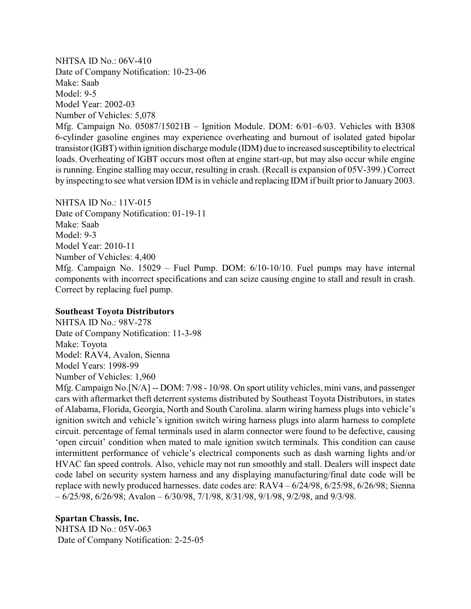NHTSA ID No.: 06V-410 Date of Company Notification: 10-23-06 Make: Saab Model: 9-5 Model Year: 2002-03 Number of Vehicles: 5,078

Mfg. Campaign No. 05087/15021B – Ignition Module. DOM: 6/01–6/03. Vehicles with B308 6-cylinder gasoline engines may experience overheating and burnout of isolated gated bipolar transistor(IGBT)within ignition discharge module (IDM) due to increased susceptibility to electrical loads. Overheating of IGBT occurs most often at engine start-up, but may also occur while engine is running. Engine stalling may occur, resulting in crash. (Recall is expansion of 05V-399.) Correct by inspecting to see what version IDM is in vehicle and replacing IDM if built prior to January 2003.

NHTSA ID No.: 11V-015 Date of Company Notification: 01-19-11 Make: Saab Model: 9-3 Model Year: 2010-11 Number of Vehicles: 4,400 Mfg. Campaign No. 15029 – Fuel Pump. DOM: 6/10-10/10. Fuel pumps may have internal components with incorrect specifications and can seize causing engine to stall and result in crash. Correct by replacing fuel pump.

### **Southeast Toyota Distributors**

NHTSA ID No.: 98V-278 Date of Company Notification: 11-3-98 Make: Toyota Model: RAV4, Avalon, Sienna Model Years: 1998-99 Number of Vehicles: 1,960

Mfg. Campaign No.[N/A] -- DOM: 7/98 - 10/98. On sport utility vehicles, mini vans, and passenger cars with aftermarket theft deterrent systems distributed by Southeast Toyota Distributors, in states of Alabama, Florida, Georgia, North and South Carolina. alarm wiring harness plugs into vehicle's ignition switch and vehicle's ignition switch wiring harness plugs into alarm harness to complete circuit. percentage of femal terminals used in alarm connector were found to be defective, causing 'open circuit' condition when mated to male ignition switch terminals. This condition can cause intermittent performance of vehicle's electrical components such as dash warning lights and/or HVAC fan speed controls. Also, vehicle may not run smoothly and stall. Dealers will inspect date code label on security system harness and any displaying manufacturing/final date code will be replace with newly produced harnesses. date codes are: RAV4 – 6/24/98, 6/25/98, 6/26/98; Sienna  $-6/25/98$ ,  $6/26/98$ ; Avalon  $-6/30/98$ ,  $7/1/98$ ,  $8/31/98$ ,  $9/1/98$ ,  $9/2/98$ , and  $9/3/98$ .

**Spartan Chassis, Inc.**

NHTSA ID No.: 05V-063 Date of Company Notification: 2-25-05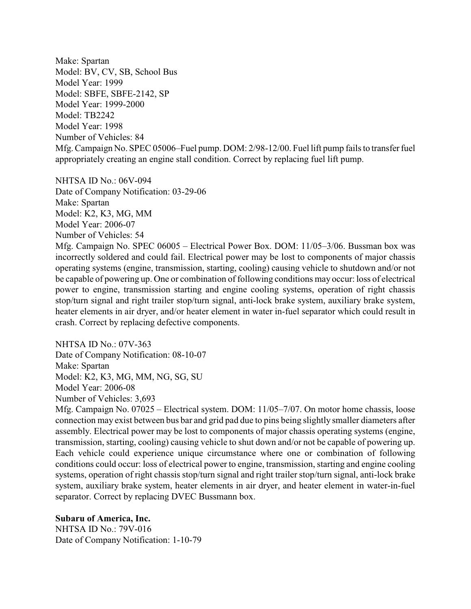Make: Spartan Model: BV, CV, SB, School Bus Model Year: 1999 Model: SBFE, SBFE-2142, SP Model Year: 1999-2000 Model: TB2242 Model Year: 1998 Number of Vehicles: 84 Mfg. Campaign No. SPEC 05006–Fuel pump. DOM: 2/98-12/00. Fuel lift pump fails to transfer fuel appropriately creating an engine stall condition. Correct by replacing fuel lift pump.

NHTSA ID No.: 06V-094 Date of Company Notification: 03-29-06 Make: Spartan Model: K2, K3, MG, MM Model Year: 2006-07 Number of Vehicles: 54

Mfg. Campaign No. SPEC 06005 – Electrical Power Box. DOM: 11/05–3/06. Bussman box was incorrectly soldered and could fail. Electrical power may be lost to components of major chassis operating systems (engine, transmission, starting, cooling) causing vehicle to shutdown and/or not be capable of powering up. One or combination of following conditions may occur: loss of electrical power to engine, transmission starting and engine cooling systems, operation of right chassis stop/turn signal and right trailer stop/turn signal, anti-lock brake system, auxiliary brake system, heater elements in air dryer, and/or heater element in water in-fuel separator which could result in crash. Correct by replacing defective components.

NHTSA ID No.: 07V-363 Date of Company Notification: 08-10-07 Make: Spartan Model: K2, K3, MG, MM, NG, SG, SU Model Year: 2006-08 Number of Vehicles: 3,693

Mfg. Campaign No. 07025 – Electrical system. DOM: 11/05–7/07. On motor home chassis, loose connection may exist between bus bar and grid pad due to pins being slightly smaller diameters after assembly. Electrical power may be lost to components of major chassis operating systems (engine, transmission, starting, cooling) causing vehicle to shut down and/or not be capable of powering up. Each vehicle could experience unique circumstance where one or combination of following conditions could occur: loss of electrical power to engine, transmission, starting and engine cooling systems, operation of right chassis stop/turn signal and right trailer stop/turn signal, anti-lock brake system, auxiliary brake system, heater elements in air dryer, and heater element in water-in-fuel separator. Correct by replacing DVEC Bussmann box.

**Subaru of America, Inc.**  NHTSA ID No.: 79V-016 Date of Company Notification: 1-10-79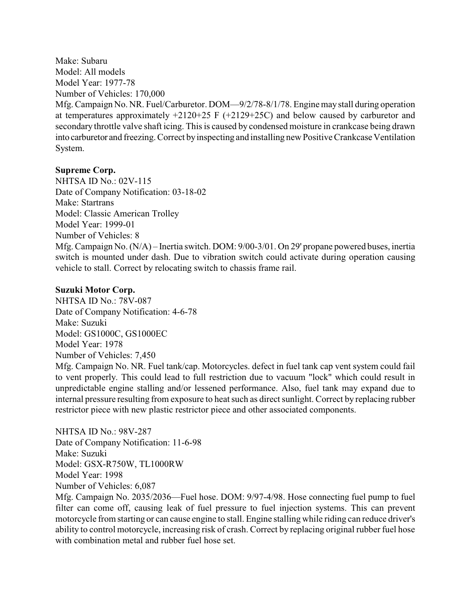Make: Subaru Model: All models Model Year: 1977-78 Number of Vehicles: 170,000

Mfg. Campaign No. NR. Fuel/Carburetor. DOM—9/2/78-8/1/78. Engine maystall during operation at temperatures approximately +2120+25 F (+2129+25C) and below caused by carburetor and secondary throttle valve shaft icing. This is caused by condensed moisture in crankcase being drawn into carburetor and freezing. Correct byinspecting and installing new Positive Crankcase Ventilation System.

# **Supreme Corp.**

NHTSA ID No.: 02V-115 Date of Company Notification: 03-18-02 Make: Startrans Model: Classic American Trolley Model Year: 1999-01 Number of Vehicles: 8 Mfg. Campaign No. (N/A) – Inertia switch. DOM: 9/00-3/01. On 29' propane powered buses, inertia switch is mounted under dash. Due to vibration switch could activate during operation causing vehicle to stall. Correct by relocating switch to chassis frame rail.

# **Suzuki Motor Corp.**

NHTSA ID No.: 78V-087 Date of Company Notification: 4-6-78 Make: Suzuki Model: GS1000C, GS1000EC Model Year: 1978 Number of Vehicles: 7,450 Mfg. Campaign No. NR. Fuel tank/cap. Motorcycles. defect in fuel tank cap vent system could fail to vent properly. This could lead to full restriction due to vacuum "lock" which could result in unpredictable engine stalling and/or lessened performance. Also, fuel tank may expand due to internal pressure resulting from exposure to heat such as direct sunlight. Correct by replacing rubber restrictor piece with new plastic restrictor piece and other associated components.

NHTSA ID No.: 98V-287 Date of Company Notification: 11-6-98 Make: Suzuki Model: GSX-R750W, TL1000RW Model Year: 1998 Number of Vehicles: 6,087

Mfg. Campaign No. 2035/2036—Fuel hose. DOM: 9/97-4/98. Hose connecting fuel pump to fuel filter can come off, causing leak of fuel pressure to fuel injection systems. This can prevent motorcycle from starting or can cause engine to stall. Engine stalling while riding can reduce driver's ability to control motorcycle, increasing risk of crash. Correct by replacing original rubber fuel hose with combination metal and rubber fuel hose set.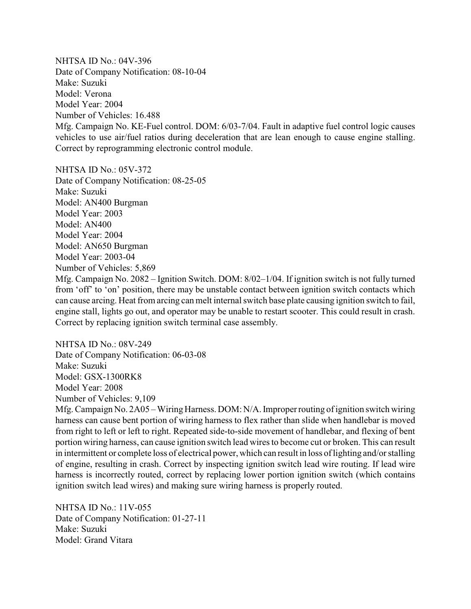NHTSA ID No.: 04V-396 Date of Company Notification: 08-10-04 Make: Suzuki Model: Verona Model Year: 2004 Number of Vehicles: 16.488 Mfg. Campaign No. KE-Fuel control. DOM: 6/03-7/04. Fault in adaptive fuel control logic causes vehicles to use air/fuel ratios during deceleration that are lean enough to cause engine stalling. Correct by reprogramming electronic control module.

NHTSA ID No.: 05V-372

Date of Company Notification: 08-25-05 Make: Suzuki Model: AN400 Burgman Model Year: 2003 Model: AN400 Model Year: 2004 Model: AN650 Burgman Model Year: 2003-04 Number of Vehicles: 5,869 Mfg. Campaign No. 2082 – Ignition Switch. DOM: 8/02–1/04. If ignition switch is not fully turned from 'off' to 'on' position, there may be unstable contact between ignition switch contacts which can cause arcing. Heat from arcing can melt internal switch base plate causing ignition switch to fail, engine stall, lights go out, and operator may be unable to restart scooter. This could result in crash. Correct by replacing ignition switch terminal case assembly.

NHTSA ID No.: 08V-249 Date of Company Notification: 06-03-08 Make: Suzuki Model: GSX-1300RK8 Model Year: 2008 Number of Vehicles: 9,109

Mfg. Campaign No. 2A05 – Wiring Harness. DOM: N/A. Improper routing of ignition switch wiring harness can cause bent portion of wiring harness to flex rather than slide when handlebar is moved from right to left or left to right. Repeated side-to-side movement of handlebar, and flexing of bent portion wiring harness, can cause ignition switch lead wires to become cut or broken. This can result in intermittent or complete loss of electrical power, which can result in loss of lighting and/or stalling of engine, resulting in crash. Correct by inspecting ignition switch lead wire routing. If lead wire harness is incorrectly routed, correct by replacing lower portion ignition switch (which contains ignition switch lead wires) and making sure wiring harness is properly routed.

NHTSA ID No.: 11V-055 Date of Company Notification: 01-27-11 Make: Suzuki Model: Grand Vitara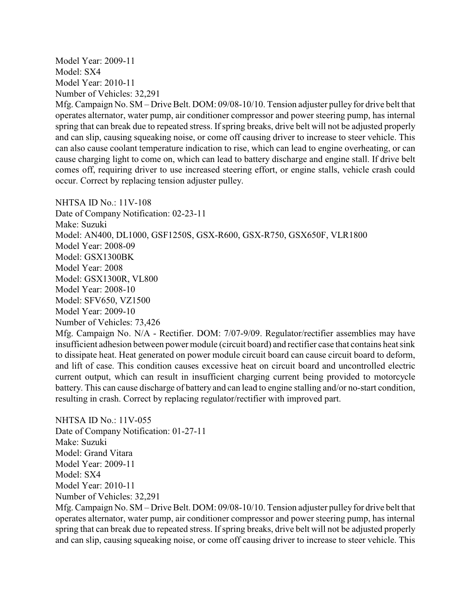Model Year: 2009-11 Model: SX4 Model Year: 2010-11 Number of Vehicles: 32,291

Mfg. Campaign No. SM – Drive Belt. DOM: 09/08-10/10. Tension adjuster pulley for drive belt that operates alternator, water pump, air conditioner compressor and power steering pump, has internal spring that can break due to repeated stress. If spring breaks, drive belt will not be adjusted properly and can slip, causing squeaking noise, or come off causing driver to increase to steer vehicle. This can also cause coolant temperature indication to rise, which can lead to engine overheating, or can cause charging light to come on, which can lead to battery discharge and engine stall. If drive belt comes off, requiring driver to use increased steering effort, or engine stalls, vehicle crash could occur. Correct by replacing tension adjuster pulley.

NHTSA ID No.: 11V-108 Date of Company Notification: 02-23-11 Make: Suzuki Model: AN400, DL1000, GSF1250S, GSX-R600, GSX-R750, GSX650F, VLR1800 Model Year: 2008-09 Model: GSX1300BK Model Year: 2008 Model: GSX1300R, VL800 Model Year: 2008-10 Model: SFV650, VZ1500 Model Year: 2009-10 Number of Vehicles: 73,426

Mfg. Campaign No. N/A - Rectifier. DOM: 7/07-9/09. Regulator/rectifier assemblies may have insufficient adhesion between power module (circuit board) and rectifier case that contains heat sink to dissipate heat. Heat generated on power module circuit board can cause circuit board to deform, and lift of case. This condition causes excessive heat on circuit board and uncontrolled electric current output, which can result in insufficient charging current being provided to motorcycle battery. This can cause discharge of battery and can lead to engine stalling and/or no-start condition, resulting in crash. Correct by replacing regulator/rectifier with improved part.

NHTSA ID No.: 11V-055 Date of Company Notification: 01-27-11 Make: Suzuki Model: Grand Vitara Model Year: 2009-11 Model: SX4 Model Year: 2010-11 Number of Vehicles: 32,291

Mfg. Campaign No. SM – Drive Belt. DOM: 09/08-10/10. Tension adjuster pulley for drive belt that operates alternator, water pump, air conditioner compressor and power steering pump, has internal spring that can break due to repeated stress. If spring breaks, drive belt will not be adjusted properly and can slip, causing squeaking noise, or come off causing driver to increase to steer vehicle. This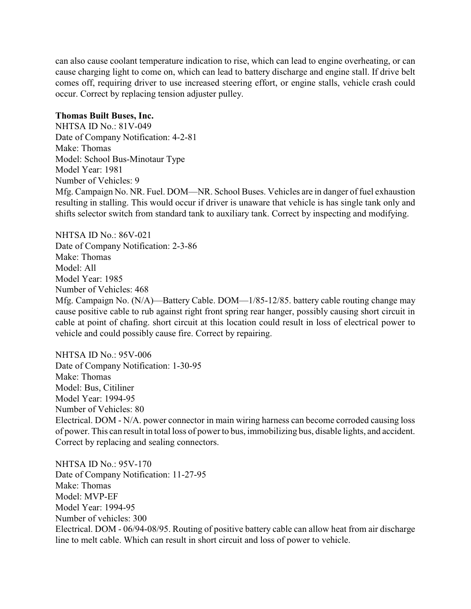can also cause coolant temperature indication to rise, which can lead to engine overheating, or can cause charging light to come on, which can lead to battery discharge and engine stall. If drive belt comes off, requiring driver to use increased steering effort, or engine stalls, vehicle crash could occur. Correct by replacing tension adjuster pulley.

### **Thomas Built Buses, Inc.**

NHTSA ID No.: 81V-049 Date of Company Notification: 4-2-81 Make: Thomas Model: School Bus-Minotaur Type Model Year: 1981 Number of Vehicles: 9 Mfg. Campaign No. NR. Fuel. DOM—NR. School Buses. Vehicles are in danger of fuel exhaustion resulting in stalling. This would occur if driver is unaware that vehicle is has single tank only and shifts selector switch from standard tank to auxiliary tank. Correct by inspecting and modifying.

NHTSA ID No.: 86V-021 Date of Company Notification: 2-3-86 Make: Thomas Model: All Model Year: 1985 Number of Vehicles: 468 Mfg. Campaign No. (N/A)—Battery Cable. DOM—1/85-12/85. battery cable routing change may cause positive cable to rub against right front spring rear hanger, possibly causing short circuit in cable at point of chafing. short circuit at this location could result in loss of electrical power to vehicle and could possibly cause fire. Correct by repairing.

NHTSA ID No.: 95V-006 Date of Company Notification: 1-30-95 Make: Thomas Model: Bus, Citiliner Model Year: 1994-95 Number of Vehicles: 80 Electrical. DOM - N/A. power connector in main wiring harness can become corroded causing loss of power. This can result in total loss of powerto bus, immobilizing bus, disable lights, and accident. Correct by replacing and sealing connectors.

NHTSA ID No.: 95V-170 Date of Company Notification: 11-27-95 Make: Thomas Model: MVP-EF Model Year: 1994-95 Number of vehicles: 300 Electrical. DOM - 06/94-08/95. Routing of positive battery cable can allow heat from air discharge line to melt cable. Which can result in short circuit and loss of power to vehicle.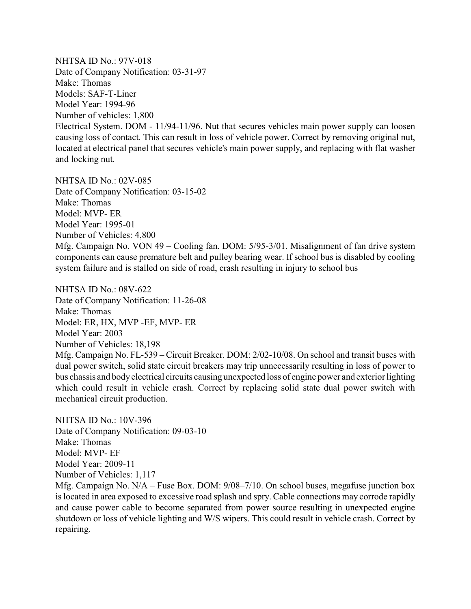NHTSA ID No.: 97V-018 Date of Company Notification: 03-31-97 Make: Thomas Models: SAF-T-Liner Model Year: 1994-96 Number of vehicles: 1,800 Electrical System. DOM - 11/94-11/96. Nut that secures vehicles main power supply can loosen causing loss of contact. This can result in loss of vehicle power. Correct by removing original nut, located at electrical panel that secures vehicle's main power supply, and replacing with flat washer and locking nut.

NHTSA ID No.: 02V-085 Date of Company Notification: 03-15-02 Make: Thomas Model: MVP- ER Model Year: 1995-01 Number of Vehicles: 4,800 Mfg. Campaign No. VON 49 – Cooling fan. DOM: 5/95-3/01. Misalignment of fan drive system components can cause premature belt and pulley bearing wear. If school bus is disabled by cooling system failure and is stalled on side of road, crash resulting in injury to school bus

NHTSA ID No.: 08V-622 Date of Company Notification: 11-26-08 Make: Thomas Model: ER, HX, MVP -EF, MVP- ER Model Year: 2003 Number of Vehicles: 18,198 Mfg. Campaign No. FL-539 – Circuit Breaker. DOM: 2/02-10/08. On school and transit buses with dual power switch, solid state circuit breakers may trip unnecessarily resulting in loss of power to bus chassis and bodyelectrical circuits causing unexpected loss of engine power and exterior lighting which could result in vehicle crash. Correct by replacing solid state dual power switch with mechanical circuit production.

NHTSA ID No.: 10V-396 Date of Company Notification: 09-03-10 Make: Thomas Model: MVP- EF Model Year: 2009-11 Number of Vehicles: 1,117

Mfg. Campaign No. N/A – Fuse Box. DOM: 9/08–7/10. On school buses, megafuse junction box is located in area exposed to excessive road splash and spry. Cable connections may corrode rapidly and cause power cable to become separated from power source resulting in unexpected engine shutdown or loss of vehicle lighting and W/S wipers. This could result in vehicle crash. Correct by repairing.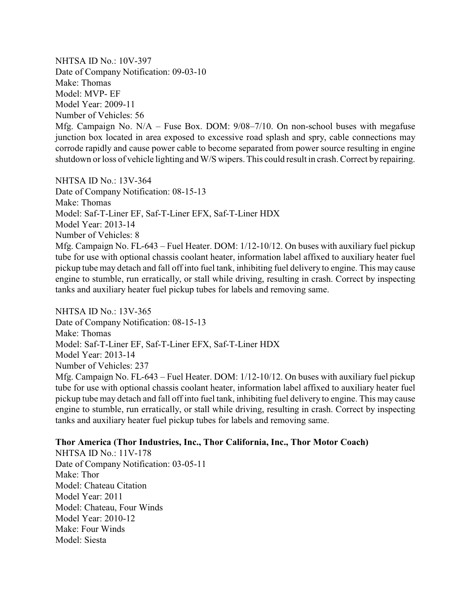NHTSA ID No.: 10V-397 Date of Company Notification: 09-03-10 Make: Thomas Model: MVP- EF Model Year: 2009-11 Number of Vehicles: 56 Mfg. Campaign No. N/A – Fuse Box. DOM: 9/08–7/10. On non-school buses with megafuse junction box located in area exposed to excessive road splash and spry, cable connections may corrode rapidly and cause power cable to become separated from power source resulting in engine shutdown or loss of vehicle lighting and W/S wipers. This could result in crash. Correct by repairing.

NHTSA ID No.: 13V-364 Date of Company Notification: 08-15-13 Make: Thomas Model: Saf-T-Liner EF, Saf-T-Liner EFX, Saf-T-Liner HDX Model Year: 2013-14 Number of Vehicles: 8 Mfg. Campaign No. FL-643 – Fuel Heater. DOM: 1/12-10/12. On buses with auxiliary fuel pickup tube for use with optional chassis coolant heater, information label affixed to auxiliary heater fuel pickup tube may detach and fall off into fuel tank, inhibiting fuel delivery to engine. This may cause engine to stumble, run erratically, or stall while driving, resulting in crash. Correct by inspecting tanks and auxiliary heater fuel pickup tubes for labels and removing same.

NHTSA ID No $\cdot$  13V-365 Date of Company Notification: 08-15-13 Make: Thomas Model: Saf-T-Liner EF, Saf-T-Liner EFX, Saf-T-Liner HDX Model Year: 2013-14 Number of Vehicles: 237 Mfg. Campaign No. FL-643 – Fuel Heater. DOM: 1/12-10/12. On buses with auxiliary fuel pickup tube for use with optional chassis coolant heater, information label affixed to auxiliary heater fuel pickup tube may detach and fall off into fuel tank, inhibiting fuel delivery to engine. This may cause engine to stumble, run erratically, or stall while driving, resulting in crash. Correct by inspecting tanks and auxiliary heater fuel pickup tubes for labels and removing same.

### **Thor America (Thor Industries, Inc., Thor California, Inc., Thor Motor Coach)**

NHTSA ID No.: 11V-178 Date of Company Notification: 03-05-11 Make: Thor Model: Chateau Citation Model Year: 2011 Model: Chateau, Four Winds Model Year: 2010-12 Make: Four Winds Model: Siesta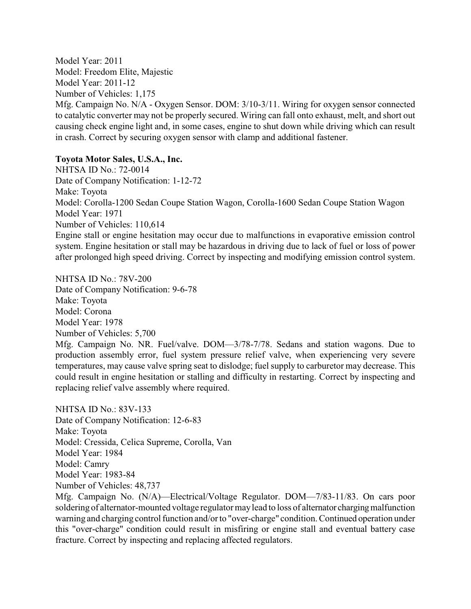Model Year: 2011 Model: Freedom Elite, Majestic Model Year: 2011-12 Number of Vehicles: 1,175

Mfg. Campaign No. N/A - Oxygen Sensor. DOM: 3/10-3/11. Wiring for oxygen sensor connected to catalytic converter may not be properly secured. Wiring can fall onto exhaust, melt, and short out causing check engine light and, in some cases, engine to shut down while driving which can result in crash. Correct by securing oxygen sensor with clamp and additional fastener.

### **Toyota Motor Sales, U.S.A., Inc.**

NHTSA ID No.: 72-0014 Date of Company Notification: 1-12-72 Make: Toyota Model: Corolla-1200 Sedan Coupe Station Wagon, Corolla-1600 Sedan Coupe Station Wagon Model Year: 1971 Number of Vehicles: 110,614 Engine stall or engine hesitation may occur due to malfunctions in evaporative emission control system. Engine hesitation or stall may be hazardous in driving due to lack of fuel or loss of power

after prolonged high speed driving. Correct by inspecting and modifying emission control system.

NHTSA ID No.: 78V-200 Date of Company Notification: 9-6-78 Make: Toyota Model: Corona Model Year: 1978 Number of Vehicles: 5,700 Mfg. Campaign No. NR. Fuel/valve. DOM—3/78-7/78. Sedans and station wagons. Due to production assembly error, fuel system pressure relief valve, when experiencing very severe temperatures, may cause valve spring seat to dislodge; fuel supply to carburetor may decrease. This could result in engine hesitation or stalling and difficulty in restarting. Correct by inspecting and replacing relief valve assembly where required.

NHTSA ID No.: 83V-133 Date of Company Notification: 12-6-83 Make: Toyota Model: Cressida, Celica Supreme, Corolla, Van Model Year: 1984 Model: Camry Model Year: 1983-84 Number of Vehicles: 48,737

Mfg. Campaign No. (N/A)—Electrical/Voltage Regulator. DOM—7/83-11/83. On cars poor soldering of alternator-mounted voltage regulator may lead to loss of alternator charging malfunction warning and charging control function and/or to "over-charge" condition. Continued operation under this "over-charge" condition could result in misfiring or engine stall and eventual battery case fracture. Correct by inspecting and replacing affected regulators.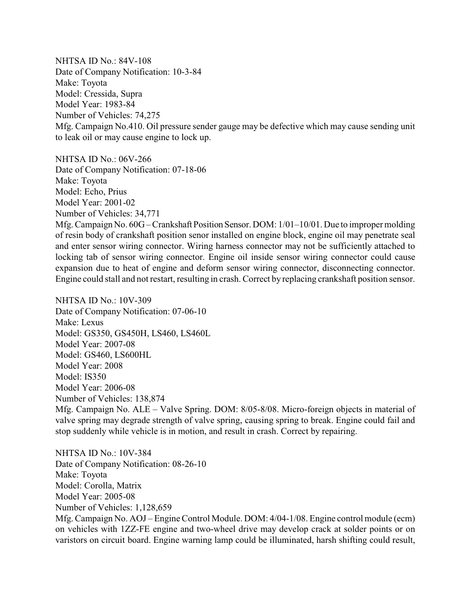NHTSA ID No.: 84V-108 Date of Company Notification: 10-3-84 Make: Toyota Model: Cressida, Supra Model Year: 1983-84 Number of Vehicles: 74,275 Mfg. Campaign No.410. Oil pressure sender gauge may be defective which may cause sending unit to leak oil or may cause engine to lock up.

NHTSA ID No.: 06V-266

Date of Company Notification: 07-18-06 Make: Toyota Model: Echo, Prius Model Year: 2001-02 Number of Vehicles: 34,771 Mfg. Campaign No. 60G – Crankshaft Position Sensor. DOM: 1/01–10/01. Due to improper molding of resin body of crankshaft position senor installed on engine block, engine oil may penetrate seal and enter sensor wiring connector. Wiring harness connector may not be sufficiently attached to

locking tab of sensor wiring connector. Engine oil inside sensor wiring connector could cause expansion due to heat of engine and deform sensor wiring connector, disconnecting connector. Engine could stall and not restart, resulting in crash. Correct by replacing crankshaft position sensor.

NHTSA ID No.: 10V-309 Date of Company Notification: 07-06-10 Make: Lexus Model: GS350, GS450H, LS460, LS460L Model Year: 2007-08 Model: GS460, LS600HL Model Year: 2008 Model: IS350 Model Year: 2006-08 Number of Vehicles: 138,874

Mfg. Campaign No. ALE – Valve Spring. DOM: 8/05-8/08. Micro-foreign objects in material of valve spring may degrade strength of valve spring, causing spring to break. Engine could fail and stop suddenly while vehicle is in motion, and result in crash. Correct by repairing.

NHTSA ID No.: 10V-384 Date of Company Notification: 08-26-10 Make: Toyota Model: Corolla, Matrix Model Year: 2005-08 Number of Vehicles: 1,128,659 Mfg. Campaign No. AOJ – Engine Control Module. DOM: 4/04-1/08. Engine control module (ecm) on vehicles with 1ZZ-FE engine and two-wheel drive may develop crack at solder points or on varistors on circuit board. Engine warning lamp could be illuminated, harsh shifting could result,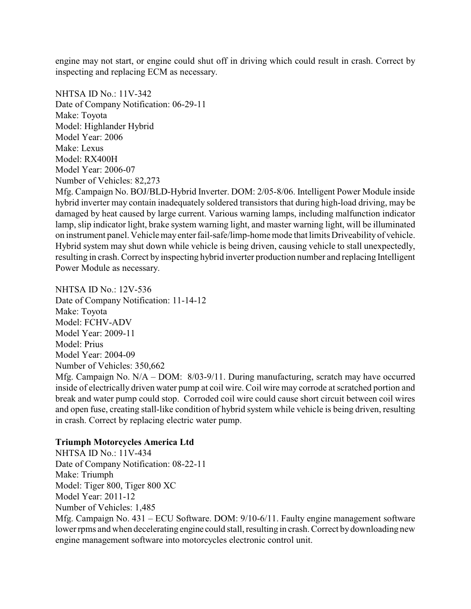engine may not start, or engine could shut off in driving which could result in crash. Correct by inspecting and replacing ECM as necessary.

NHTSA ID No.: 11V-342 Date of Company Notification: 06-29-11 Make: Toyota Model: Highlander Hybrid Model Year: 2006 Make: Lexus Model: RX400H Model Year: 2006-07 Number of Vehicles: 82,273

Mfg. Campaign No. BOJ/BLD-Hybrid Inverter. DOM: 2/05-8/06. Intelligent Power Module inside hybrid inverter may contain inadequately soldered transistors that during high-load driving, may be damaged by heat caused by large current. Various warning lamps, including malfunction indicator lamp, slip indicator light, brake system warning light, and master warning light, will be illuminated on instrument panel. Vehiclemayenterfail-safe/limp-home mode that limits Driveabilityof vehicle. Hybrid system may shut down while vehicle is being driven, causing vehicle to stall unexpectedly, resulting in crash. Correct by inspecting hybrid inverter production number and replacing Intelligent Power Module as necessary.

NHTSA ID No.: 12V-536 Date of Company Notification: 11-14-12 Make: Toyota Model: FCHV-ADV Model Year: 2009-11 Model: Prius Model Year: 2004-09 Number of Vehicles: 350,662 Mfg. Campaign No. N/A – DOM: 8/03-9/11. During manufacturing, scratch may have occurred inside of electrically driven water pump at coil wire. Coil wire may corrode at scratched portion and break and water pump could stop. Corroded coil wire could cause short circuit between coil wires and open fuse, creating stall-like condition of hybrid system while vehicle is being driven, resulting in crash. Correct by replacing electric water pump.

#### **Triumph Motorcycles America Ltd**

NHTSA ID No.: 11V-434 Date of Company Notification: 08-22-11 Make: Triumph Model: Tiger 800, Tiger 800 XC Model Year: 2011-12 Number of Vehicles: 1,485 Mfg. Campaign No. 431 – ECU Software. DOM: 9/10-6/11. Faulty engine management software lower rpms and when decelerating engine could stall, resulting in crash. Correct bydownloading new engine management software into motorcycles electronic control unit.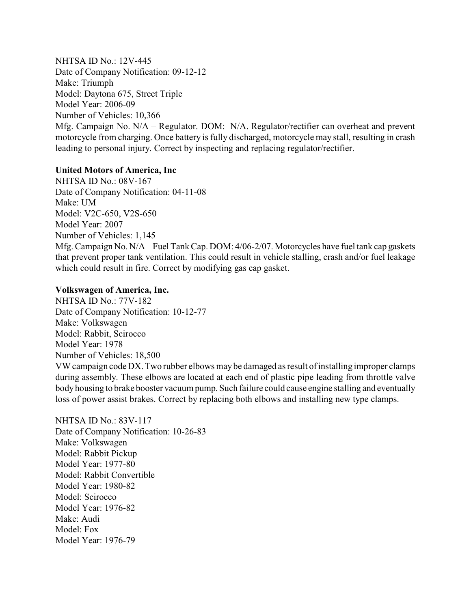NHTSA ID No.: 12V-445 Date of Company Notification: 09-12-12 Make: Triumph Model: Daytona 675, Street Triple Model Year: 2006-09 Number of Vehicles: 10,366 Mfg. Campaign No. N/A – Regulator. DOM: N/A. Regulator/rectifier can overheat and prevent motorcycle from charging. Once battery is fully discharged, motorcycle may stall, resulting in crash leading to personal injury. Correct by inspecting and replacing regulator/rectifier.

## **United Motors of America, Inc**

NHTSA ID No.: 08V-167 Date of Company Notification: 04-11-08 Make: UM Model: V2C-650, V2S-650 Model Year: 2007 Number of Vehicles: 1,145 Mfg. Campaign No. N/A – Fuel Tank Cap. DOM: 4/06-2/07. Motorcycles have fuel tank cap gaskets that prevent proper tank ventilation. This could result in vehicle stalling, crash and/or fuel leakage which could result in fire. Correct by modifying gas cap gasket.

# **Volkswagen of America, Inc.**

NHTSA ID No.: 77V-182 Date of Company Notification: 10-12-77 Make: Volkswagen Model: Rabbit, Scirocco Model Year: 1978 Number of Vehicles: 18,500 VW campaign code DX. Two rubber elbows may be damaged as result of installing improper clamps during assembly. These elbows are located at each end of plastic pipe leading from throttle valve bodyhousing to brake booster vacuum pump. Such failure could cause engine stalling and eventually loss of power assist brakes. Correct by replacing both elbows and installing new type clamps.

NHTSA ID No.: 83V-117 Date of Company Notification: 10-26-83 Make: Volkswagen Model: Rabbit Pickup Model Year: 1977-80 Model: Rabbit Convertible Model Year: 1980-82 Model: Scirocco Model Year: 1976-82 Make: Audi Model: Fox Model Year: 1976-79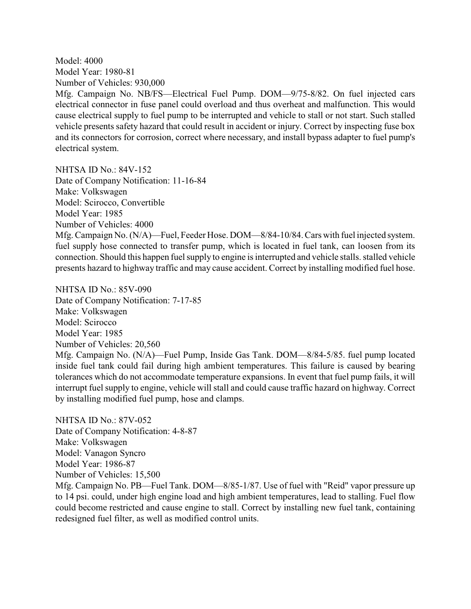Model: 4000 Model Year: 1980-81 Number of Vehicles: 930,000 Mfg. Campaign No. NB/FS—Electrical Fuel Pump. DOM—9/75-8/82. On fuel injected cars electrical connector in fuse panel could overload and thus overheat and malfunction. This would cause electrical supply to fuel pump to be interrupted and vehicle to stall or not start. Such stalled vehicle presents safety hazard that could result in accident or injury. Correct by inspecting fuse box and its connectors for corrosion, correct where necessary, and install bypass adapter to fuel pump's electrical system.

NHTSA ID No.: 84V-152

Date of Company Notification: 11-16-84 Make: Volkswagen Model: Scirocco, Convertible Model Year: 1985 Number of Vehicles: 4000 Mfg. Campaign No. (N/A)—Fuel, Feeder Hose. DOM—8/84-10/84. Cars with fuel injected system. fuel supply hose connected to transfer pump, which is located in fuel tank, can loosen from its connection. Should this happen fuel supply to engine is interrupted and vehicle stalls. stalled vehicle presents hazard to highway traffic and may cause accident. Correct by installing modified fuel hose.

NHTSA ID No.: 85V-090 Date of Company Notification: 7-17-85 Make: Volkswagen Model: Scirocco Model Year: 1985 Number of Vehicles: 20,560 Mfg. Campaign No. (N/A)—Fuel Pump, Inside Gas Tank. DOM—8/84-5/85. fuel pump located inside fuel tank could fail during high ambient temperatures. This failure is caused by bearing tolerances which do not accommodate temperature expansions. In event that fuel pump fails, it will interrupt fuel supply to engine, vehicle will stall and could cause traffic hazard on highway. Correct by installing modified fuel pump, hose and clamps.

NHTSA ID No.: 87V-052 Date of Company Notification: 4-8-87 Make: Volkswagen Model: Vanagon Syncro Model Year: 1986-87 Number of Vehicles: 15,500

Mfg. Campaign No. PB—Fuel Tank. DOM—8/85-1/87. Use of fuel with "Reid" vapor pressure up to 14 psi. could, under high engine load and high ambient temperatures, lead to stalling. Fuel flow could become restricted and cause engine to stall. Correct by installing new fuel tank, containing redesigned fuel filter, as well as modified control units.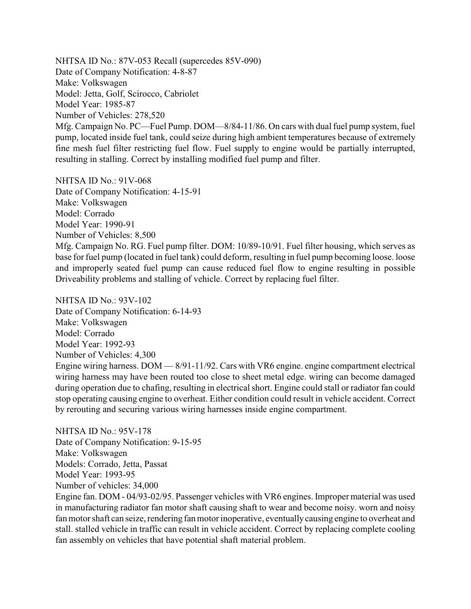NHTSA ID No.: 87V-053 Recall (supercedes 85V-090) Date of Company Notification: 4-8-87 Make: Volkswagen Model: Jetta, Golf, Scirocco, Cabriolet Model Year: 1985-87 Number of Vehicles: 278,520 Mfg. Campaign No. PC—Fuel Pump. DOM—8/84-11/86. On cars with dual fuel pump system, fuel pump, located inside fuel tank, could seize during high ambient temperatures because of extremely fine mesh fuel filter restricting fuel flow. Fuel supply to engine would be partially interrupted, resulting in stalling. Correct by installing modified fuel pump and filter.

NHTSA ID No.: 91V-068 Date of Company Notification: 4-15-91 Make: Volkswagen Model: Corrado Model Year: 1990-91 Number of Vehicles: 8,500 Mfg. Campaign No. RG. Fuel pump filter. DOM: 10/89-10/91. Fuel filter housing, which serves as base for fuel pump (located in fuel tank) could deform, resulting in fuel pump becoming loose. loose and improperly seated fuel pump can cause reduced fuel flow to engine resulting in possible

NHTSA ID No.: 93V-102 Date of Company Notification: 6-14-93 Make: Volkswagen Model: Corrado Model Year: 1992-93 Number of Vehicles: 4,300 Engine wiring harness. DOM — 8/91-11/92. Cars with VR6 engine. engine compartment electrical wiring harness may have been routed too close to sheet metal edge. wiring can become damaged during operation due to chafing, resulting in electrical short. Engine could stall or radiator fan could stop operating causing engine to overheat. Either condition could result in vehicle accident. Correct by rerouting and securing various wiring harnesses inside engine compartment.

Driveability problems and stalling of vehicle. Correct by replacing fuel filter.

NHTSA ID No.: 95V-178 Date of Company Notification: 9-15-95 Make: Volkswagen Models: Corrado, Jetta, Passat Model Year: 1993-95 Number of vehicles: 34,000

Engine fan. DOM - 04/93-02/95. Passenger vehicles with VR6 engines. Improper material was used in manufacturing radiator fan motor shaft causing shaft to wear and become noisy. worn and noisy fan motor shaft can seize, rendering fan motor inoperative, eventuallycausing engine to overheat and stall. stalled vehicle in traffic can result in vehicle accident. Correct by replacing complete cooling fan assembly on vehicles that have potential shaft material problem.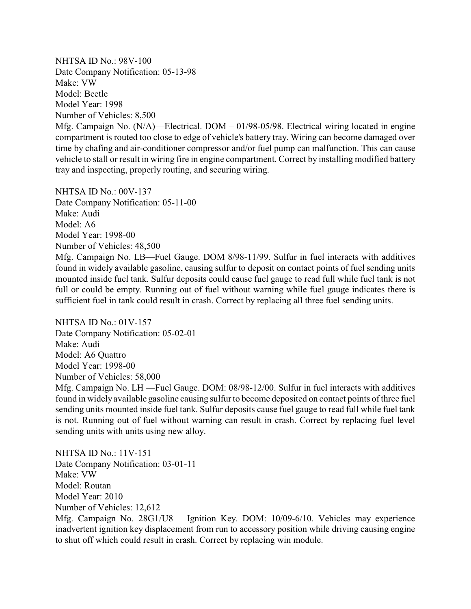NHTSA ID No.: 98V-100 Date Company Notification: 05-13-98 Make: VW Model: Beetle Model Year: 1998 Number of Vehicles: 8,500

Mfg. Campaign No. (N/A)—Electrical. DOM – 01/98-05/98. Electrical wiring located in engine compartment is routed too close to edge of vehicle's battery tray. Wiring can become damaged over time by chafing and air-conditioner compressor and/or fuel pump can malfunction. This can cause vehicle to stall or result in wiring fire in engine compartment. Correct by installing modified battery tray and inspecting, properly routing, and securing wiring.

NHTSA ID No.: 00V-137 Date Company Notification: 05-11-00 Make: Audi Model: A6 Model Year: 1998-00 Number of Vehicles: 48,500 Mfg. Campaign No. LB—Fuel Gauge. DOM 8/98-11/99. Sulfur in fuel interacts with additives found in widely available gasoline, causing sulfur to deposit on contact points of fuel sending units mounted inside fuel tank. Sulfur deposits could cause fuel gauge to read full while fuel tank is not full or could be empty. Running out of fuel without warning while fuel gauge indicates there is sufficient fuel in tank could result in crash. Correct by replacing all three fuel sending units.

NHTSA ID No.: 01V-157 Date Company Notification: 05-02-01 Make: Audi Model: A6 Quattro Model Year: 1998-00 Number of Vehicles: 58,000 Mfg. Campaign No. LH —Fuel Gauge. DOM: 08/98-12/00. Sulfur in fuel interacts with additives found in widelyavailable gasoline causing sulfur to become deposited on contact points of three fuel sending units mounted inside fuel tank. Sulfur deposits cause fuel gauge to read full while fuel tank is not. Running out of fuel without warning can result in crash. Correct by replacing fuel level sending units with units using new alloy.

NHTSA ID No.: 11V-151 Date Company Notification: 03-01-11 Make: VW Model: Routan Model Year: 2010 Number of Vehicles: 12,612 Mfg. Campaign No. 28G1/U8 – Ignition Key. DOM: 10/09-6/10. Vehicles may experience inadvertent ignition key displacement from run to accessory position while driving causing engine

to shut off which could result in crash. Correct by replacing win module.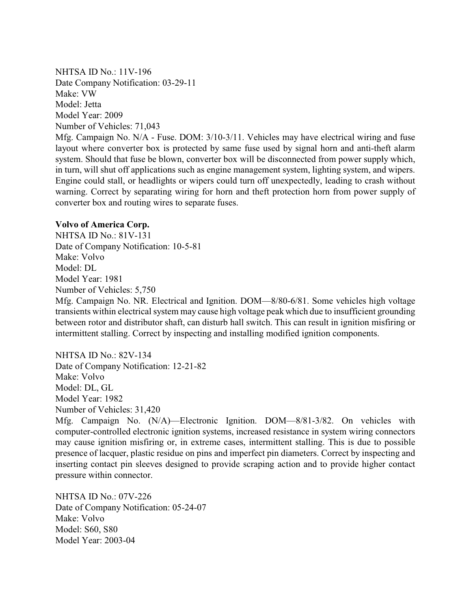NHTSA ID No.: 11V-196 Date Company Notification: 03-29-11 Make: VW Model: Jetta Model Year: 2009 Number of Vehicles: 71,043

Mfg. Campaign No. N/A - Fuse. DOM: 3/10-3/11. Vehicles may have electrical wiring and fuse layout where converter box is protected by same fuse used by signal horn and anti-theft alarm system. Should that fuse be blown, converter box will be disconnected from power supply which, in turn, will shut off applications such as engine management system, lighting system, and wipers. Engine could stall, or headlights or wipers could turn off unexpectedly, leading to crash without warning. Correct by separating wiring for horn and theft protection horn from power supply of converter box and routing wires to separate fuses.

### **Volvo of America Corp.**

NHTSA ID No.: 81V-131 Date of Company Notification: 10-5-81 Make: Volvo Model: DL Model Year: 1981 Number of Vehicles: 5,750

Mfg. Campaign No. NR. Electrical and Ignition. DOM—8/80-6/81. Some vehicles high voltage transients within electrical system may cause high voltage peak which due to insufficient grounding between rotor and distributor shaft, can disturb hall switch. This can result in ignition misfiring or intermittent stalling. Correct by inspecting and installing modified ignition components.

NHTSA ID No.: 82V-134 Date of Company Notification: 12-21-82 Make: Volvo Model: DL, GL Model Year: 1982 Number of Vehicles: 31,420

Mfg. Campaign No. (N/A)—Electronic Ignition. DOM—8/81-3/82. On vehicles with computer-controlled electronic ignition systems, increased resistance in system wiring connectors may cause ignition misfiring or, in extreme cases, intermittent stalling. This is due to possible presence of lacquer, plastic residue on pins and imperfect pin diameters. Correct by inspecting and inserting contact pin sleeves designed to provide scraping action and to provide higher contact pressure within connector.

NHTSA ID No.: 07V-226 Date of Company Notification: 05-24-07 Make: Volvo Model: S60, S80 Model Year: 2003-04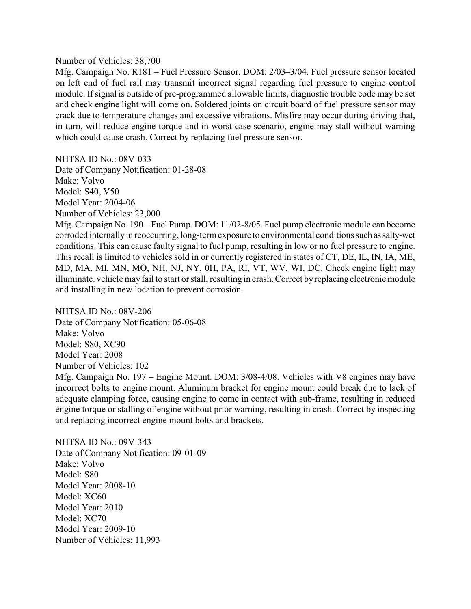#### Number of Vehicles: 38,700

Mfg. Campaign No. R181 – Fuel Pressure Sensor. DOM: 2/03–3/04. Fuel pressure sensor located on left end of fuel rail may transmit incorrect signal regarding fuel pressure to engine control module. If signal is outside of pre-programmed allowable limits, diagnostic trouble code may be set and check engine light will come on. Soldered joints on circuit board of fuel pressure sensor may crack due to temperature changes and excessive vibrations. Misfire may occur during driving that, in turn, will reduce engine torque and in worst case scenario, engine may stall without warning which could cause crash. Correct by replacing fuel pressure sensor.

NHTSA ID No.: 08V-033

Date of Company Notification: 01-28-08 Make: Volvo Model: S40, V50 Model Year: 2004-06 Number of Vehicles: 23,000 Mfg. Campaign No. 190 – Fuel Pump. DOM: 11/02-8/05. Fuel pump electronic module can become corroded internallyin reoccurring, long-term exposure to environmental conditions such assalty-wet conditions. This can cause faulty signal to fuel pump, resulting in low or no fuel pressure to engine. This recall is limited to vehicles sold in or currently registered in states of CT, DE, IL, IN, IA, ME, MD, MA, MI, MN, MO, NH, NJ, NY, 0H, PA, RI, VT, WV, WI, DC. Check engine light may illuminate. vehicle may fail to start or stall, resulting in crash. Correct byreplacing electronic module and installing in new location to prevent corrosion.

NHTSA ID No $\cdot$  08V-206 Date of Company Notification: 05-06-08 Make: Volvo Model: S80, XC90 Model Year: 2008 Number of Vehicles: 102 Mfg. Campaign No. 197 – Engine Mount. DOM: 3/08-4/08. Vehicles with V8 engines may have incorrect bolts to engine mount. Aluminum bracket for engine mount could break due to lack of adequate clamping force, causing engine to come in contact with sub-frame, resulting in reduced engine torque or stalling of engine without prior warning, resulting in crash. Correct by inspecting and replacing incorrect engine mount bolts and brackets.

NHTSA ID No.: 09V-343 Date of Company Notification: 09-01-09 Make: Volvo Model: S80 Model Year: 2008-10 Model: XC60 Model Year: 2010 Model: XC70 Model Year: 2009-10 Number of Vehicles: 11,993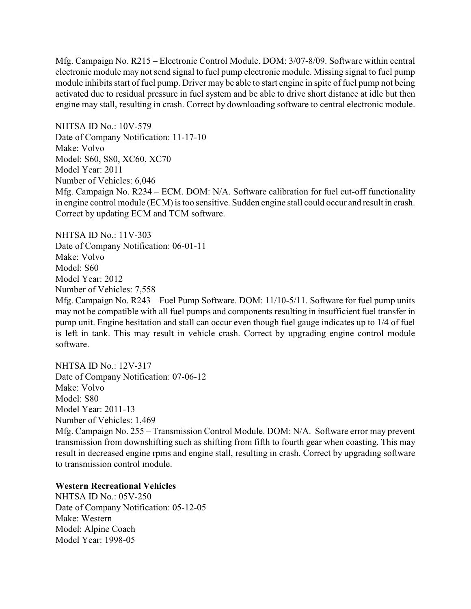Mfg. Campaign No. R215 – Electronic Control Module. DOM: 3/07-8/09. Software within central electronic module may not send signal to fuel pump electronic module. Missing signal to fuel pump module inhibits start of fuel pump. Driver may be able to start engine in spite of fuel pump not being activated due to residual pressure in fuel system and be able to drive short distance at idle but then engine may stall, resulting in crash. Correct by downloading software to central electronic module.

NHTSA ID No.: 10V-579 Date of Company Notification: 11-17-10 Make: Volvo Model: S60, S80, XC60, XC70 Model Year: 2011 Number of Vehicles: 6,046 Mfg. Campaign No. R234 – ECM. DOM: N/A. Software calibration for fuel cut-off functionality in engine control module (ECM) is too sensitive. Sudden engine stall could occur and result in crash. Correct by updating ECM and TCM software.

NHTSA ID No.: 11V-303 Date of Company Notification: 06-01-11 Make: Volvo Model: S60 Model Year: 2012 Number of Vehicles: 7,558 Mfg. Campaign No. R243 – Fuel Pump Software. DOM: 11/10-5/11. Software for fuel pump units may not be compatible with all fuel pumps and components resulting in insufficient fuel transfer in pump unit. Engine hesitation and stall can occur even though fuel gauge indicates up to 1/4 of fuel is left in tank. This may result in vehicle crash. Correct by upgrading engine control module software.

NHTSA ID No.: 12V-317 Date of Company Notification: 07-06-12 Make: Volvo Model: S80 Model Year: 2011-13 Number of Vehicles: 1,469

Mfg. Campaign No. 255 – Transmission Control Module. DOM: N/A. Software error may prevent transmission from downshifting such as shifting from fifth to fourth gear when coasting. This may result in decreased engine rpms and engine stall, resulting in crash. Correct by upgrading software to transmission control module.

### **Western Recreational Vehicles**

NHTSA ID No.: 05V-250 Date of Company Notification: 05-12-05 Make: Western Model: Alpine Coach Model Year: 1998-05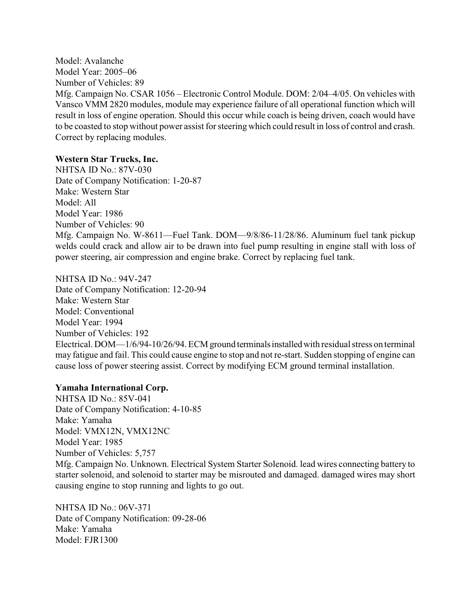Model: Avalanche Model Year: 2005–06 Number of Vehicles: 89 Mfg. Campaign No. CSAR 1056 – Electronic Control Module. DOM: 2/04–4/05. On vehicles with Vansco VMM 2820 modules, module may experience failure of all operational function which will result in loss of engine operation. Should this occur while coach is being driven, coach would have to be coasted to stop without power assist for steering which could result in loss of control and crash. Correct by replacing modules.

### **Western Star Trucks, Inc.**

NHTSA ID No.: 87V-030 Date of Company Notification: 1-20-87 Make: Western Star Model: All Model Year: 1986 Number of Vehicles: 90 Mfg. Campaign No. W-8611—Fuel Tank. DOM—9/8/86-11/28/86. Aluminum fuel tank pickup welds could crack and allow air to be drawn into fuel pump resulting in engine stall with loss of power steering, air compression and engine brake. Correct by replacing fuel tank.

NHTSA ID No.: 94V-247 Date of Company Notification: 12-20-94 Make: Western Star Model: Conventional Model Year: 1994 Number of Vehicles: 192 Electrical. DOM—1/6/94-10/26/94. ECM ground terminalsinstalledwith residual stress on terminal may fatigue and fail. This could cause engine to stop and not re-start. Sudden stopping of engine can cause loss of power steering assist. Correct by modifying ECM ground terminal installation.

### **Yamaha International Corp.**

NHTSA ID No.: 85V-041 Date of Company Notification: 4-10-85 Make: Yamaha Model: VMX12N, VMX12NC Model Year: 1985 Number of Vehicles: 5,757 Mfg. Campaign No. Unknown. Electrical System Starter Solenoid. lead wires connecting battery to starter solenoid, and solenoid to starter may be misrouted and damaged. damaged wires may short causing engine to stop running and lights to go out.

NHTSA ID No.: 06V-371 Date of Company Notification: 09-28-06 Make: Yamaha Model: FJR1300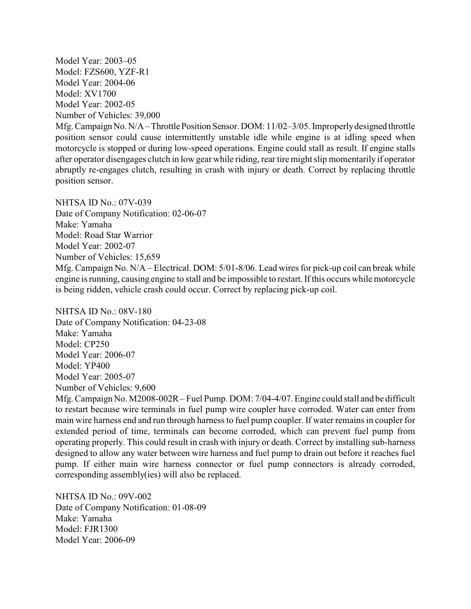Model Year: 2003–05 Model: FZS600, YZF-R1 Model Year: 2004-06 Model: XV1700 Model Year: 2002-05 Number of Vehicles: 39,000

Mfg. Campaign No. N/A – Throttle Position Sensor. DOM: 11/02–3/05. Improperly designed throttle position sensor could cause intermittently unstable idle while engine is at idling speed when motorcycle is stopped or during low-speed operations. Engine could stall as result. If engine stalls after operator disengages clutch in low gear while riding, rear tire might slip momentarily if operator abruptly re-engages clutch, resulting in crash with injury or death. Correct by replacing throttle position sensor.

NHTSA ID No.: 07V-039 Date of Company Notification: 02-06-07 Make: Yamaha Model: Road Star Warrior Model Year: 2002-07 Number of Vehicles: 15,659 Mfg. Campaign No. N/A – Electrical. DOM: 5/01-8/06. Lead wires for pick-up coil can break while engine is running, causing engine to stall and be impossible to restart. If this occurs while motorcycle is being ridden, vehicle crash could occur. Correct by replacing pick-up coil.

NHTSA ID  $No.08V-180$ Date of Company Notification: 04-23-08 Make: Yamaha Model: CP250 Model Year: 2006-07 Model: YP400 Model Year: 2005-07 Number of Vehicles: 9,600

Mfg. Campaign No. M2008-002R – Fuel Pump. DOM: 7/04-4/07. Engine could stall and be difficult to restart because wire terminals in fuel pump wire coupler have corroded. Water can enter from main wire harness end and run through harness to fuel pump coupler. If water remains in coupler for extended period of time, terminals can become corroded, which can prevent fuel pump from operating properly. This could result in crash with injury or death. Correct by installing sub-harness designed to allow any water between wire harness and fuel pump to drain out before it reaches fuel pump. If either main wire harness connector or fuel pump connectors is already corroded, corresponding assembly(ies) will also be replaced.

NHTSA ID No.: 09V-002 Date of Company Notification: 01-08-09 Make: Yamaha Model: FJR1300 Model Year: 2006-09